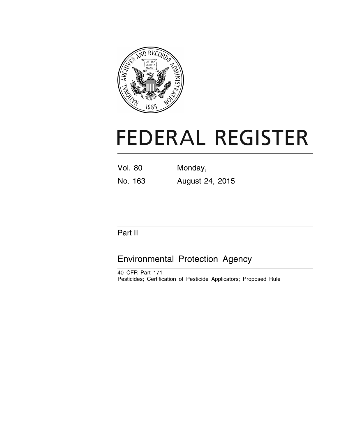

# **FEDERAL REGISTER**

Vol. 80 Monday,

No. 163 August 24, 2015

## Part II

## Environmental Protection Agency

40 CFR Part 171 Pesticides; Certification of Pesticide Applicators; Proposed Rule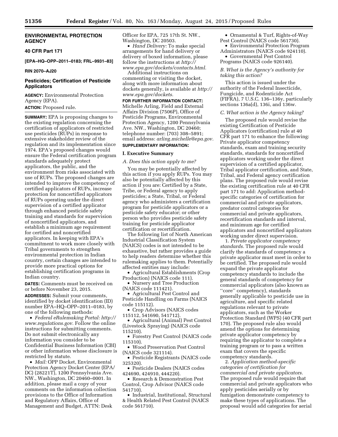#### **ENVIRONMENTAL PROTECTION AGENCY**

**40 CFR Part 171** 

**[EPA–HQ–OPP–2011–0183; FRL–9931–83]** 

**RIN 2070–AJ20** 

#### **Pesticides; Certification of Pesticide Applicators**

**AGENCY:** Environmental Protection Agency (EPA).

**ACTION:** Proposed rule.

**SUMMARY:** EPA is proposing changes to the existing regulation concerning the certification of applicators of restricted use pesticides (RUPs) in response to extensive stakeholder review of the regulation and its implementation since 1974. EPA's proposed changes would ensure the Federal certification program standards adequately protect applicators, the public, and the environment from risks associated with use of RUPs. The proposed changes are intended to improve the competency of certified applicators of RUPs, increase protection for noncertified applicators of RUPs operating under the direct supervision of a certified applicator through enhanced pesticide safety training and standards for supervision of noncertified applicators, and establish a minimum age requirement for certified and noncertified applicators. In keeping with EPA's commitment to work more closely with Tribal governments to strengthen environmental protection in Indian country, certain changes are intended to provide more practical options for establishing certification programs in Indian country.

**DATES:** Comments must be received on or before November 23, 2015.

**ADDRESSES:** Submit your comments, identified by docket identification (ID) number EPA–HQ–OPP–2011–0183, by one of the following methods:

• *Federal eRulemaking Portal: [http://](http://www.regulations.gov)  [www.regulations.gov.](http://www.regulations.gov)* Follow the online instructions for submitting comments. Do not submit electronically any information you consider to be Confidential Business Information (CBI) or other information whose disclosure is restricted by statute.

• *Mail:* OPP Docket, Environmental Protection Agency Docket Center (EPA/ DC) (28221T), 1200 Pennsylvania Ave. NW., Washington, DC 20460–0001. In addition, please mail a copy of your comments on the information collection provisions to the Office of Information and Regulatory Affairs, Office of Management and Budget, ATTN: Desk

Officer for EPA, 725 17th St. NW., Washington, DC 20503.

• *Hand Delivery:* To make special arrangements for hand delivery or delivery of boxed information, please follow the instructions at *[http://](http://www.epa.gov/dockets/contacts.html) [www.epa.gov/dockets/contacts.html.](http://www.epa.gov/dockets/contacts.html)* 

Additional instructions on commenting or visiting the docket, along with more information about dockets generally, is available at *[http://](http://www.epa.gov/dockets) [www.epa.gov/dockets.](http://www.epa.gov/dockets)* 

**FOR FURTHER INFORMATION CONTACT:**  Michelle Arling, Field and External Affairs Division (7506P), Office of Pesticide Programs, Environmental Protection Agency, 1200 Pennsylvania Ave. NW., Washington, DC 20460; telephone number: (703) 308–5891; email address: *[arling.michelle@epa.gov.](mailto:arling.michelle@epa.gov)*  **SUPPLEMENTARY INFORMATION:** 

#### **I. Executive Summary**

*A. Does this action apply to me?* 

You may be potentially affected by this action if you apply RUPs. You may also be potentially affected by this action if you are: Certified by a State, Tribe, or Federal agency to apply pesticides; a State, Tribal, or Federal agency who administers a certification program for pesticide applicators or a pesticide safety educator; or other person who provides pesticide safety training for pesticide applicator certification or recertification.

The following list of North American Industrial Classification System (NAICS) codes is not intended to be exhaustive, but rather provides a guide to help readers determine whether this rulemaking applies to them. Potentially affected entities may include:

• Agricultural Establishments (Crop Production) (NAICS code 111).

• Nursery and Tree Production (NAICS code 111421).

• Agricultural Pest Control and Pesticide Handling on Farms (NAICS code 115112).

• Crop Advisors (NAICS codes 115112, 541690, 541712).

• Agricultural (Animal) Pest Control (Livestock Spraying) (NAICS code 115210).

• Forestry Pest Control (NAICS code 115310).

• Wood Preservation Pest Control (NAICS code 321114).

• Pesticide Registrants (NAICS code 325320).

• Pesticide Dealers (NAICS codes 424690, 424910, 444220).

• Research & Demonstration Pest Control, Crop Advisor (NAICS code 541710).

• Industrial, Institutional, Structural & Health Related Pest Control (NAICS code 561710).

• Ornamental & Turf, Rights-of-Way Pest Control (NAICS code 561730).

• Environmental Protection Program Administrators (NAICS code 924110).

• Governmental Pest Control Programs (NAICS code 926140).

#### *B. What is the Agency's authority for taking this action?*

This action is issued under the authority of the Federal Insecticide, Fungicide, and Rodenticide Act (FIFRA), 7 U.S.C. 136–136y, particularly sections 136a(d), 136i, and 136w.

#### *C. What action is the Agency taking?*

The proposed rule would revise the existing Certification of Pesticide Applicators (certification) rule at 40 CFR part 171 to enhance the following: Private applicator competency standards, exam and training security standards, standards for noncertified applicators working under the direct supervision of a certified applicator, Tribal applicator certification, and State, Tribal, and Federal agency certification plans. The proposed rule would revise the existing certification rule at 40 CFR part 171 to add: Application methodspecific categories of certification for commercial and private applicators, predator control categories for commercial and private applicators, recertification standards and interval, and minimum age for certified applicators and noncertified applicators working under direct supervision.

1. *Private applicator competency standards.* The proposed rule would clarify the standards of competency a private applicator must meet in order to be certified. The proposed rule would expand the private applicator competency standards to include the general standards of competency for commercial applicators (also known as ''core'' competency), standards generally applicable to pesticide use in agriculture, and specific related regulations relevant to private applicators, such as the Worker Protection Standard (WPS) (40 CFR part 170). The proposed rule also would amend the options for determining private applicator competency by requiring the applicator to complete a training program or to pass a written exam that covers the specific competency standards.

2. *Application method-specific categories of certification for commercial and private applicators.*  The proposed rule would require that commercial and private applicators who apply pesticides aerially or by fumigation demonstrate competency to make these types of applications. The proposal would add categories for aerial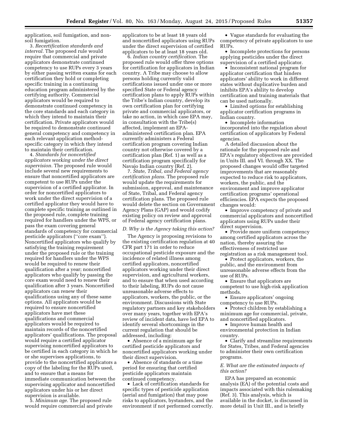application, soil fumigation, and nonsoil fumigation.

3. *Recertification standards and interval.* The proposed rule would require that commercial and private applicators demonstrate continued competency to use RUPs every 3 years by either passing written exams for each certification they hold or completing specific training in a continuing education program administered by the certifying authority. Commercial applicators would be required to demonstrate continued competency in the core standards and each category in which they intend to maintain their certification. Private applicators would be required to demonstrate continued general competency and competency in each relevant application methodspecific category in which they intend to maintain their certification.

4. *Standards for noncertified applicators working under the direct supervision.* The proposed rule would include several new requirements to ensure that noncertified applicators are competent to use RUPs under the supervision of a certified applicator. In order for noncertified applicators to work under the direct supervision of a certified applicator they would have to complete specific training as outlined in the proposed rule, complete training required for handlers under the WPS, or pass the exam covering general standards of competency for commercial pesticide applicators (''core exam''). Noncertified applicators who qualify by satisfying the training requirement under the proposed rule or the training required for handlers under the WPS would be required to renew their qualification after a year; noncertified applicators who qualify by passing the core exam would need to renew their qualification after 3 years. Noncertified applicators can renew their qualifications using any of these same options. All applicators would be required to ensure noncertified applicators have met these qualifications and commercial applicators would be required to maintain records of the noncertified applicators' qualifications. The proposal would require a certified applicator supervising noncertified applicators to be certified in each category in which he or she supervises applications, to provide to the noncertified applicators a copy of the labeling for the RUPs used, and to ensure that a means for immediate communication between the supervising applicator and noncertified applicators under his or her direct supervision is available.

5. *Minimum age.* The proposed rule would require commercial and private applicators to be at least 18 years old and noncertified applicators using RUPs under the direct supervision of certified applicators to be at least 18 years old.

6. *Indian country certification.* The proposed rule would offer three options for certification for applicators in Indian country. A Tribe may choose to allow persons holding currently valid certifications issued under one or more specified State or Federal agency certification plans to apply RUPs within the Tribe's Indian country, develop its own certification plan for certifying private and commercial applicators, or take no action, in which case EPA may, in consultation with the Tribe(s) affected, implement an EPAadministered certification plan. EPA currently administers a Federal certification program covering Indian country not otherwise covered by a certification plan (Ref. 1) as well as a certification program specifically for Navajo Indian country (Ref. 2).

7. *State, Tribal, and Federal agency certification plans.* The proposed rule would update the requirements for submission, approval, and maintenance of State, Tribal, and Federal agency certification plans. The proposed rule would delete the section on Government Agency Plans (GAP) and would codify existing policy on review and approval of Federal agency certification plans.

#### *D. Why is the Agency taking this action?*

The Agency is proposing revisions to the existing certification regulation at 40 CFR part 171 in order to reduce occupational pesticide exposure and the incidence of related illness among certified applicators, noncertified applicators working under their direct supervision, and agricultural workers, and to ensure that when used according to their labeling, RUPs do not cause unreasonable adverse effects to applicators, workers, the public, or the environment. Discussions with State regulatory partners and key stakeholders over many years, together with EPA's review of incident data, have led EPA to identify several shortcomings in the current regulation that should be addressed, including:

• Absence of a minimum age for certified pesticide applicators and noncertified applicators working under their direct supervision.

• Absence of standards or a time period for ensuring that certified pesticide applicators maintain continued competency.

• Lack of certification standards for specific types of pesticide application (aerial and fumigation) that may pose risks to applicators, bystanders, and the environment if not performed correctly.

• Vague standards for evaluating the competency of private applicators to use RUPs.

• Incomplete protections for persons applying pesticides under the direct supervision of a certified applicator.

• Inconsistent national program for applicator certification that hinders applicators' ability to work in different states without duplicative burden and inhibits EPA's ability to develop certification and training materials that can be used nationally.

• Limited options for establishing applicator certification programs in Indian country.

• Incomplete information incorporated into the regulation about certification of applicators by Federal agencies.

A detailed discussion about the rationale for the proposed rule and EPA's regulatory objectives are provided in Units III. and VI. through XX. The proposed changes would offer targeted improvements that are reasonably expected to reduce risk to applicators, workers, the public, and the environment and improve applicator certification programs' operational efficiencies. EPA expects the proposed changes would:

• Improve competency of private and commercial applicators and noncertified applicators using RUPs under their direct supervision.

• Provide more uniform competency among certified applicators across the nation, thereby assuring the effectiveness of restricted use registration as a risk management tool.

• Protect applicators, workers, the public, and the environment from unreasonable adverse effects from the use of RUPs.

• Ensure that applicators are competent to use high-risk application methods.

• Ensure applicators' ongoing competency to use RUPs.

• Protect children by establishing a minimum age for commercial, private, and noncertified applicators.

• Improve human health and environmental protection in Indian country.

• Clarify and streamline requirements for States, Tribes, and Federal agencies to administer their own certification programs.

#### *E. What are the estimated impacts of this action?*

EPA has prepared an economic analysis (EA) of the potential costs and impacts associated with this rulemaking (Ref. 3). This analysis, which is available in the docket, is discussed in more detail in Unit III., and is briefly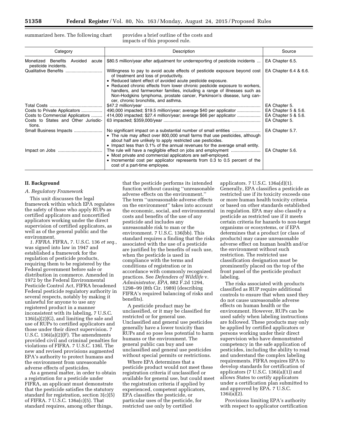summarized here. The following chart provides a brief outline of the costs and impacts of this proposed rule.

| Category                                                        | Description                                                                                                                                                                                                                                                                                                                                                                                                                                                         | Source                                     |
|-----------------------------------------------------------------|---------------------------------------------------------------------------------------------------------------------------------------------------------------------------------------------------------------------------------------------------------------------------------------------------------------------------------------------------------------------------------------------------------------------------------------------------------------------|--------------------------------------------|
| Monetized Benefits Avoided acute<br>pesticide incidents.        | \$80.5 million/year after adjustment for underreporting of pesticide incidents                                                                                                                                                                                                                                                                                                                                                                                      | EA Chapter 6.5.                            |
|                                                                 | Willingness to pay to avoid acute effects of pesticide exposure beyond cost<br>of treatment and loss of productivity.<br>• Reduced latent effect of avoided acute pesticide exposure.<br>• Reduced chronic effects from lower chronic pesticide exposure to workers,<br>handlers, and farmworker families, including a range of illnesses such as<br>Non-Hodgkins lymphoma, prostate cancer, Parkinson's disease, lung can-<br>cer, chronic bronchitis, and asthma. | EA Chapter 6.4 & 6.6.                      |
|                                                                 |                                                                                                                                                                                                                                                                                                                                                                                                                                                                     | EA Chapter 5.                              |
| Costs to Private Applicators<br>Costs to Commercial Applicators | 490,000 impacted; \$19.5 million/year; average \$40 per applicator<br>414,000 impacted; \$27.4 million/year; average \$66 per applicator                                                                                                                                                                                                                                                                                                                            | EA Chapter 5 & 5.6.<br>EA Chapter 5 & 5.6. |
| Costs to States and Other Jurisdic-<br>tions.                   |                                                                                                                                                                                                                                                                                                                                                                                                                                                                     | EA Chapter 5.                              |
| Small Business Impacts                                          | • The rule may affect over 800,000 small farms that use pesticides, although<br>about half are unlikely to apply restricted use pesticides.<br>• Impact less than 0.1% of the annual revenues for the average small entity.                                                                                                                                                                                                                                         | EA Chapter 5.7.                            |
|                                                                 | • Most private and commercial applicators are self-employed.<br>• Incremental cost per applicator represents from 0.3 to 0.5 percent of the<br>cost of a part-time employee.                                                                                                                                                                                                                                                                                        | EA Chapter 5.6.                            |

#### **II. Background**

#### *A. Regulatory Framework*

This unit discusses the legal framework within which EPA regulates the safety of those who apply RUPs as certified applicators and noncertified applicators working under the direct supervision of certified applicators, as well as of the general public and the environment.

*1. FIFRA.* FIFRA, 7. U.S.C. 136 *et seq.,*  was signed into law in 1947 and established a framework for the regulation of pesticide products, requiring them to be registered by the Federal government before sale or distribution in commerce. Amended in 1972 by the Federal Environmental Pesticide Control Act, FIFRA broadened Federal pesticide regulatory authority in several respects, notably by making it unlawful for anyone to use any registered product in a manner inconsistent with its labeling, 7 U.S.C. 136i(a)(2)(G), and limiting the sale and use of RUPs to certified applicators and those under their direct supervision. 7 U.S.C. 136i(a)(2)(F). The amendments provided civil and criminal penalties for violations of FIFRA. 7 U.S.C. 136l. The new and revised provisions augmented EPA's authority to protect humans and the environment from unreasonable adverse effects of pesticides.

As a general matter, in order to obtain a registration for a pesticide under FIFRA, an applicant must demonstrate that the pesticide satisfies the statutory standard for registration, section 3(c)(5) of FIFRA. 7 U.S.C. 136a(c)(5). That standard requires, among other things,

that the pesticide performs its intended function without causing ''unreasonable adverse effects on the environment.'' The term ''unreasonable adverse effects on the environment'' takes into account the economic, social, and environmental costs and benefits of the use of any pesticide and includes any unreasonable risk to man or the environment. 7 U.S.C. 136(bb). This standard requires a finding that the risks associated with the use of a pesticide are justified by the benefits of such use, when the pesticide is used in compliance with the terms and conditions of registration or in accordance with commonly recognized practices. See *Defenders of Wildlife* v. *Administrator, EPA,* 882 F.2d 1294, 1298–99 (8th Cir. 1989) (describing FIFRA's required balancing of risks and benefits).

A pesticide product may be unclassified, or it may be classified for restricted or for general use. Unclassified and general use pesticides generally have a lower toxicity than RUPs and so pose less potential to harm humans or the environment. The general public can buy and use unclassified and general use pesticides without special permits or restrictions.

Where EPA determines that a pesticide product would not meet these registration criteria if unclassified or available for general use, but could meet the registration criteria if applied by experienced, competent applicators, EPA classifies the pesticide, or particular uses of the pesticide, for restricted use only by certified

applicators. 7 U.S.C. 136a(d)(1). Generally, EPA classifies a pesticide as restricted use if its toxicity exceeds one or more human health toxicity criteria or based on other standards established in regulation. EPA may also classify a pesticide as restricted use if it meets certain criteria for hazards to non-target organisms or ecosystems, or if EPA determines that a product (or class of products) may cause unreasonable adverse effect on human health and/or the environment without such restriction. The restricted use classification designation must be prominently placed on the top of the front panel of the pesticide product labeling.

The risks associated with products classified as RUP require additional controls to ensure that when used they do not cause unreasonable adverse effects on human health or the environment. However, RUPs can be used safely when labeling instructions are followed. These products may only be applied by certified applicators or persons working under their direct supervision who have demonstrated competency in the safe application of pesticides, including the ability to read and understand the complex labeling requirements. FIFRA requires EPA to develop standards for certification of applicators (7 U.S.C. 136i(a)(1)) and allows States to certify applicators under a certification plan submitted to and approved by EPA. 7 U.S.C. 136i(a)(2).

Provisions limiting EPA's authority with respect to applicator certification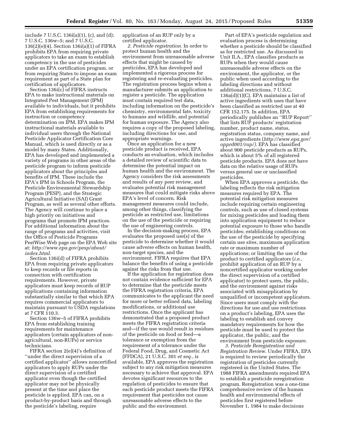include 7 U.S.C. 136i(a)(1), (c), and (d); 7 U.S.C. 136w–5; and 7 U.S.C. 136(2)(e)(4). Section 136i(a)(1) of FIFRA prohibits EPA from requiring private applicators to take an exam to establish competency in the use of pesticides under an EPA certification program, or from requiring States to impose an exam requirement as part of a State plan for certification of applicators.

Section 136i(c) of FIFRA instructs EPA to make instructional materials on Integrated Pest Management (IPM) available to individuals, but it prohibits EPA from establishing requirements for instruction or competency determination on IPM. EPA makes IPM instructional materials available to individual users through the National Pesticide Applicator Certification Core Manual, which is used directly or as a model by many States. Additionally, EPA has developed and implemented a variety of programs in other areas of the pesticide program to inform pesticide applicators about the principles and benefits of IPM. These include the EPA's IPM in Schools Program, the Pesticide Environmental Stewardship Program (PESP), and the Strategic Agricultural Initiative (SAI) Grant Program, as well as several other efforts. The Agency will continue to place a high priority on initiatives and programs that promote IPM practices. For additional information about the range of programs and activities, visit the Office of Pesticide Programs PestWise Web page on the EPA Web site at: *[http://www.epa.gov/pesp/about/](http://www.epa.gov/pesp/about/index.html) [index.html.](http://www.epa.gov/pesp/about/index.html)* 

Section 136i(d) of FIFRA prohibits EPA from requiring private applicators to keep records or file reports in connection with certification requirements. However, private applicators must keep records of RUP applications containing information substantially similar to that which EPA requires commercial applicators to maintain pursuant to USDA regulations at 7 CFR 110.3.

Section 136w–5 of FIFRA prohibits EPA from establishing training requirements for maintenance applicators (certain applicators of nonagricultural, non-RUPs) or service technicians.

FIFRA section 2(e)(4)'s definition of ''under the direct supervision of a certified applicator'' allows noncertified applicators to apply RUPs under the direct supervision of a certified applicator even though the certified applicator may not be physically present at the time and place the pesticide is applied. EPA can, on a product-by-product basis and through the pesticide's labeling, require

application of an RUP only by a certified applicator.

*2. Pesticide registration.* In order to protect human health and the environment from unreasonable adverse effects that might be caused by pesticides, EPA has developed and implemented a rigorous process for registering and re-evaluating pesticides. The registration process begins when a manufacturer submits an application to register a pesticide. The application must contain required test data, including information on the pesticide's chemistry, environmental fate, toxicity to humans and wildlife, and potential for human exposure. The Agency also requires a copy of the proposed labeling, including directions for use, and appropriate warnings.

Once an application for a new pesticide product is received, EPA conducts an evaluation, which includes a detailed review of scientific data to determine the potential impact on human health and the environment. The Agency considers the risk assessments and results of any peer review, and evaluates potential risk management measures that could mitigate risks above EPA's level of concern. Risk management measures could include, among other things, classifying the pesticide as restricted use, limitations on the use of the pesticide or requiring the use of engineering controls.

In the decision-making process, EPA evaluates the proposed use(s) of the pesticide to determine whether it would cause adverse effects on human health, non-target species, and the environment. FIFRA requires that EPA balance the benefits of using a pesticide against the risks from that use.

If the application for registration does not contain evidence sufficient for EPA to determine that the pesticide meets the FIFRA registration criteria, EPA communicates to the applicant the need for more or better refined data, labeling modifications, or additional use restrictions. Once the applicant has demonstrated that a proposed product meets the FIFRA registration criteria and—if the use would result in residues of the pesticide on food or feed—a tolerance or exemption from the requirement of a tolerance under the Federal Food, Drug, and Cosmetic Act (FFDCA), 21 U.S.C. 301 *et seq.,* is available, EPA approves the registration subject to any risk mitigation measures necessary to achieve that approval. EPA devotes significant resources to the regulation of pesticides to ensure that each pesticide product meets the FIFRA requirement that pesticides not cause unreasonable adverse effects to the public and the environment.

Part of EPA's pesticide regulation and evaluation process is determining whether a pesticide should be classified as for restricted use. As discussed in Unit II.A., EPA classifies products as RUPs when they would cause unreasonable adverse effects on the environment, the applicator, or the public when used according to the labeling directions and without additional restrictions. 7 U.S.C. 136a(d)(1)(C). EPA maintains a list of active ingredients with uses that have been classified as restricted use at 40 CFR 152.175. In addition, EPA periodically publishes an ''RUP Report'' that lists RUP products' registration number, product name, status, registration status, company name, and active ingredients (*[http://www.epa.gov/](http://www.epa.gov/opprd001/rup/) [opprd001/rup/\).](http://www.epa.gov/opprd001/rup/)* EPA has classified about 900 pesticide products as RUPs, which is about 5% of all registered pesticide products. EPA does not have data on the relative usage of RUPs versus general use or unclassified pesticides.

When EPA approves a pesticide, the labeling reflects the risk mitigation measures required by EPA. The potential risk mitigation measures include requiring certain engineering controls, such as use of closed systems for mixing pesticides and loading them into application equipment to reduce potential exposure to those who handle pesticides; establishing conditions on the use of the pesticide by specifying certain use sites, maximum application rate or maximum number of applications; or limiting the use of the product to certified applicators (*i.e.,*  prohibit application of an RUP by a noncertified applicator working under the direct supervision of a certified applicator) to protect users, the public, and the environment against risks associated with misapplication by unqualified or incompetent applicators. Since users must comply with the directions for use and use restrictions on a product's labeling, EPA uses the labeling to establish and convey mandatory requirements for how the pesticide must be used to protect the applicator, the public, and the environment from pesticide exposure.

*3. Pesticide Reregistration and Registration Review.* Under FIFRA, EPA is required to review periodically the registration of pesticides currently registered in the United States. The 1988 FIFRA amendments required EPA to establish a pesticide reregistration program. Reregistration was a one-time comprehensive review of the human health and environmental effects of pesticides first registered before November 1, 1984 to make decisions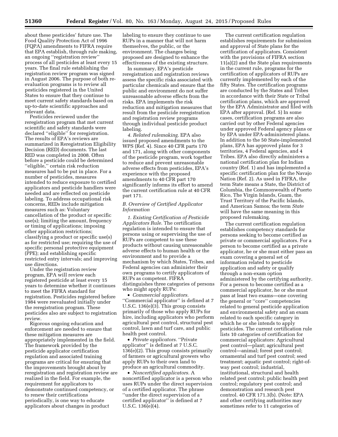about these pesticides' future use. The Food Quality Protection Act of 1996 (FQPA) amendments to FIFRA require that EPA establish, through rule making, an ongoing ''registration review'' process of all pesticides at least every 15 years. The final rule establishing the registration review program was signed in August 2006. The purpose of both reevaluation programs is to review all pesticides registered in the United States to ensure that they continue to meet current safety standards based on up-to-date scientific approaches and relevant data.

Pesticides reviewed under the reregistration program that met current scientific and safety standards were declared ''eligible'' for reregistration. The results of EPA's reviews are summarized in Reregistration Eligibility Decision (RED) documents. The last RED was completed in 2008. Often before a pesticide could be determined ''eligible,'' certain risk reduction measures had to be put in place. For a number of pesticides, measures intended to reduce exposure to certified applicators and pesticide handlers were needed and are reflected on pesticide labeling. To address occupational risk concerns, REDs include mitigation measures such as: Voluntary cancellation of the product or specific use(s); limiting the amount, frequency or timing of applications; imposing other application restrictions; classifying a product or specific use(s) as for restricted use; requiring the use of specific personal protective equipment (PPE); and establishing specific restricted entry intervals; and improving use directions.

Under the registration review program, EPA will review each registered pesticide at least every 15 years to determine whether it continues to meet the FIFRA standard for registration. Pesticides registered before 1984 were reevaluated initially under the reregistration program. These pesticides also are subject to registration review.

Rigorous ongoing education and enforcement are needed to ensure that these mitigation measures are appropriately implemented in the field. The framework provided by the pesticide applicator certification regulation and associated training programs are critical for ensuring that the improvements brought about by reregistration and registration review are realized in the field. For example, the requirement for applicators to demonstrate continued competency, or to renew their certifications periodically, is one way to educate applicators about changes in product

labeling to ensure they continue to use RUPs in a manner that will not harm themselves, the public, or the environment. The changes being proposed are designed to enhance the effectiveness of the existing structure.

In summary, EPA's pesticide reregistration and registration reviews assess the specific risks associated with particular chemicals and ensure that the public and environment do not suffer unreasonable adverse effects from the risks. EPA implements the risk reduction and mitigation measures that result from the pesticide reregistration and registration review programs through individual pesticide product labeling.

*4. Related rulemaking.* EPA also issued proposed amendments to the WPS (Ref. 4). Since 40 CFR parts 170 and 171, along with other components of the pesticide program, work together to reduce and prevent unreasonable adverse effects from pesticides, EPA's experience with the proposed amendments to 40 CFR part 170 significantly informs its effort to amend the current certification rule at 40 CFR part 171.

#### *B. Overview of Certified Applicator Information*

*1. Existing Certification of Pesticide Applicators Rule.* The certification regulation is intended to ensure that persons using or supervising the use of RUPs are competent to use these products without causing unreasonable adverse effects to human health or the environment and to provide a mechanism by which States, Tribes, and Federal agencies can administer their own programs to certify applicators of RUPs as competent. FIFRA distinguishes three categories of persons who might apply RUPs:

• *Commercial applicators.*  ''Commercial applicator'' is defined at 7 U.S.C. 136(e)(3). This group consists primarily of those who apply RUPs for hire, including applicators who perform agricultural pest control, structural pest control, lawn and turf care, and public health pest control.

• *Private applicators.* ''Private applicator'' is defined at 7 U.S.C. 136(e)(2). This group consists primarily of farmers or agricultural growers who apply RUPs to their own land to produce an agricultural commodity.

• *Noncertified applicators.* A noncertified applicator is a person who uses RUPs under the direct supervision of a certified applicator. The phrase ''under the direct supervision of a certified applicator'' is defined at 7 U.S.C. 136(e)(4).

The current certification regulation establishes requirements for submission and approval of State plans for the certification of applicators. Consistent with the provisions of FIFRA section 11(a)(2) and the State plan requirements in the current rule, programs for the certification of applicators of RUPs are currently implemented by each of the fifty States. The certification programs are conducted by the States and Tribes in accordance with their State or Tribal certification plans, which are approved by the EPA Administrator and filed with EPA after approval. (Ref. 5) In some cases, certification programs are also carried out by other Federal agencies under approved Federal agency plans or by EPA under EPA-administered plans. In addition to the 50 State-implemented plans, EPA has approved plans for 3 territories, 4 Federal agencies, and 4 Tribes. EPA also directly administers a national certification plan for Indian country (Ref. 1) and has implemented a specific certification plan for the Navajo Nation (Ref. 2). As used in FIFRA, the term State means a State, the District of Columbia, the Commonwealth of Puerto Rico, The Virgin Islands, Guam, the Trust Territory of the Pacific Islands, and American Samoa; the term *State*  will have the same meaning in this proposed rulemaking.

The current certification regulation establishes competency standards for persons seeking to become certified as private or commercial applicators. For a person to become certified as a private applicator, he or she must either pass an exam covering a general set of information related to pesticide application and safety or qualify through a non-exam option administered by the certifying authority. For a person to become certified as a commercial applicator, he or she must pass at least two exams—one covering the general or ''core'' competencies related to general pesticide application and environmental safety and an exam related to each specific category in which he or she intends to apply pesticides. The current certification rule lists 10 categories of certification for commercial applicators: Agricultural pest control—plant; agricultural pest control—animal; forest pest control; ornamental and turf pest control; seed treatment; aquatic pest control; right-ofway pest control; industrial, institutional, structural and health related pest control; public health pest control; regulatory pest control; and demonstration and research pest control. 40 CFR 171.3(b). (Note: EPA and other certifying authorities may sometimes refer to 11 categories of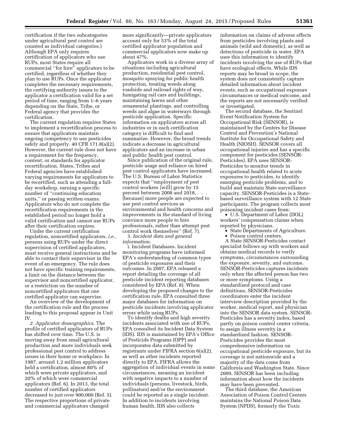certification if the two subcategories under agricultural pest control are counted as individual categories.) Although EPA only requires certification of applicators who use RUPs, most States require all commercial ''for hire'' applicators to be certified, regardless of whether they plan to use RUPs. Once the applicator completes the necessary requirements, the certifying authority issues to the applicator a certification valid for a set period of time, ranging from 1–6 years depending on the State, Tribe, or Federal agency that provides the certification.

The current regulation requires States to implement a recertification process to ensure that applicators maintain ongoing competency to use pesticides safely and properly. 40 CFR 171.8(a)(2). However, the current rule does not have a requirement for the frequency, content, or standards for applicator recertification. States, Tribes and Federal agencies have established varying requirements for applicators to be recertified, such as attending a fullday workshop, earning a specific number of ''continuing education units,'' or passing written exams. Applicators who do not complete the recertification requirements in the established period no longer hold a valid certification and cannot use RUPs after their certification expires.

Under the current certification regulation, noncertified applicators, *i.e.,*  persons using RUPs under the direct supervision of certified applicators, must receive general instructions and be able to contact their supervisor in the event of an emergency. The rule does not have specific training requirements, a limit on the distance between the supervisor and noncertified applicator, or a restriction on the number of noncertified applicators that one certified applicator can supervise.

An overview of the development of the certification rule and the process leading to this proposal appear in Unit IV.

*2. Applicator demographics.* The profile of certified applicators of RUPs has shifted over time. The U.S. is moving away from small agricultural production and more individuals seek professional pest control to address issues in their home or workplace. In 1987, around 1.2 million applicators held a certification, almost 80% of which were private applicators, and 20% of which were commercial applicators (Ref. 6). In 2013, the total number of certified applicators decreased to just over 900,000 (Ref. 5). The respective proportions of private and commercial applicators changed

more significantly—private applicators account only for 53% of the total certified applicator population and commercial applicators now make up about 47%.

Applicators work in a diverse array of situations including agricultural production, residential pest control, mosquito spraying for public health protection, treating weeds along roadside and railroad rights of way, fumigating rail cars and buildings, maintaining lawns and other ornamental plantings, and controlling weeds and algae in waterways through pesticide application. Specific information on applicators across all industries or in each certification category is difficult to find and summarize. However, the broad trends indicate a decrease in agricultural applicators and an increase in urban and public health pest control.

Since publication of the original rule, pesticide usage and reliance on hired pest control applicators have increased. The U.S. Bureau of Labor Statistics expects that ''employment of pest control workers [will] grow by 15 percent between 2008 and 2018, . . . [because] more people are expected to use pest control services as environmental and health concerns and improvements in the standard of living convince more people to hire professionals, rather than attempt pest control work themselves'' (Ref. 7).

3. *Incident data and general information.* 

i. Incident Databases. Incident monitoring programs have informed EPA's understanding of common types of pesticide exposures and their outcomes. In 2007, EPA released a report detailing the coverage of all pesticide incident reporting databases considered by EPA (Ref. 8). When developing the proposed changes to the certification rule, EPA consulted three major databases for information on pesticide incidents involving applicator errors while using RUPs.

To identify deaths and high severity incidents associated with use of RUPs, EPA consulted its Incident Data System (IDS). IDS is maintained by EPA's Office of Pesticide Programs (OPP) and incorporates data submitted by registrants under FIFRA section 6(a)(2), as well as other incidents reported directly to EPA. FIFRA allows the aggregation of individual events in some circumstances, meaning an incident with negative impacts to a number of individuals (persons, livestock, birds, pollinators) and/or the environment could be reported as a single incident. In addition to incidents involving human health, IDS also collects

information on claims of adverse effects from pesticides involving plants and animals (wild and domestic), as well as detections of pesticide in water. EPA uses this information to identify incidents involving the use of RUPs that have ecological effects. While IDS reports may be broad in scope, the system does not consistently capture detailed information about incident events, such as occupational exposure circumstances or medical outcome, and the reports are not necessarily verified or investigated.

The second database, the Sentinel Event Notification System for Occupational Risk (SENSOR), is maintained by the Centers for Disease Control and Prevention's National Institute for Occupational Safety and Health (NIOSH). SENSOR covers all occupational injuries and has a specific component for pesticides (SENSOR-Pesticides). EPA uses SENSOR-Pesticides to monitor trends in occupational health related to acute exposures to pesticides, to identify emerging pesticide problems, and to build and maintain State surveillance capacity. SENSOR-Pesticides is a Statebased surveillance system with 12 State participants. The program collects most poisoning incident cases from:

• U.S. Department of Labor (DOL) workers' compensation claims when reported by physicians.

• State Departments of Agriculture.

• Poison control centers.

A State SENSOR-Pesticides contact specialist follows up with workers and obtains medical records to verify symptoms, circumstances surrounding the exposure, severity, and outcome. SENSOR-Pesticides captures incidents only when the affected person has two or more symptoms. Using a standardized protocol and case definitions, SENSOR-Pesticides coordinators enter the incident interview description provided by the worker, medical report, and physician into the SENSOR data system. SENSOR-Pesticides has a severity index, based partly on poison control center criteria, to assign illness severity in a standardized fashion. SENSOR-Pesticides provides the most comprehensive information on occupational pesticide exposure, but its coverage is not nationwide and a majority of the data come from California and Washington State. Since 2009, SENSOR has been including information about how the incidents may have been prevented.

The third database, the American Association of Poison Control Centers maintains the National Poison Data System (NPDS), formerly the Toxic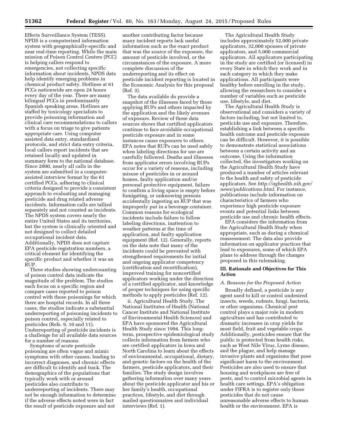Effects Surveillance System (TESS). NPDS is a computerized information system with geographically-specific and near real-time reporting. While the main mission of Poison Control Centers (PCC) is helping callers respond to emergencies, not collecting specific information about incidents, NPDS data help identify emerging problems in chemical product safety. Hotlines at 61 PCCs nationwide are open 24 hours every day of the year. There are many bilingual PCCs in predominantly Spanish speaking areas. Hotlines are staffed by toxicology specialists to provide poisoning information and clinical care recommendations to callers with a focus on triage to give patients appropriate care. Using computer assisted data entry, standardized protocols, and strict data entry criteria, local callers report incidents that are retained locally and updated in summary form to the national database. Since 2000, nearly all calls in the system are submitted in a computerassisted interview format by the 61 certified PCCs, adhering to clinical criteria designed to provide a consistent approach to evaluating and managing pesticide and drug related adverse incidents. Information calls are tallied separately and not counted as incidents. The NPDS system covers nearly the entire United States and its territories, but the system is clinically oriented and not designed to collect detailed occupational incident data. Additionally, NPDS does not capture EPA pesticide registration numbers, a critical element for identifying the specific product and whether it was an RUP.

Three studies showing undercounting of poison control data indicate the magnitude of the problem. The studies each focus on a specific region and compare cases reported to poison control with those poisonings for which there are hospital records. In all three cases, the studies indicate a substantial underreporting of poisoning incidents to poison control, especially related to pesticides (Refs. 9, 10 and 11). Underreporting of pesticide incidents is a challenge for all available data sources for a number of reasons.

Symptoms of acute pesticide poisoning are often vague and mimic symptoms with other causes, leading to incorrect diagnoses, and chronic effects are difficult to identify and track. The demographics of the populations that typically work with or around pesticides also contribute to underreporting of incidents. There may not be enough information to determine if the adverse effects noted were in fact the result of pesticide exposure and not

another contributing factor because many incident reports lack useful information such as the exact product that was the source of the exposure, the amount of pesticide involved, or the circumstances of the exposure. A more complete discussion of the underreporting and its effect on pesticide incident reporting is located in the Economic Analysis for this proposal (Ref. 3).

The data available do provide a snapshot of the illnesses faced by those applying RUPs and others impacted by the application and the likely avenues of exposure. Review of these data sources shows that certified applicators continue to face avoidable occupational pesticide exposure and in some instances cause exposures to others. EPA notes that RUPs can be used safely when labeling directions for use are carefully followed. Deaths and illnesses from applicator errors involving RUPs occur for a variety of reasons, including misuse of pesticides in or around homes, faulty application and/or personal protective equipment, failure to confirm a living space is empty before fumigating, or unknowing persons accidentally ingesting an RUP that was improperly put in a beverage container. Common reasons for ecological incidents include failure to follow labeling directions, inattention to weather patterns at the time of application, and faulty application equipment (Ref. 12). Generally, reports on the data note that many of the incidents could be prevented with strengthened requirements for initial and ongoing applicator competency (certification and recertification), improved training for noncertified applicators working under the direction of a certified applicator, and knowledge of proper techniques for using specific methods to apply pesticides (Ref. 12).

ii. Agricultural Health Study. The National Institutes of Health (National Cancer Institute and National Institute of Environmental Health Sciences) and EPA have sponsored the Agricultural Health Study since 1994. This longterm, prospective epidemiological study collects information from farmers who are certified applicators in Iowa and North Carolina to learn about the effects of environmental, occupational, dietary, and genetic factors on the health of the farmers, pesticide applicators, and their families. The study design involves gathering information over many years about the pesticide applicator and his or her family's health, occupational practices, lifestyle, and diet through mailed questionnaires and individual interviews (Ref. 1).

The Agricultural Health Study includes approximately 52,000 private applicators, 32,000 spouses of private applicators, and 5,000 commercial applicators. All applicators participating in the study are certified (or licensed) in every State in which they work and in each category in which they make applications. All participants were healthy before enrolling in the study, allowing the researchers to consider a number of variables such as pesticide use, lifestyle, and diet.

The Agricultural Health Study is observational and considers a variety of factors including, but not limited to, pesticide use and exposure. Therefore, establishing a link between a specific health outcome and pesticide exposure can be difficult. However, it is possible to demonstrate statistical associations between a certain activity and an outcome. Using the information collected, the investigators working on the Agricultural Health Study have produced a number of articles relevant to the health and safety of pesticide applicators. See *[http://aghealth.nih.gov/](http://aghealth.nih.gov/news/publications.html)  [news/publications.html.](http://aghealth.nih.gov/news/publications.html)* For instance, publications include information on characteristics of farmers who experience high pesticide exposure events and potential links between pesticide use and chronic health effects.

EPA considers the information from the Agricultural Health Study when appropriate, such as during a chemical reassessment. The data also provide information on applicator practices that lead to exposures, some of which EPA plans to address through the changes proposed in this rulemaking.

#### **III. Rationale and Objectives for This Action**

#### *A. Reasons for the Proposed Action*

Broadly defined, a pesticide is any agent used to kill or control undesired insects, weeds, rodents, fungi, bacteria, or other organisms. Chemical pest control plays a major role in modern agriculture and has contributed to dramatic increases in crop yields for most field, fruit and vegetable crops. Additionally, pesticides ensure that the public is protected from health risks, such as West Nile Virus, Lyme disease, and the plague, and help manage invasive plants and organisms that pose significant harm to the environment. Pesticides are also used to ensure that housing and workplaces are free of pests, and to control microbial agents in health care settings. EPA's obligation under FIFRA is to register only those pesticides that do not cause unreasonable adverse effects to human health or the environment. EPA is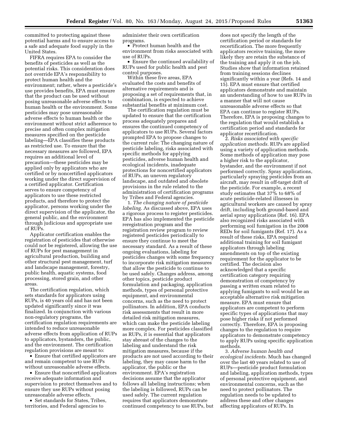committed to protecting against these potential harms and to ensure access to a safe and adequate food supply in the United States.

FIFRA requires EPA to consider the benefits of pesticides as well as the potential risks. This consideration does not override EPA's responsibility to protect human health and the environment; rather, where a pesticide's use provides benefits, EPA must ensure that the product can be used without posing unreasonable adverse effects to human health or the environment. Some pesticides may pose unreasonable adverse effects to human health or the environment without strict adherence to precise and often complex mitigation measures specified on the pesticide labeling—EPA classifies these products as restricted use. To ensure that the necessary measures are followed, EPA requires an additional level of precaution—these pesticides may be applied only by applicators who are certified or by noncertified applicators working under the direct supervision of a certified applicator. Certification serves to ensure competency of applicators to use these restricted products, and therefore to protect the applicator, persons working under the direct supervision of the applicator, the general public, and the environment through judicious and appropriate use of RUPs.

Applicator certification enables the registration of pesticides that otherwise could not be registered, allowing the use of RUPs for pest management in agricultural production, building and other structural pest management, turf and landscape management, forestry, public health, aquatic systems, food processing, stored grain, and other areas.

The certification regulation, which sets standards for applicators using RUPs, is 40 years old and has not been updated significantly since it was finalized. In conjunction with various non-regulatory programs, the certification regulation requirements are intended to reduce unreasonable adverse effects from application of RUPs to applicators, bystanders, the public, and the environment. The certification regulation provisions are meant to:

• Ensure that certified applicators are and remain competent to use RUPs without unreasonable adverse effects.

• Ensure that noncertified applicators receive adequate information and supervision to protect themselves and to ensure they use RUPs without posing unreasonable adverse effects.

• Set standards for States, Tribes, territories, and Federal agencies to

administer their own certification programs.

• Protect human health and the environment from risks associated with use of RUPs.

• Ensure the continued availability of RUPs used for public health and pest control purposes.

Within these five areas, EPA evaluated the costs and benefits of alternative requirements and is proposing a set of requirements that, in combination, is expected to achieve substantial benefits at minimum cost.

The certification regulation must be updated to ensure that the certification process adequately prepares and ensures the continued competency of applicators to use RUPs. Several factors prompted EPA to propose changes to the current rule: The changing nature of pesticide labeling, risks associated with specific methods for applying pesticides, adverse human health and ecological incidents, inadequate protections for noncertified applicators of RUPs, an uneven regulatory landscape, and outdated and obsolete provisions in the rule related to the administration of certification programs by Tribes and Federal agencies.

1. *The changing nature of pesticide labeling.* As discussed above, EPA uses a rigorous process to register pesticides. EPA has also implemented the pesticide reregistration program and the registration review program to review registered pesticides periodically to ensure they continue to meet the necessary standard. As a result of these ongoing evaluations, labeling for pesticides changes with some frequency to incorporate risk mitigation measures that allow the pesticide to continue to be used safely. Changes address, among other topics, pesticide product formulation and packaging, application methods, types of personal protective equipment, and environmental concerns, such as the need to protect pollinators. In addition, EPA conducts risk assessments that result in more detailed risk mitigation measures, which can make the pesticide labeling more complex. For pesticides classified as RUPs, it is essential that applicators stay abreast of the changes to the labeling and understand the risk mitigation measures, because if the products are not used according to their labeling, they may cause harm to the applicator, the public or the environment. EPA's registration decisions assume that the applicator follows all labeling instructions; when the labeling is followed, RUPs can be used safely. The current regulation requires that applicators demonstrate continued competency to use RUPs, but

does not specify the length of the certification period or standards for recertification. The more frequently applicators receive training, the more likely they are retain the substance of the training and apply it on the job. Studies show that information retained from training sessions declines significantly within a year (Refs. 14 and 15). EPA must ensure that certified applicators demonstrate and maintain an understanding of how to use RUPs in a manner that will not cause unreasonable adverse effects so that EPA can continue to register RUPs. Therefore, EPA is proposing changes to the regulation that would establish a certification period and standards for applicator recertification.

2. *Risks associated with specific application methods.* RUPs are applied using a variety of application methods. Some methods of application may pose a higher risk to the applicator, bystander, and the environment if not performed correctly. Spray applications, particularly spraying pesticides from an aircraft, may result in off-target drift of the pesticide. For example, a recent study estimates that 37% to 68% of acute pesticide-related illnesses in agricultural workers are caused by spray drift, including both ground-based and aerial spray applications (Ref. 16). EPA also recognized risks associated with performing soil fumigation in the 2008 REDs for soil fumigants (Ref. 17). As a result of these risks, EPA required additional training for soil fumigant applicators through labeling amendments on top of the existing requirement for the applicator to be certified. The decision also acknowledged that a specific certification category requiring demonstration of competency by passing a written exam related to applying fumigants to soil would be an acceptable alternative risk mitigation measure. EPA must ensure that applicators are competent to perform specific types of applications that may pose higher risks if not performed correctly. Therefore, EPA is proposing changes to the regulation to require applicators to demonstrate competency to apply RUPs using specific application methods.

3. *Adverse human health and ecological incidents.* Much has changed over the last 40 years related to use of RUPs—pesticide product formulation and labeling, application methods, types of personal protective equipment, and environmental concerns, such as the need to protect pollinators. The regulation needs to be updated to address these and other changes affecting applicators of RUPs. In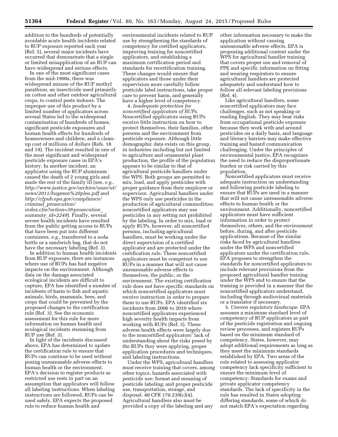addition to the hundreds of potentially avoidable acute health incidents related to RUP exposure reported each year (Ref. 5), several major incidents have occurred that demonstrate that a single or limited misapplication of an RUP can have widespread and serious effects.

In one of the most significant cases from the mid-1990s, there was widespread misuse of the RUP methyl parathion, an insecticide used primarily on cotton and other outdoor agricultural crops, to control pests indoors. The improper use of this product by a limited number of applicators across several States led to the widespread contamination of hundreds of homes, significant pesticide exposures and human health effects for hundreds of homeowners and children, and a cleanup cost of millions of dollars (Refs. 18 and 19). The incident resulted in one of the most significant and widespread pesticide exposure cases in EPA's history. In another incident, an applicator using the RUP aluminum caused the death of 2 young girls and made the rest of the family ill (see, *e.g., [http://www.justice.gov/archive/usao/ut/](http://www.justice.gov/archive/usao/ut/news/2011/bugman%20plea.pdf) [news/2011/bugman%20plea.pdf](http://www.justice.gov/archive/usao/ut/news/2011/bugman%20plea.pdf)* and *[http://cfpub.epa.gov/compliance/](http://cfpub.epa.gov/compliance/criminal_prosecution/index.cfm?action=3&prosecution_summary_id=2249) criminal*\_*[prosecution/](http://cfpub.epa.gov/compliance/criminal_prosecution/index.cfm?action=3&prosecution_summary_id=2249) [index.cfm?action=3&prosecution](http://cfpub.epa.gov/compliance/criminal_prosecution/index.cfm?action=3&prosecution_summary_id=2249)*\_ *[summary](http://cfpub.epa.gov/compliance/criminal_prosecution/index.cfm?action=3&prosecution_summary_id=2249)*\_*id=2249*). Finally, several severe health incidents have resulted from the public getting access to RUPs that have been put into different containers, *e.g.,* transferred to a soda bottle or a sandwich bag, that do not have the necessary labeling (Ref. 3).

In addition to human health incidents from RUP exposure, there are instances where use of RUPs has had negative impacts on the environment. Although data on the damage associated ecological incidents are difficult to capture, EPA has identified a number of incidents of harm to fish and aquatic animals, birds, mammals, bees, and crops that could be prevented by the proposed changes to the certification rule (Ref. 3). See the economic assessment for this rule for more information on human health and ecological incidents stemming from RUP use (Ref. 3).

In light of the incidents discussed above, EPA has determined to update the certification rule to ensure that RUPs can continue to be used without posing unreasonable adverse effects to human health or the environment. EPA's decision to register products as restricted use rests in part on an assumption that applicators will follow all labeling instructions. When labeling instructions are followed, RUPs can be used safely. EPA expects the proposed rule to reduce human health and

environmental incidents related to RUP use by strengthening the standards of competency for certified applicators, improving training for noncertified applicators, and establishing a maximum certification period and standards for recertification training. These changes would ensure that applicators and those under their supervision more carefully follow pesticide label instructions, take proper care to prevent harm, and generally have a higher level of competency.

4. *Inadequate protection for noncertified applicators of RUPs.*  Noncertified applicators using RUPs receive little instruction on how to protect themselves, their families, other persons and the environment from pesticide exposure. Although little demographic data exists on this group, in industries including but not limited to agriculture and ornamental plant production, the profile of the population appears to be similar to that of agricultural pesticide handlers under the WPS. Both groups are permitted to mix, load, and apply pesticides with proper guidance from their employer or supervisor. Agricultural handlers under the WPS only use pesticides in the production of agricultural commodities; noncertified applicators may use pesticides in any setting not prohibited by the labeling. In order to mix, load or apply RUPs, however, all noncertified persons, including agricultural handlers, must be working under the direct supervision of a certified applicator and are protected under the certification rule. These noncertified applicators must be competent to use RUPs in a manner that will not cause unreasonable adverse effects to themselves, the public, or the environment. The existing certification rule does not have specific standards on which noncertified applicators must receive instruction in order to prepare them to use RUPs. EPA identified six incidents from 2006 to 2010 where noncertified applicators experienced high severity health impacts from working with RUPs (Ref. 3). These adverse health effects were largely due to the noncertified applicators' lack of understanding about the risks posed by the RUPs they were applying, proper application procedures and techniques, and labeling instructions.

Under the WPS, agricultural handlers must receive training that covers, among other topics, hazards associated with pesticide use; format and meaning of pesticide labeling; and proper pesticide use, transportation, storage, and disposal. 40 CFR 170.230(c)(4). Agricultural handlers also must be provided a copy of the labeling and any

other information necessary to make the application without causing unreasonable adverse effects. EPA is proposing additional content under the WPS for agricultural handler training that covers proper use and removal of PPE and specific information on fitting and wearing respirators to ensure agricultural handlers are protected adequately and understand how to follow all relevant labeling provisions (Ref. 4).

Like agricultural handlers, some noncertified applicators may face challenges, such as not speaking or reading English. They may bear risks from occupational pesticide exposure because they work with and around pesticides on a daily basis, and language and literacy barriers may make effective training and hazard communication challenging. Under the principles of environmental justice, EPA recognizes the need to reduce the disproportionate burden or risk carried by this population.

Noncertified applicators must receive adequate instruction on understanding and following pesticide labeling to ensure that RUPs are used in a manner that will not cause unreasonable adverse effects to human health or the environment. Additionally, noncertified applicators must have sufficient information in order to protect themselves, others, and the environment before, during, and after pesticide applications. Because of the similar risks faced by agricultural handlers under the WPS and noncertified applicators under the certification rule, EPA proposes to strengthen the standards for noncertified applicators to include relevant provisions from the proposed agricultural handler training under the WPS and to ensure that the training is provided in a manner that the noncertified applicators understand, including through audiovisual materials or a translator if necessary.

5. *Uneven regulatory landscape.* EPA assumes a minimum standard level of competency of RUP applicators as part of the pesticide registration and ongoing review processes, and registers RUPs based on the minimum standard of competency. States, however, may adopt additional requirements as long as they meet the minimum standards established by EPA. Two areas of the rule related to assessing applicator competency lack specificity sufficient to ensure the minimum level of competency: Standards for exams and private applicator competency standards. The lack of specificity in the rule has resulted in States adopting differing standards, some of which do not match EPA's expectation regarding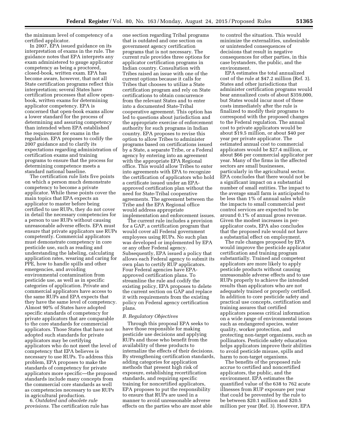the minimum level of competency of a certified applicator.

In 2007, EPA issued guidance on its interpretation of exams in the rule. The guidance notes that EPA interprets any exam administered to gauge applicator competency as being a proctored, closed-book, written exam. EPA has become aware, however, that not all State certification programs reflect this interpretation; several States have certification processes that allow openbook, written exams for determining applicator competency. EPA is concerned that open-book exams allow a lower standard for the process of determining and assuring competency than intended when EPA established the requirement for exams in the regulation. EPA proposes to codify the 2007 guidance and to clarify its expectations regarding administration of certification exams and training programs to ensure that the process for determining competence meets a standard national baseline.

The certification rule lists five points on which a person much demonstrate competency to become a private applicator. While these points cover the main topics that EPA expects an applicator to master before being certified to use RUPs, they do not cover in detail the necessary competencies for a person to use RUPs without causing unreasonable adverse effects. EPA must ensure that private applicators use RUPs competently. Commercial applicators must demonstrate competency in core pesticide use, such as reading and understanding the labeling, calculating application rates, wearing and caring for PPE, how to handle spills and other emergencies, and avoiding environmental contamination from pesticide use, as well as in specific categories of application. Private and commercial applicators have access to the same RUPs and EPA expects that they have the same level of competency. Almost 90% of States have adopted specific standards of competency for private applicators that are comparable to the core standards for commercial applicators. Those States that have not adopted such standards for private applicators may be certifying applicators who do not meet the level of competency that EPA believes is necessary to use RUPs. To address this problem, EPA proposes to make the standards of competency for private applicators more specific—the proposed standards include many concepts from the commercial core standards as well as competencies necessary to use RUPs in agricultural production.

6. *Outdated and obsolete rule provisions.* The certification rule has

one section regarding Tribal programs that is outdated and one section on government agency certification programs that is not necessary. The current rule provides three options for applicator certification programs in Indian country. Consultation with Tribes raised an issue with one of the current options because it calls for Tribes that chooses to utilize a State certification program and rely on State certifications to obtain concurrence from the relevant States and to enter into a documented State-Tribal cooperative agreement. This option has led to questions about jurisdiction and the appropriate exercise of enforcement authority for such programs in Indian country. EPA proposes to revise this option to allow Tribes to administer programs based on certifications issued by a State, a separate Tribe, or a Federal agency by entering into an agreement with the appropriate EPA Regional office. This would allow Tribes to enter into agreements with EPA to recognize the certification of applicators who hold a certificate issued under an EPAapproved certification plan without the need for State-Tribal cooperative agreements. The agreement between the Tribe and the EPA Regional office would address appropriate implementation and enforcement issues.

The current rule includes a provision for a GAP, a certification program that would cover all Federal government employees using RUPs. No such plan was developed or implemented by EPA or any other Federal agency. Subsequently, EPA issued a policy that allows each Federal agency to submit its own plan to certify RUP applicators. Four Federal agencies have EPAapproved certification plans. To streamline the rule and codify the existing policy, EPA proposes to delete the current section on GAP and replace it with requirements from the existing policy on Federal agency certification plans.

#### *B. Regulatory Objectives*

Through this proposal EPA seeks to have those responsible for making pesticide use decisions and applying RUPs and those who benefit from the availability of these products to internalize the effects of their decisions. By strengthening certification standards, adding categories for application methods that present high risk of exposure, establishing recertification standards, and requiring specific training for noncertified applicators, EPA proposes to put the responsibility to ensure that RUPs are used in a manner to avoid unreasonable adverse effects on the parties who are most able

to control the situation. This would minimize the externalities, undesirable or unintended consequences of decisions that result in negative consequences for other parties, in this case bystanders, the public, and the environment.

EPA estimates the total annualized cost of the rule at \$47.2 million (Ref. 3). States and other jurisdictions that administer certification programs would bear annualized costs of about \$359,000, but States would incur most of these costs immediately after the rule is finalized to modify their programs to correspond with the proposed changes to the Federal regulation. The annual cost to private applicators would be about \$19.5 million, or about \$40 per year per private applicator. The estimated annual cost to commercial applicators would be \$27.4 million, or about \$66 per commercial applicator per year. Many of the firms in the affected sectors are small businesses, particularly in the agricultural sector. EPA concludes that there would not be a significant impact on a substantial number of small entities. The impact to the average small farm is anticipated to be less than 1% of annual sales while the impacts to small commercial pest control services are expected to be around 0.1% of annual gross revenue. Given the modest increases in perapplicator costs, EPA also concludes that the proposed rule would not have a substantial effect on employment.

The rule changes proposed by EPA would improve the pesticide applicator certification and training program substantially. Trained and competent applicators are more likely to apply pesticide products without causing unreasonable adverse effects and to use RUPs properly to achieve the intended results than applicators who are not adequately trained or properly certified. In addition to core pesticide safety and practical use concepts, certification and training assures that certified applicators possess critical information on a wide range of environmental issues such as endangered species, water quality, worker protection, and protecting non-target organisms, such as pollinators. Pesticide safety education helps applicators improve their abilities to avoid pesticide misuse, spills and harm to non-target organisms.

The benefits of the proposed rule accrue to certified and noncertified applicators, the public, and the environment. EPA estimates the quantified value of the 638 to 762 acute illnesses from RUP exposure per year that could be prevented by the rule to be between \$20.1 million and \$20.5 million per year (Ref. 3). However, EPA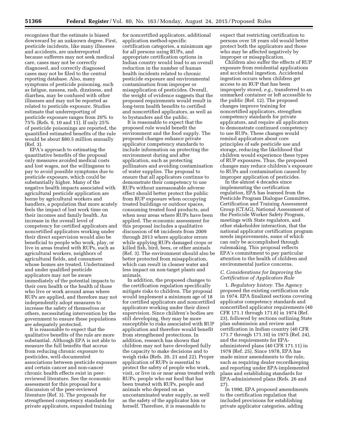recognizes that the estimate is biased downward by an unknown degree. First, pesticide incidents, like many illnesses and accidents, are underreported because sufferers may not seek medical care, cases may not be correctly diagnosed, and correctly diagnosed cases may not be filed to the central reporting database. Also, many symptoms of pesticide poisoning, such as fatigue, nausea, rash, dizziness, and diarrhea, may be confused with other illnesses and may not be reported as related to pesticide exposure. Studies estimate that underreporting of pesticide exposure ranges from 20% to 75% (Refs. 9, 10 and 11). If only 25% of pesticide poisonings are reported, the quantified estimated benefits of the rule would be about \$80.5 million annually (Ref. 3).

EPA's approach to estimating the quantitative benefits of the proposal only measures avoided medical costs and lost wages, not the willingness to pay to avoid possible symptoms due to pesticide exposure, which could be substantially higher. Many of the negative health impacts associated with agricultural pesticide application are borne by agricultural workers and handlers, a population that more acutely feels the impact of lost work time on their incomes and family health. An increase in the overall level of competency for certified applicators and noncertified applicators working under their direct supervision would also be beneficial to people who work, play, or live in areas treated with RUPs, such as agricultural workers, neighbors of agricultural fields, and consumers whose homes are treated. Undertrained and under qualified pesticide applicators may not be aware immediately of the potential impacts to their own health or the health of those who live or work around areas where RUPs are applied, and therefore may not independently adopt measures to increase the safety of themselves or others, necessitating intervention by the government to ensure these populations are adequately protected.

It is reasonable to expect that the qualitative benefits of the rule are more substantial. Although EPA is not able to measure the full benefits that accrue from reducing chronic exposure to pesticides, well-documented associations between pesticide exposure and certain cancer and non-cancer chronic health effects exist in peerreviewed literature. See the economic assessment for this proposal for a discussion of the peer-reviewed literature (Ref. 3). The proposals for strengthened competency standards for private applicators, expanded training

for noncertified applicators, additional application method-specific certification categories, a minimum age for all persons using RUPs, and appropriate certification options in Indian country would lead to an overall reduction in the number of human health incidents related to chronic pesticide exposure and environmental contamination from improper or misapplication of pesticides. Overall, the weight of evidence suggests that the proposed requirements would result in long-term health benefits to certified and noncertified applicators, as well as to bystanders and the public.

It is reasonable to expect that the proposed rule would benefit the environment and the food supply. The proposed changes enhance private applicator competency standards to include information on protecting the environment during and after application, such as protecting pollinators and avoiding contamination of water supplies. The proposal to ensure that all applicators continue to demonstrate their competency to use RUPs without unreasonable adverse effect should better protect the public from RUP exposure when occupying treated buildings or outdoor spaces, consuming treated food products, and when near areas where RUPs have been applied. The economic assessment for this proposal includes a qualitative discussion of 68 incidents from 2009 through 2013 where applicator errors while applying RUPs damaged crops or killed fish, bird, bees, or other animals (Ref. 3). The environment should also be better protected from misapplication, which can result in cleaner water and less impact on non-target plants and animals.

In addition, the proposed changes to the certification regulation specifically mitigate risks to children. The proposal would implement a minimum age of 18 for certified applicators and noncertified applicators working under their direct supervision. Since children's bodies are still developing, they may be more susceptible to risks associated with RUP application and therefore would benefit from strengthened protections. In addition, research has shown that children may not have developed fully the capacity to make decisions and to weigh risks (Refs. 20, 21 and 22). Proper application of RUPs is essential to protect the safety of people who work, visit, or live in or near areas treated with RUPs, people who eat food that has been treated with RUPs, people and animals who depend on an uncontaminated water supply, as well as the safety of the applicator him or herself. Therefore, it is reasonable to

expect that restricting certification to persons over 18 years old would better protect both the applicators and those who may be affected negatively by improper or misapplication.

Children also suffer the effects of RUP exposure from residential applications and accidental ingestion. Accidental ingestion occurs when children get access to an RUP that has been improperly stored, *e.g.,* transferred to an unmarked container or left accessible to the public (Ref. 12). The proposed changes improve training for noncertified applicators, strengthen competency standards for private applicators, and require all applicators to demonstrate continued competency to use RUPs. These changes would remind applicators about core principles of safe pesticide use and storage, reducing the likelihood that children would experience these types of RUP exposures. Thus, the proposed changes may reduce children's exposure to RUPs and contamination caused by improper application of pesticides.

In the almost 4 decades since implementing the certification regulation, EPA has learned from the Pesticide Program Dialogue Committee, Certification and Training Assessment Group (CTAG), National Assessment of the Pesticide Worker Safety Program, meetings with State regulators, and other stakeholder interaction, that the national applicator certification program needs improvements, some of which can only be accomplished through rulemaking. This proposal reflects EPA's commitment to pay particular attention to the health of children and environmental justice concerns.

#### *C. Considerations for Improving the Certification of Applicators Rule*

1. *Regulatory history.* The Agency proposed the existing certification rule in 1974. EPA finalized sections covering applicator competency standards and noncertified applicator requirements (40 CFR 171.1 through 171.6) in 1974 (Ref. 23), followed by sections outlining State plan submission and review and certification in Indian country (40 CFR 171.7 through 171.10) in 1975 (Ref. 24), and the requirements for EPAadministered plans (40 CFR 171.11) in 1978 (Ref. 25). Since 1978, EPA has made minor amendments to the rule, such as requiring dealer recordkeeping and reporting under EPA-implemented plans and establishing standards for EPA-administered plans (Refs. 26 and 27).

In 1990, EPA proposed amendments to the certification regulation that included provisions for establishing private applicator categories, adding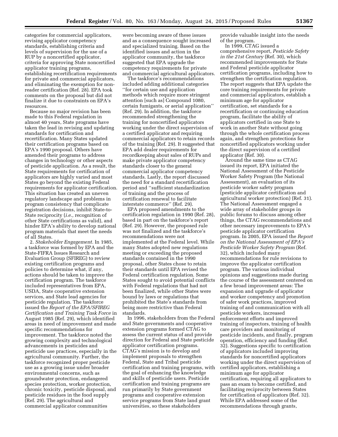categories for commercial applicators, revising applicator competency standards, establishing criteria and levels of supervision for the use of a RUP by a noncertified applicator, criteria for approving State noncertified applicator training programs, establishing recertification requirements for private and commercial applicators, and eliminating the exemption for nonreader certification (Ref. 28). EPA took comments on the proposal but did not finalize it due to constraints on EPA's resources.

Because no major revision has been made to this Federal regulation in almost 40 years, State programs have taken the lead in revising and updating standards for certification and recertification. Many States updated their certification programs based on EPA's 1990 proposal. Others have amended their programs to address changes in technology or other aspects of pesticide application. As a result, the State requirements for certification of applicators are highly varied and most States go beyond the existing Federal requirements for applicator certification. This situation has created an uneven regulatory landscape and problems in program consistency that complicate registration decisions, inhibit State-to-State reciprocity (*i.e.,* recognition of other State certifications as valid), and hinder EPA's ability to develop national program materials that meet the needs of all States.

2. *Stakeholder Engagement.* In 1985, a taskforce was formed by EPA and the State-FIFRA Issues Research and Evaluation Group (SFIREG) to review existing certification programs and policies to determine what, if any, actions should be taken to improve the certification program. The taskforce included representatives from EPA, USDA, State cooperative extension services, and State lead agencies for pesticide regulation. The taskforce issued the *Report of the EPA/SFIREG Certification and Training Task Force* in August 1985 (Ref. 29), which identified areas in need of improvement and made specific recommendations for improvement. The taskforce noted the growing complexity and technological advancements in pesticides and pesticide use practices, especially in the agricultural community. Further, the taskforce recognized proper pesticide use as a growing issue under broader environmental concerns, such as groundwater protection, endangered species protection, worker protection, chronic toxicity, pesticide disposal, and pesticide residues in the food supply (Ref. 29). The agricultural and commercial applicator communities

were becoming aware of these issues and as a consequence sought increased and specialized training. Based on the identified issues and action in the applicator community, the taskforce suggested that EPA upgrade the competency requirements for private and commercial agricultural applicators.

The taskforce's recommendations included adding additional categories ''for certain use and application methods which require more stringent attention [such as] Compound 1080, certain fumigants, or aerial application'' (Ref. 29). In addition, the taskforce recommended strengthening the training for noncertified applicators working under the direct supervision of a certified applicator and requiring commercial applicators to retain records of the training (Ref. 29). It suggested that EPA add dealer requirements for recordkeeping about sales of RUPs and make private applicator competency standards closer to the general commercial applicator competency standards. Lastly, the report discussed the need for a standard recertification period and ''sufficient standardization of training and the process of certification renewal to facilitate interstate commerce'' (Ref. 29).

EPA proposed amendments to the certification regulation in 1990 (Ref. 28), based in part on the taskforce's report (Ref. 29). However, the proposed rule was not finalized and the taskforce's recommendations were not implemented at the Federal level. While many States adopted new regulations meeting or exceeding the proposed standards contained in the 1990 proposal, other States chose to retain their standards until EPA revised the Federal certification regulation. Some States sought to avoid potential conflicts with Federal regulations that had not been finalized, while other States were bound by laws or regulations that prohibited the State's standards from being more restrictive than Federal standards.

In 1996, stakeholders from the Federal and State governments and cooperative extension programs formed CTAG to assess the current status of and provide direction for Federal and State pesticide applicator certification programs. CTAG's mission is to develop and implement proposals to strengthen Federal, State and Tribal pesticide certification and training programs, with the goal of enhancing the knowledge and skills of pesticide users. Pesticide certification and training programs are run primarily by State government programs and cooperative extension service programs from State land grant universities, so these stakeholders

provide valuable insight into the needs of the program.

In 1999, CTAG issued a comprehensive report, *Pesticide Safety in the 21st Century* (Ref. 30), which recommended improvements for State and Federal pesticide applicator certification programs, including how to strengthen the certification regulation. The report suggests that EPA update the core training requirements for private and commercial applicators, establish a minimum age for applicator certification, set standards for a recertification or continuing education program, facilitate the ability of applicators certified in one State to work in another State without going through the whole certification process again, and strengthen protections for noncertified applicators working under the direct supervision of a certified applicator (Ref. 30).

Around the same time as CTAG issued its report, EPA initiated the National Assessment of the Pesticide Worker Safety Program (the National Assessment), an evaluation of its pesticide worker safety program (pesticide applicator certification and agricultural worker protection) (Ref. 31). The National Assessment engaged a wide array of stakeholder groups in public forums to discuss among other things, the CTAG recommendations and other necessary improvements to EPA's pesticide applicator certification program. In 2005, EPA issued the *Report on the National Assessment of EPA's Pesticide Worker Safety Program* (Ref. 32), which included many recommendations for rule revisions to improve the applicator certification program. The various individual opinions and suggestions made during the course of the assessment centered on a few broad improvement areas: The expansion and upgrade of applicator and worker competency and promotion of safer work practices, improved training of and communication with all pesticide workers, increased enforcement efforts and improved training of inspectors, training of health care providers and monitoring of pesticide incidents, and finally, program operation, efficiency and funding (Ref. 32). Suggestions specific to certification of applicators included improving standards for noncertified applicators working under the direct supervision of certified applicators, establishing a minimum age for applicator certification, requiring all applicators to pass an exam to become certified, and facilitating reciprocity between States for certification of applicators (Ref. 32). While EPA addressed some of the recommendations through grants,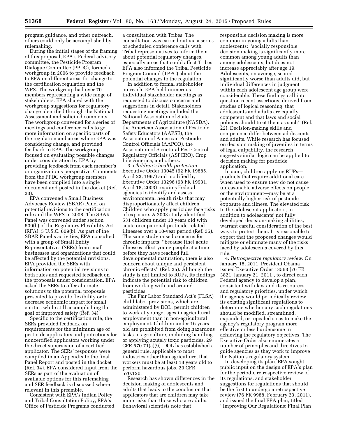program guidance, and other outreach, others could only be accomplished by rulemaking.

During the initial stages of the framing of this proposal, EPA's Federal advisory committee, the Pesticide Program Dialogue Committee (PPDC), formed a workgroup in 2006 to provide feedback to EPA on different areas for change to the certification regulation and the WPS. The workgroup had over 70 members representing a wide range of stakeholders. EPA shared with the workgroup suggestions for regulatory change identified through the National Assessment and solicited comments. The workgroup convened for a series of meetings and conference calls to get more information on specific parts of the regulation and areas where EPA was considering change, and provided feedback to EPA. The workgroup focused on evaluating possible changes under consideration by EPA by providing feedback from each member's or organization's perspective. Comments from the PPDC workgroup members have been compiled into a single document and posted in the docket (Ref. 33).

EPA convened a Small Business Advocacy Review (SBAR) Panel on potential revisions to the certification rule and the WPS in 2008. The SBAR Panel was convened under section 609(b) of the Regulatory Flexibility Act (RFA), 5 U.S.C. 609(b). As part of the SBAR Panel's activities, EPA consulted with a group of Small Entity Representatives (SERs) from small businesses and organizations that could be affected by the potential revisions. EPA provided the SERs with information on potential revisions to both rules and requested feedback on the proposals under consideration. EPA asked the SERs to offer alternate solutions to the potential proposals presented to provide flexibility or to decrease economic impact for small entities while still accomplishing the goal of improved safety (Ref. 34).

Specific to the certification rule, the SERs provided feedback on requirements for the minimum age of pesticide applicators and protections for noncertified applicators working under the direct supervision of a certified applicator. The SERs' responses were compiled in an Appendix to the final Panel Report and posted in the docket (Ref. 34). EPA considered input from the SERs as part of the evaluation of available options for this rulemaking and SER feedback is discussed where relevant in this preamble.

Consistent with EPA's Indian Policy and Tribal Consultation Policy, EPA's Office of Pesticide Programs conducted

a consultation with Tribes. The consultation was carried out via a series of scheduled conference calls with Tribal representatives to inform them about potential regulatory changes, especially areas that could affect Tribes. EPA also informed the Tribal Pesticide Program Council (TPPC) about the potential changes to the regulation.

In addition to formal stakeholder outreach, EPA held numerous individual stakeholder meetings as requested to discuss concerns and suggestions in detail. Stakeholders requesting meetings included the National Association of State Departments of Agriculture (NASDA), the American Association of Pesticide Safety Educators (AAPSE), the Association of American Pesticide Control Officials (AAPCO), the Association of Structural Pest Control Regulatory Officials (ASPCRO), Crop Life America, and others.

3. *Children's health protection.*  Executive Order 13045 (62 FR 19885, April 23, 1997) and modified by Executive Order 13296 (68 FR 19931, April 18, 2003) requires Federal agencies to identify and assess environmental health risks that may disproportionately affect children. Children who apply pesticides face risks of exposure. A 2003 study identified 531 children under 18 years old with acute occupational pesticide-related illnesses over a 10-year period (Ref. 35). The same study raised concerns for chronic impacts: ''because [the] acute illnesses affect young people at a time before they have reached full developmental maturation, there is also concern about unique and persistent chronic effects'' (Ref. 35). Although the study is not limited to RUPs, its findings indicate the potential risk to children from working with and around pesticides.

The Fair Labor Standard Act's (FLSA) child labor provisions, which are administered by DOL, permit children to work at younger ages in agricultural employment than in non-agricultural employment. Children under 16 years old are prohibited from doing hazardous tasks in agriculture, including handling or applying acutely toxic pesticides. 29 CFR 570.71(a)(9). DOL has established a general rule, applicable to most industries other than agriculture, that workers must be at least 18 years old to perform hazardous jobs. 29 CFR 570.120.

Research has shown differences in the decision making of adolescents and adults that leads to the conclusion that applicators that are children may take more risks than those who are adults. Behavioral scientists note that

responsible decision making is more common in young adults than adolescents: ''socially responsible decision making is significantly more common among young adults than among adolescents, but does not increase appreciably after age 19. Adolescents, on average, scored significantly worse than adults did, but individual differences in judgment within each adolescent age group were considerable. These findings call into question recent assertions, derived from studies of logical reasoning, that adolescents and adults are equally competent and that laws and social policies should treat them as such'' (Ref. 22). Decision-making skills and competence differ between adolescents and adults. While research has focused on decision making of juveniles in terms of legal culpability, the research suggests similar logic can be applied to decision making for pesticide application.

In sum, children applying RUPs products that require additional care when used to ensure they do not cause unreasonable adverse effects on people or the environment—may be at a potentially higher risk of pesticide exposure and illness. The elevated risk to the adolescent applicators, in addition to adolescents' not fully developed decision-making abilities, warrant careful consideration of the best ways to protect them. It is reasonable to expect that the proposed changes would mitigate or eliminate many of the risks faced by adolescents covered by this rule.

4. *Retrospective regulatory review.* On January 18, 2011, President Obama issued Executive Order 13563 (76 FR 3821, January 21, 2011), to direct each Federal agency to develop a plan, consistent with law and its resources and regulatory priorities, under which the agency would periodically review its existing significant regulations to determine whether any such regulations should be modified, streamlined, expanded, or repealed so as to make the agency's regulatory program more effective or less burdensome in achieving the regulatory objectives. The Executive Order also enumerates a number of principles and directives to guide agencies as they work to improve the Nation's regulatory system.

In developing its plan, EPA sought public input on the design of EPA's plan for the periodic retrospective review of its regulations, and stakeholder suggestions for regulations that should be the first to undergo a retrospective review (76 FR 9988, February 23, 2011), and issued the final EPA plan, titled ''Improving Our Regulations: Final Plan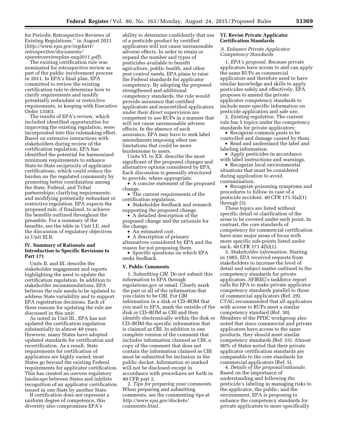for Periodic Retrospective Reviews of Existing Regulations,'' in August 2011 (*[http://www.epa.gov/regdarrt/](http://www.epa.gov/regdarrt/retrospective/documents/eparetroreviewplan-aug2011.pdf) [retrospective/documents/](http://www.epa.gov/regdarrt/retrospective/documents/eparetroreviewplan-aug2011.pdf) [eparetroreviewplan-aug2011.pdf](http://www.epa.gov/regdarrt/retrospective/documents/eparetroreviewplan-aug2011.pdf)*).

The existing certification rule was nominated for retrospective review as part of the public involvement process in 2011. In EPA's final plan, EPA committed to review the existing certification rule to determine how to clarify requirements and modify potentially redundant or restrictive requirements, in keeping with Executive Order 13563.

The results of EPA's review, which included identified opportunities for improving the existing regulation, were incorporated into this rulemaking effort. Based on extensive interactions with stakeholders during review of the certification regulation, EPA has identified the potential for harmonized minimum requirements to enhance State-to-State reciprocity of applicator certifications, which could reduce the burden on the regulated community by promoting better coordination among the State, Federal, and Tribal partnerships; clarifying requirements; and modifying potentially redundant or restrictive regulation. EPA expects the proposed rule, if finalized, to achieve the benefits outlined throughout the preamble. For a summary of the benefits, see the table in Unit I.E. and the discussion of regulatory objectives in Unit III.B.

#### **IV. Summary of Rationale and Introduction to Specific Revisions to Part 171**

Units II. and III. describe the stakeholder engagement and reports highlighting the need to update the certification regulation. In addition to stakeholder recommendations, EPA believes the rule needs to be updated to address State variability and to support EPA registration decisions. Each of these reasons for updating the rule are discussed in this unit.

As noted in Unit III., EPA has not updated the certification regulation substantially in almost 40 years. However, many States have adopted updated standards for certification and recertification. As a result, State requirements for certification of applicators are highly varied; most States go beyond the existing Federal requirements for applicator certification. This has created an uneven regulatory landscape between States and inhibits recognition of an applicator certification issued in one State by another State.

If certification does not represent a uniform degree of competence, this diversity also compromises EPA's

ability to determine confidently that use of a pesticide product by certified applicators will not cause unreasonable adverse effects. In order to retain or expand the number and types of pesticides available to benefit agriculture, public health, and other pest control needs, EPA plans to raise the Federal standards for applicator competency. By adopting the proposed strengthened and additional competency standards, the rule would provide assurance that certified applicators and noncertified applicators under their direct supervision are competent to use RUPs in a manner that will not cause unreasonable adverse effects. In the absence of such assurance, EPA may have to seek label amendments imposing other use limitations that could be more burdensome to users.

Units VI. to XX. describe the most significant of the proposed changes and alternative options considered by EPA. Each discussion is generally structured to provide, where appropriate:

• A concise statement of the proposed change. • The current requirements of the

certification regulation.

• Stakeholder feedback and research supporting the proposed change.

• A detailed description of the proposed change and the rationale for the change.

• An estimated cost.

• A description of primary alternatives considered by EPA and the reason for not proposing them.

• Specific questions on which EPA seeks feedback.

#### **V. Public Comments**

1. *Submitting CBI.* Do not submit this information to EPA through regulations.gov or email. Clearly mark the part or all of the information that you claim to be CBI. For CBI information in a disk or CD–ROM that you mail to EPA, mark the outside of the disk or CD–ROM as CBI and then identify electronically within the disk or CD–ROM the specific information that is claimed as CBI. In addition to one complete version of the comment that includes information claimed as CBI, a copy of the comment that does not contain the information claimed as CBI must be submitted for inclusion in the public docket. Information so marked will not be disclosed except in accordance with procedures set forth in 40 CFR part 2.

2. *Tips for preparing your comments.*  When preparing and submitting comments, see the commenting tips at *[http://www.epa.gov/dockets/](http://www.epa.gov/dockets/comments.html) [comments.html.](http://www.epa.gov/dockets/comments.html)* 

#### **VI. Revise Private Applicator Certification Standards**

#### *A. Enhance Private Applicator Competency Standards*

1. *EPA's proposal.* Because private applicators have access to and can apply the same RUPs as commercial applicators and therefore need to have similar knowledge and skills to apply pesticides safely and effectively, EPA proposes to amend the private applicator competency standards to include more specific information on pesticide application and safe use.

2. *Existing regulation.* The current rule has 5 topics under the competency standards for private applicators:

• Recognize common pests to be controlled and damage caused by them.

• Read and understand the label and labeling information.

• Apply pesticides in accordance with label instructions and warnings.

• Recognize local environmental situations that must be considered during application to avoid contamination.

• Recognize poisoning symptoms and procedures to follow in case of a pesticide accident. 40 CFR 171.5(a)(1) through (5).

These topics are listed without specific detail or clarification of the areas to be covered under each point. In contrast, the core standards of competency for commercial certification have nine major areas of focus with more specific sub-points listed under each. 40 CFR 171.4(b)(1).

3. *Stakeholder information.* Starting in 1985, EPA received requests from stakeholders to increase the level of detail and subject matter outlined in the competency standards for private applicators. SFIREG's taskforce report calls for EPA to make private applicator competency standards parallel to those of commercial applicators (Ref. 29). CTAG recommended that all applicators with access to RUPs meet a similar competency standard (Ref. 30). Members of the PPDC workgroup also noted that since commercial and private applicators have access to the same products, they should meet similar competency standards (Ref. 33). Almost 90% of States noted that their private applicator certification standards are comparable to the core standards for commercial applicators (Ref. 5).

4. *Details of the proposal/rationale.*  Based on the importance of understanding and following the pesticide's labeling in managing risks to the applicator, the public, and the environment, EPA is proposing to enhance the competency standards for private applicators to more specifically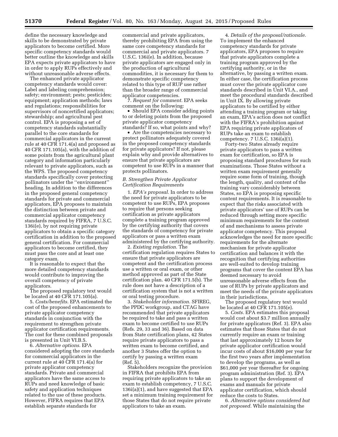define the necessary knowledge and skills to be demonstrated by private applicators to become certified. More specific competency standards would better outline the knowledge and skills EPA expects private applicators to have in order to apply RUPs effectively and without unreasonable adverse effects.

The enhanced private applicator competency standards would cover: Label and labeling comprehension; safety; environment; pests; pesticides; equipment; application methods; laws and regulations; responsibilities for supervisors of noncertified applicators; stewardship; and agricultural pest control. EPA is proposing a set of competency standards substantially parallel to the core standards for commercial applicators in the current rule at 40 CFR 171.4(a) and proposed as 40 CFR 171.105(a), with the addition of some points from the agricultural plant category and information particularly relevant to private applicators, such as the WPS. The proposed competency standards specifically cover protecting pollinators under the ''environment'' heading. In addition to the differences in the proposed general competency standards for private and commercial applicators, EPA proposes to maintain the distinction between private and commercial applicator competency standards required by FIFRA, 7 U.S.C. 136i(e), by not requiring private applicators to obtain a specific category certification in addition to the proposed general certification. For commercial applicators to become certified, they must pass the core and at least one category exam.

It is reasonable to expect that the more detailed competency standards would contribute to improving the overall competency of private applicators.

The proposed regulatory text would be located at 40 CFR 171.105(a).

5. *Costs/benefits.* EPA estimated the cost of the proposed enhancements to private applicator competency standards in conjunction with the requirement to strengthen private applicator certification requirements. The cost for these combined proposals is presented in Unit VI.B.5.

6. *Alternative options.* EPA considered adopting the core standards for commercial applicators in the current rule at 40 CFR 171.4(a) for private applicator competency standards. Private and commercial applicators have the same access to RUPs and need knowledge of basic safety and application techniques related to the use of these products. However, FIFRA requires that EPA establish separate standards for

commercial and private applicators, thereby prohibiting EPA from using the same core competency standards for commercial and private applicators. 7 U.S.C. 136i(e). In addition, because private applicators are engaged only in the production of agricultural commodities, it is necessary for them to demonstrate specific competency related to this type of RUP use rather than the broader range of commercial applicator competencies.

7. *Request for comment.* EPA seeks comment on the following:

• Should EPA consider adding points to or deleting points from the proposed private applicator competency standards? If so, what points and why?

• Are the competencies necessary to protect pollinators adequately covered in the proposed competency standards for private applicators? If not, please explain why and provide alternatives to ensure that private applicators are competent to use RUPs in a manner that protects pollinators.

#### *B. Strengthen Private Applicator Certification Requirements*

1. *EPA's proposal.* In order to address the need for private applicators to be competent to use RUPs, EPA proposes to require that persons seeking certification as private applicators complete a training program approved by the certifying authority that covers the standards of competency for private applicators or pass a written exam administered by the certifying authority.

2. *Existing regulation.* The certification regulation requires States to ensure that private applicators are competent and the certification process use a written or oral exam, or other method approved as part of the State certification plan. 40 CFR 171.5(b). The rule does not have a description of a certification system that is not a written or oral testing procedure.

3. *Stakeholder information.* SFIREG, the PPDC workgroup, and CTAG have recommended that private applicators be required to take and pass a written exam to become certified to use RUPs (Refs. 29, 33 and 36). Based on data from State certification plans, 42 States require private applicators to pass a written exam to become certified, and another 3 States offer the option to certify by passing a written exam (Ref. 5).

Stakeholders recognize the provision in FIFRA that prohibits EPA from requiring private applicators to take an exam to establish competency, 7 U.S.C. 136i(a)(1), and have suggested that EPA set a minimum training requirement for those States that do not require private applicators to take an exam.

4. *Details of the proposal/rationale.*  To implement the enhanced competency standards for private applicators, EPA proposes to require that private applicators complete a training program approved by the certifying authority, or in the alternative, by passing a written exam. In either case, the certification process must cover the private applicator core standards described in Unit VI.A., and meet the procedural standards described in Unit IX. By allowing private applicators to be certified by either attending a training program or taking an exam, EPA's action does not conflict with the FIFRA's prohibition against EPA requiring private applicators of RUPs take an exam to establish competency. 7 U.S.C. 136i(a)(1).

Forty-two States already require private applicators to pass a written exam for certification, so EPA is proposing standard procedures for such examinations. Those States without a written exam requirement generally require some form of training, though the length, quality, and content of the training vary considerably between States, so EPA is proposing specific content requirements. It is reasonable to expect that the risks associated with private applicators' use of RUPs can be reduced through setting more specific minimum requirements for the content of and mechanisms to assess private applicator competency. This proposal acknowledges the need for more specific requirements for the alternate mechanism for private applicator certification and balances it with the recognition that certifying authorities are well-suited to develop training programs that cover the content EPA has deemed necessary to avoid unreasonable adverse effects from the use of RUPs by private applicators and meet the needs of the private applicators in their jurisdictions.

The proposed regulatory text would be located at 40 CFR 171.105(e).

5. *Costs.* EPA estimates this proposal would cost about \$3.7 million annually for private applicators (Ref. 3). EPA also estimates that those States that do not currently require an exam or training that last approximately 12 hours for private applicator certification would incur costs of about \$16,000 per year for the first two years after implementation to develop the programs, as well as \$61,000 per year thereafter for ongoing program administration (Ref. 3). EPA plans to support the development of exams and manuals for private applicator certification, which should reduce the costs to States.

6. *Alternative options considered but not proposed.* While maintaining the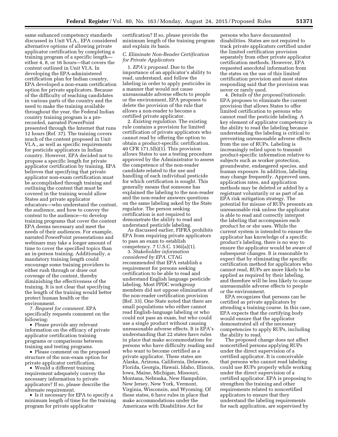same enhanced competency standards discussed in Unit VI.A., EPA considered alternative options of allowing private applicator certification by completing a training program of a specific length either 4, 8, or 16 hours—that covers the content outlined in Unit VI.A. In developing the EPA-administered certification plan for Indian country, EPA developed a non-exam certification option for private applicators. Because of the difficulty of reaching candidates in various parts of the country and the need to make the training available throughout the year, the Federal Indian country training program is a prerecorded, narrated PowerPoint presented through the Internet that runs 12 hours (Ref. 37). The training covers much of the content proposed in Unit VI.A., as well as specific requirements for pesticide applicators in Indian country. However, EPA decided not to propose a specific length for private applicator certification by training. EPA believes that specifying that private applicator non-exam certification must be accomplished through training and outlining the content that must be covered in the training would allow States and private applicator educators—who understand the content, the audience, and how to convey the content to the audience—to develop training programs that cover the content EPA deems necessary and meet the needs of their audiences. For example, narrated PowerPoint presentations and webinars may take a longer amount of time to cover the specified topics than an in-person training. Additionally, a mandatory training length could encourage some training providers to either rush through or draw out coverage of the content, thereby diminishing the effectiveness of the training. It is not clear that specifying the length of the training would better protect human health or the environment.

7. *Request for comment.* EPA specifically requests comment on the following:

• Please provide any relevant information on the efficacy of private applicator certification training programs or comparisons between training and testing programs.

• Please comment on the proposed structure of the non-exam option for private applicator certification.

• Would a different training requirement adequately convey the necessary information to private applicators? If so, please describe the alternate requirement.

• Is it necessary for EPA to specify a minimum length of time for the training program for private applicator

certification? If so, please provide the minimum length of the training program and explain its basis.

#### *C. Eliminate Non-Reader Certification for Private Applicators*

1. *EPA's proposal.* Due to the importance of an applicator's ability to read, understand, and follow the labeling in order to apply pesticides in a manner that would not cause unreasonable adverse effects to people or the environment, EPA proposes to delete the provision of the rule that allows a non-reader to become a certified private applicator.

2. *Existing regulation.* The existing rule contains a provision for limited certification of private applicators who cannot read by offering the option to obtain a product-specific certification. 40 CFR 171.5(b)(1). This provision allows States to use a testing procedure approved by the Administrator to assess the competence of the non-reader candidate related to the use and handling of each individual pesticide for which certification is sought. This generally means that someone has explained the labeling to the non-reader and the non-reader answers questions on the same labeling asked by the State regulator. The person seeking certification is not required to demonstrate the ability to read and understand pesticide labeling.

As discussed earlier, FIFRA prohibits EPA from requiring private applicators to pass an exam to establish competency. 7 U.S.C. 136i(a)(1).

3. *Stakeholder information considered by EPA.* CTAG recommended that EPA establish a requirement for persons seeking certification to be able to read and understand English language pesticide labeling. Most PPDC workgroup members did not oppose elimination of the non-reader certification provision (Ref. 33). One State noted that there are small populations who either cannot read English-language labeling or who could not pass an exam, but who could use a single product without causing unreasonable adverse effects. It is EPA's understanding that 22 states have rules in place that make accommodations for persons who have difficulty reading and who want to become certified as a private applicator. These states are Alaska, Arizona, California, Delaware, Florida, Georgia, Hawaii, Idaho, Illinois, Iowa, Maine, Michigan, Missouri, Montana, Nebraska, New Hampshire, New Jersey, New York, Vermont, Virginia, Wisconsin, and Wyoming. Of these states, 6 have rules in place that make accommodations under the Americans with Disabilities Act for

persons who have documented disabilities. States are not required to track private applicators certified under the limited certification provision separately from other private applicator certification methods. However, EPA requested anecdotal information from the states on the use of this limited certification provision and most states responding said that the provision was never or rarely used.

4. *Details of the proposal/rationale.*  EPA proposes to eliminate the current provision that allows States to offer limited certification to persons who cannot read the pesticide labeling. A key element of applicator competency is the ability to read the labeling because understanding the labeling is critical to preventing unreasonable adverse effects from the use of RUPs. Labeling is increasingly relied upon to transmit product-specific information relative to subjects such as worker protection, groundwater, endangered species, and human exposure. In addition, labeling may change frequently. Approved uses, application rates, and application methods may be deleted or added by a registrant voluntarily or as part of an EPA risk mitigation strategy. The potential for misuse of RUPs presents an unreasonable risk unless the applicator is able to read and correctly interpret the labeling that accompanies each product he or she uses. While the current system is intended to ensure the applicator has knowledge of a specific product's labeling, there is no way to ensure the applicator would be aware of subsequent changes. It is reasonable to expect that by eliminating the specific certification method for applicators who cannot read, RUPs are more likely to be applied as required by their labeling, and therefore will be less likely to cause unreasonable adverse effects to people or the environment.

EPA recognizes that persons can be certified as private applicators by attending a training course. In this case, EPA expects that the certifying body would ensure that the applicator demonstrated all of the necessary competencies to apply RUPs, including the ability to read.

The proposed change does not affect noncertified persons applying RUPs under the direct supervision of a certified applicator. It is conceivable that persons who cannot read labeling could use RUPs properly while working under the direct supervision of a certified applicator. EPA is proposing to strengthen the training and other requirements related to noncertified applicators to ensure that they understand the labeling requirements for each application, are supervised by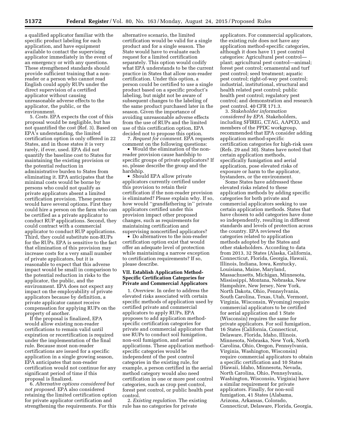a qualified applicator familiar with the specific product labeling for each application, and have equipment available to contact the supervising applicator immediately in the event of an emergency or with any questions. These strengthened standards should provide sufficient training that a nonreader or a person who cannot read English could apply RUPs under the direct supervision of a certified applicator without causing unreasonable adverse effects to the applicator, the public, or the environment.

5. *Costs.* EPA expects the cost of this proposal would be negligible, but has not quantified the cost (Ref. 3). Based on EPA's understanding, the limited certification option is only offered in 22 States, and in those states it is very rarely, if ever, used. EPA did not quantify the baseline cost to States for maintaining the existing provision or the potential reduction in administrative burden to States from eliminating it. EPA anticipates that the minimal costs would be borne by persons who could not qualify as private applicators absent a limited certification provision. These persons would have several options. First they could hire a person on the farm who can be certified as a private applicator to conduct RUP applications. Second, they could contract with a commercial applicator to conduct RUP applications. Third, they could substitute non-RUPs for the RUPs. EPA is sensitive to the fact that elimination of this provision may increase costs for a very small number of private applicators, but it is reasonable to expect that this adverse impact would be small in comparison to the potential reduction in risks to the applicator, the public, and the environment. EPA does not expect any impact on the employability of private applicators because by definition, a private applicator cannot receive compensation for applying RUPs on the property of another.

If the proposal is finalized, EPA would allow existing non-reader certifications to remain valid until expiration or recertification is required under the implementation of the final rule. Because most non-reader certifications are issued for a specific application in a single growing season, EPA anticipates that non-reader certification would not continue for any significant period of time if this proposal is finalized.

6. *Alternative options considered but not proposed.* EPA also considered retaining the limited certification option for private applicator certification and strengthening the requirements. For this

alternative scenario, the limited certification would be valid for a single product and for a single season. The State would have to evaluate each request for a limited certification separately. This option would codify what EPA understands to be the current practice in States that allow non-reader certification. Under this option, a person could be certified to use a single product based on a specific product's labeling, but might not be aware of subsequent changes to the labeling of the same product purchased later in the season. Given the importance of avoiding unreasonable adverse effects from the use of RUPs and the limited use of this certification option, EPA decided not to propose this option.

7. *Request for comment.* EPA requests comment on the following questions:

• Would the elimination of the nonreader provision cause hardship to specific groups of private applicators? If so, please describe the group and the hardship.

• Should EPA allow private applicators currently certified under this provision to retain their certification if the non-reader provision is eliminated? Please explain why. If so, how would ''grandfathering in'' private applicators certified under this provision impact other proposed changes, such as requirements for maintaining certification and supervising noncertified applicators?

• Do alternatives to the non-reader certification option exist that would offer an adequate level of protection while maintaining a narrow exception to certification requirements? If so, please describe.

#### **VII. Establish Application Method-Specific Certification Categories for Private and Commercial Applicators**

1. *Overview.* In order to address the elevated risks associated with certain specific methods of application used by certified private and commercial applicators to apply RUPs, EPA proposes to add application methodspecific certification categories for private and commercial applicators that use RUPs to conduct soil fumigation, non-soil fumigation, and aerial applications. These application methodspecific categories would be independent of the pest control categories in the existing rule, for example, a person certified in the aerial method category would also need certification in one or more pest control categories, such as crop pest control, forest pest control, or public health pest control.

2. *Existing regulation.* The existing rule has no categories for private

applicators. For commercial applicators, the existing rule does not have any application method-specific categories, although it does have 11 pest control categories: Agricultural pest control plant; agricultural pest control—animal; forest pest control; ornamental and turf pest control; seed treatment; aquatic pest control; right-of-way pest control; industrial, institutional, structural and health related pest control; public health pest control; regulatory pest control; and demonstration and research pest control. 40 CFR 171.3.

3. *Stakeholder information considered by EPA.* Stakeholders, including SFIREG, CTAG, AAPCO, and members of the PPDC workgroup, recommended that EPA consider adding application method-specific certification categories for high-risk uses (Refs. 29 and 30). States have noted that certain application methods, specifically fumigation and aerial application, pose elevated risks of exposure or harm to the applicator, bystanders, or the environment.

Some States have addressed these elevated risks related to these application methods by adding specific categories for both private and commercial applicators seeking to use certain application methods. States that have chosen to add categories have done so independently, resulting in different standards and levels of protection across the country. EPA reviewed the categories related to application methods adopted by the States and other stakeholders. According to data from 2013, 32 States (Alaska, California, Connecticut, Florida, Georgia, Hawaii, Illinois, Indiana, Iowa, Kentucky, Louisiana, Maine, Maryland, Massachusetts, Michigan, Minnesota, Mississippi, Montana, Nebraska, New Hampshire, New Jersey, New York, North Dakota, Ohio, Pennsylvania, South Carolina, Texas, Utah, Vermont, Virginia, Wisconsin, Wyoming) require commercial applicators to be certified for aerial application and 1 State (Wisconsin) requires the same for private applicators. For soil fumigation, 16 States (California, Connecticut, Delaware, Florida, Idaho, Illinois, Minnesota, Nebraska, New York, North Carolina, Ohio, Oregon, Pennsylvania, Virginia, Washington, Wisconsin) require commercial applicators to obtain a specific certification and 10 States (Hawaii, Idaho, Minnesota, Nevada, North Carolina, Ohio, Pennsylvania, Washington, Wisconsin, Virginia) have a similar requirement for private applicators. Finally, for non-soil fumigation, 41 States (Alabama, Arizona, Arkansas, Colorado, Connecticut, Delaware, Florida, Georgia,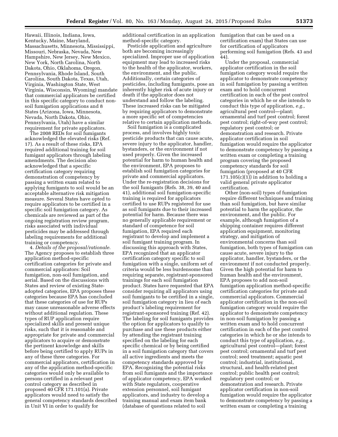Hawaii, Illinois, Indiana, Iowa, Kentucky, Maine, Maryland, Massachusetts, Minnesota, Mississippi, Missouri, Nebraska, Nevada, New Hampshire, New Jersey, New Mexico, New York, North Carolina, North Dakota, Ohio, Oklahoma, Oregon, Pennsylvania, Rhode Island, South Carolina, South Dakota, Texas, Utah, Virginia, Washington State, West Virginia, Wisconsin, Wyoming) mandate that commercial applicators be certified in this specific category to conduct nonsoil fumigation applications and 8 States (Arizona, Iowa, Minnesota, Nevada, North Dakota, Ohio, Pennsylvania, Utah) have a similar requirement for private applicators.

The 2008 REDs for soil fumigants acknowledged the elevated risks (Ref. 17). As a result of these risks, EPA required additional training for soil fumigant applicators through labeling amendments. The decision also acknowledged that a specific certification category requiring demonstration of competency by passing a written exam related to applying fumigants to soil would be an acceptable alternative risk mitigation measure. Several States have opted to require applicators to be certified in a specific soil fumigation category. As chemicals are reviewed as part of the ongoing registration review program, risks associated with individual pesticides may be addressed through labeling requirements for additional training or competency.

4. *Details of the proposal/rationale.*  The Agency proposes to establish three application method-specific certification categories for private and commercial applicators: Soil fumigation, non-soil fumigation, and aerial. Based on the discussions with States and review of existing Stateadopted categories, EPA proposes these categories because EPA has concluded that these categories of use for RUPs may cause unreasonable adverse effects without additional regulation. These types of RUP application require specialized skills and present unique risks, such that it is reasonable and appropriate for private and commercial applicators to acquire or demonstrate the pertinent knowledge and skills before being certified to apply RUPs in any of these three categories. For commercial applicators, certification in any of the application method-specific categories would only be available to persons certified in a relevant pest control category as described in proposed 40 CFR 171.101(a). Private applicators would need to satisfy the general competency standards described in Unit VI in order to qualify for

additional certification in an application method-specific category.

Pesticide application and agriculture both are becoming increasingly specialized. Improper use of application equipment may lead to increased risks to the health of the applicator, workers, the environment, and the public. Additionally, certain categories of pesticides, including fumigants, pose an inherently higher risk of acute injury or death if the applicator does not understand and follow the labeling. These increased risks can be mitigated by requiring applicators to demonstrate a more specific set of competencies relative to certain application methods.

Soil fumigation is a complicated process, and involves highly toxic pesticide products that can cause acute, severe injury to the applicator, handler, bystanders, or the environment if not used properly. Given the increased potential for harm to human health and the environment, EPA proposes to establish soil fumigation categories for private and commercial applicators. Under the re-registration decisions for the soil fumigants (Refs. 38, 39, 40 and 41), additional soil fumigation-specific training is required for applicators certified to use RUPs registered for use as soil fumigants due to their increased potential for harm. Because there was no generally applicable requirement or standard of competence for soil fumigation, EPA required each registrant to develop and implement a soil fumigant training program. In discussing this approach with States, EPA recognized that an applicator certification category specific to soil fumigation with a single, uniform set of criteria would be less burdensome than requiring separate, registrant-sponsored trainings for each soil fumigation product. States have requested that EPA consider requiring all applicators using soil fumigants to be certified in a single, soil fumigation category in lieu of each product's labeling requirement for registrant-sponsored training (Ref. 42). The labeling for soil fumigants provides the option for applicators to qualify to purchase and use these products either by attending the registrant training specified on the labeling for each specific chemical or by being certified in a soil fumigation category that covers all active ingredients and meets the competency standards approved by EPA. Recognizing the potential risks from soil fumigants and the importance of applicator competency, EPA worked with State regulators, cooperative extension personnel, soil fumigant applicators, and industry to develop a training manual and exam item bank (database of questions related to soil

fumigation that can be used on a certification exam) that States can use for certification of applicators performing soil fumigation (Refs. 43 and 44).

Under the proposal, commercial applicator certification in the soil fumigation category would require the applicator to demonstrate competency in soil fumigation by passing a written exam and to hold concurrent certification in each of the pest control categories in which he or she intends to conduct this type of application, *e.g.,*  agricultural pest control—plant; ornamental and turf pest control; forest pest control; right-of-way pest control; regulatory pest control; or demonstration and research. Private applicator certification in soil fumigation would require the applicator to demonstrate competency by passing a written exam or completing a training program covering the proposed competency standards for soil fumigation (proposed at 40 CFR  $171.105(c)(1)$  in addition to holding a valid general private applicator certification.

Other (non-soil) types of fumigation require different techniques and training than soil fumigation, but have similar potential to harm the applicator, the environment, and the public. For example, although fumigation of a shipping container requires different application equipment, monitoring strategy, and mitigation of environmental concerns than soil fumigation, both types of fumigation can cause acute, severe injury to the applicator, handler, bystanders, or the environment if not conducted properly. Given the high potential for harm to human health and the environment, EPA proposes to add non-soil fumigation application method-specific certification categories for private and commercial applicators. Commercial applicator certification in the non-soil fumigation category would require the applicator to demonstrate competency in non-soil fumigation by passing a written exam and to hold concurrent certification in each of the pest control categories in which he or she intends to conduct this type of application, *e.g.,*  agricultural pest control—plant; forest pest control; ornamental and turf pest control; seed treatment; aquatic pest control; industrial, institutional, structural, and health-related pest control; public health pest control; regulatory pest control; or demonstration and research. Private applicator certification in non-soil fumigation would require the applicator to demonstrate competency by passing a written exam or completing a training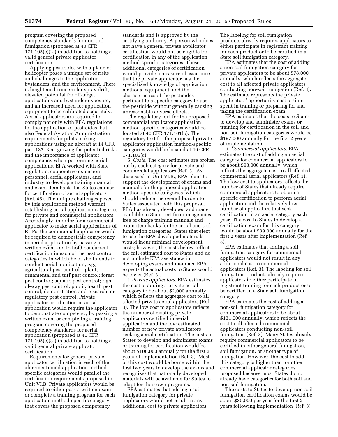program covering the proposed competency standards for non-soil fumigation (proposed at 40 CFR  $171.105(c)(2)$  in addition to holding a valid general private applicator certification.

Applying pesticides with a plane or helicopter poses a unique set of risks and challenges to the applicator, bystanders, and the environment. There is heightened concern for spray drift, elevated potential for off-target applications and bystander exposure, and an increased need for application equipment to be calibrated accurately. Aerial applicators are required to comply not only with EPA regulations for the application of pesticides, but also Federal Aviation Administration requirements for pilots making applications using an aircraft at 14 CFR part 137. Recognizing the potential risks and the importance of applicator competency when performing aerial applications, EPA worked with State regulators, cooperative extension personnel, aerial applicators, and industry to develop a training manual and exam item bank that States can use for certification of aerial applicators (Ref. 45). The unique challenges posed by this application method warrant establishing aerial application categories for private and commercial applicators. Accordingly, in order for a commercial applicator to make aerial applications of RUPs, the commercial applicator would be required to demonstrate competency in aerial application by passing a written exam and to hold concurrent certification in each of the pest control categories in which he or she intends to conduct aerial application, *e.g.,*  agricultural pest control—plant; ornamental and turf pest control; forest pest control; aquatic pest control; rightof-way pest control; public health pest control; demonstration and research; or regulatory pest control. Private applicator certification in aerial application would require the applicator to demonstrate competency by passing a written exam or completing a training program covering the proposed competency standards for aerial application (proposed at 40 CFR  $171.105(c)(3)$  in addition to holding a valid general private applicator certification.

Requirements for general private applicator certification in each of the aforementioned application methodspecific categories would parallel the certification requirements proposed in Unit VI.B. Private applicators would be required to either pass a written exam or complete a training program for each application method-specific category that covers the proposed competency

standards and is approved by the certifying authority. A person who does not have a general private applicator certification would not be eligible for certification in any of the application method-specific categories. These additional categories of certification would provide a measure of assurance that the private applicator has the specialized knowledge of application methods, equipment, and the characteristics of the pesticides pertinent to a specific category to use the pesticide without generally causing unreasonable adverse effects.

The regulatory text for the proposed commercial applicator application method-specific categories would be located at 40 CFR 171.101(b). The regulatory text for the proposed private applicator application method-specific categories would be located at 40 CFR 171.105(c).

5. *Costs.* The cost estimates are broken out by each category for private and commercial applicators (Ref. 3). As discussed in Unit VI.B., EPA plans to support the development of exams and manuals for the proposed applicationmethod specific categories, which should reduce the overall burden to States associated with this proposal. EPA has already developed and made available to State certification agencies free of charge training manuals and exam item banks for the aerial and soil fumigation categories. States that elect to use the EPA-developed materials would incur minimal development costs; however, the costs below reflect the full estimated cost to States and do not include EPA assistance in developing exams and manuals. EPA expects the actual costs to States would be lower (Ref. 3).

i. *Private applicators.* EPA estimates the cost of adding a private aerial category to be about \$2,000 annually, which reflects the aggregate cost to all affected private aerial applicators (Ref. 3). The low cost to applicators reflects the number of existing private applicators certified in aerial application and the low estimated number of new private applicators seeking aerial certification. The costs to States to develop and administer exams or training for certification would be about \$108,000 annually for the first 2 years of implementation (Ref. 3). Most of this cost would be borne within the first two years to develop the exams and recognizes that nationally developed materials will be available for States to adapt for their own programs.

EPA estimates that adding a soil fumigation category for private applicators would not result in any additional cost to private applicators.

The labeling for soil fumigation products already requires applicators to either participate in registrant training for each product or to be certified in a State soil fumigation category.

EPA estimates that the cost of adding a non-soil fumigation category for private applicators to be about \$78,000 annually, which reflects the aggregate cost to all affected private applicators conducting non-soil fumigation (Ref. 3). The estimate represents the private applicators' opportunity cost of time spent in training or preparing for and taking the certification exam.

EPA estimates that the costs to States to develop and administer exams or training for certification in the soil and non-soil fumigation categories would be \$197,000 annually for the first 2 years of implementation.

ii. *Commercial applicators.* EPA estimates the cost of adding an aerial category for commercial applicators to be about \$98,000 annually, which reflects the aggregate cost to all affected commercial aerial applicators (Ref. 3). The low cost to applicators reflects the number of States that already require commercial applicators to obtain a specific certification to perform aerial application and the relatively low number of applicators that seek certification in an aerial category each year. The cost to States to develop a certification exam for this category would be about \$39,000 annually for the first 2 years after implementation (Ref. 3).

EPA estimates that adding a soil fumigation category for commercial applicators would not result in any additional cost to commercial applicators (Ref. 3). The labeling for soil fumigation products already requires applicators to either participate in registrant training for each product or to be certified in a State soil fumigation category.

EPA estimates the cost of adding a non-soil fumigation category for commercial applicators to be about \$131,000 annually, which reflects the cost to all affected commercial applicators conducting non-soil fumigation (Ref. 3). Many States already require commercial applicators to be certified in either general fumigation, soil fumigation, or another type of fumigation. However, the cost to add this category is higher than for other commercial applicator categories proposed because most States do not already have categories for both soil and non-soil fumigation.

The costs to States to develop non-soil fumigation certification exams would be about \$30,000 per year for the first 2 years following implementation (Ref. 3).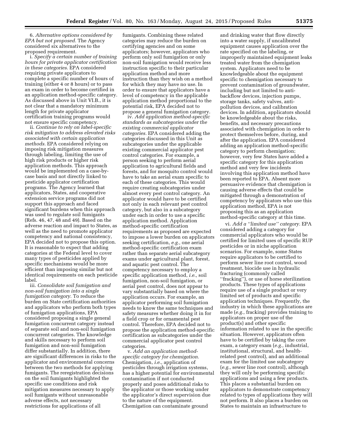6. *Alternative options considered by EPA but not proposed.* The Agency considered six alternatives to the proposed requirement.

i. *Specify a certain number of training hours for private applicator certification in these categories.* EPA considered requiring private applicators to complete a specific number of hours of training (either 4 or 8 hours) or to pass an exam in order to become certified in an application method-specific category. As discussed above in Unit VI.B., it is not clear that a mandatory minimum length for private applicator certification training programs would not ensure specific competency.

ii. *Continue to rely on label-specific risk mitigation to address elevated risks associated with certain application methods.* EPA considered relying on imposing risk mitigation measures through labeling, limiting the use of high risk products or higher risk application methods. This approach would be implemented on a case-bycase basis and not directly linked to pesticide applicator certification programs. The Agency learned that applicators, States, and cooperative extension service programs did not support this approach and faced significant burdens when this approach was used to regulate soil fumigants (Refs. 46, 47, 48 and 49). Based on the adverse reaction and impact to States, as well as the need to promote applicator competency and national consistency, EPA decided not to propose this option. It is reasonable to expect that adding categories at the Federal level to cover many types of pesticides applied by specific mechanisms would be more efficient than imposing similar but not identical requirements on each pesticide label.

iii. *Consolidate soil fumigation and non-soil fumigation into a single fumigation category.* To reduce the burden on State certification authorities and applicators who perform both types of fumigation applications, EPA considered proposing a single general fumigation concurrent category instead of separate soil and non-soil fumigation concurrent categories. The knowledge and skills necessary to perform soil fumigation and non-soil fumigation differ substantially. In addition, there are significant differences in risks to the applicator and environmental concerns between the two methods for applying fumigants. The reregistration decisions on the soil fumigants highlighted the specific use conditions and risk mitigation measures necessary to apply soil fumigants without unreasonable adverse effects, not necessary restrictions for applications of all

fumigants. Combining these related categories may reduce the burden on certifying agencies and on some applicators; however, applicators who perform only soil fumigation or only non-soil fumigation would receive less instruction specific to their particular application method and more instruction than they wish on a method for which they may have no use. In order to ensure that applicators have a level of competency in the applicable application method proportional to the potential risk, EPA decided not to propose a general fumigation category.

iv. *Add application method-specific standards as subcategories under the existing commercial applicator categories.* EPA considered adding the categories discussed in this Unit as subcategories under the applicable existing commercial applicator pest control categories. For example, a person seeking to perform aerial application to agricultural fields and forests, and for mosquito control would have to take an aerial exam specific to each of these categories. This would require creating subcategories under almost every pest control category. An applicator would have to be certified not only in each relevant pest control category, but also in a subcategory under each in order to use a specific application method. Application method-specific certification requirements as proposed are expected to impose a lower burden on applicators seeking certification, *e.g.,* one aerial method-specific certification exam rather than separate aerial subcategory exams under agricultural plant, forest, and aquatic pest control. The competency necessary to employ a specific application method, *i.e.,* soil fumigation, non-soil fumigation, or aerial pest control, does not appear to vary substantially based on where the application occurs. For example, an applicator performing soil fumigation needs to know the same techniques and safety measures whether doing it in for a field crop or for ornamental pest control. Therefore, EPA decided not to propose the application method-specific certification as subcategories under the commercial applicator pest control categories.

v. *Add an application methodspecific category for chemigation.*  Chemigation, *i.e.,* application of pesticides through irrigation systems, has a higher potential for environmental contamination if not conducted properly and poses additional risks to the applicator or those working under the applicator's direct supervision due to the nature of the equipment. Chemigation can contaminate ground

and drinking water that flow directly into a water supply, if uncalibrated equipment causes application over the rate specified on the labeling, or improperly maintained equipment leaks treated water from the chemigation system. Applicators need to be knowledgeable about the equipment specific to chemigation necessary to prevent contamination of groundwater, including but not limited to antibackflow devices, injection pumps, storage tanks, safety valves, antipollution devices, and calibration devices. In addition, applicators should be knowledgeable about the risks, benefits, and necessary precautions associated with chemigation in order to protect themselves before, during, and after the application. EPA considered adding an application method-specific category to perform chemigation; however, very few States have added a specific category for this application method and very few incidents involving this application method have been reported to EPA. Absent more persuasive evidence that chemigation is causing adverse effects that could be mitigated through a demonstration of competency by applicators who use this application method, EPA is not proposing this as an application method-specific category at this time.

vi. *Add a ''limited use'' category.* EPA considered adding a category for commercial applicators who would be certified for limited uses of specific RUP pesticides or in niche application scenarios. For example, some States require applicators to be certified to perform sewer line root control, wood treatment, biocide use in hydraulic fracturing (commonly called ''fracking''), or use of horse sterilization products. These types of applications require use of a single product or very limited set of products and specific application techniques. Frequently, the industry in which these applications are made (*e.g.,* fracking) provides training to applicators on proper use of the product(s) and other specific information related to use in the specific situation. However, applicators often have to be certified by taking the core exam, a category exam (*e.g.,* industrial, institutional, structural, and healthrelated pest control), and an additional exam for the limited use subcategory (*e.g.,* sewer line root control), although they will only be performing specific applications and using a few products. This places a substantial burden on applicators to demonstrate competency related to types of applications they will not perform. It also places a burden on States to maintain an infrastructure to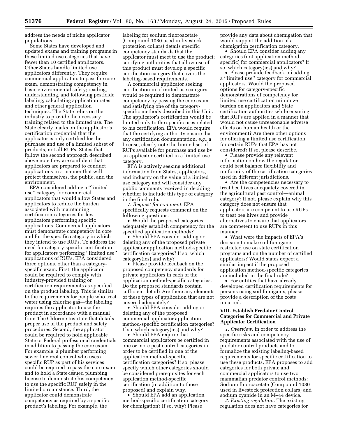address the needs of niche applicator populations.

Some States have developed and updated exams and training programs in these limited use categories that have fewer than 10 certified applicators. Other States handle limited use applicators differently. They require commercial applicators to pass the core exam, demonstrating competency in basic environmental safety; reading, understanding, and following pesticide labeling; calculating application rates; and other general application techniques. The State relies on the industry to provide the necessary training related to the limited use. The State clearly marks on the applicator's certification credential that the applicator is only certified for the purchase and use of a limited subset of products, not all RUPs. States that follow the second approach described above note they are confident that applicators are prepared to conduct applications in a manner that will protect themselves, the public, and the environment.

EPA considered adding a ''limited use'' category for commercial applicators that would allow States and applicators to reduce the burden associated with maintaining certification categories for few applicators performing specific applications. Commercial applicators must demonstrate competency in core and for the specific category in which they intend to use RUPs. To address the need for category-specific certification for applicators performing ''limited use'' applications of RUPs, EPA considered three options, other than a categoryspecific exam. First, the applicator could be required to comply with industry-provided training or certification requirements as specified on the product labeling. This is similar to the requirements for people who treat water using chlorine gas—the labeling requires the applicator to use the product in accordance with a manual from The Chlorine Institute that details proper use of the product and safety procedures. Second, the applicator could be required to hold applicable State or Federal professional credentials in addition to passing the core exam. For example, a plumber performing sewer line root control who uses a specific RUP as part of his services could be required to pass the core exam and to hold a State-issued plumbing license to demonstrate his competency to use the specific RUP safely in the limited circumstance. Third, the applicator could demonstrate competency as required by a specific product's labeling. For example, the

labeling for sodium fluoroacetate (Compound 1080 used in livestock protection collars) details specific competency standards that the applicator must meet to use the product; certifying authorities that allow use of this product must develop a specific certification category that covers the labeling-based requirements.

A commercial applicator seeking certification in a limited use category would be required to demonstrate competency by passing the core exam and satisfying one of the categoryspecific methods described in this Unit. The applicator's certification would be limited only to the specific uses related to his certification. EPA would require that the certifying authority ensure that any certification documentation, *e.g.,* a license, clearly note the limited set of RUPs available for purchase and use by an applicator certified in a limited use category.

EPA is actively seeking additional information from States, applicators, and industry on the value of a limited use category and will consider any public comments received in deciding whether to include this type of category in the final rule.

7. *Request for comment.* EPA specifically requests comment on the following questions:

• Would the proposed categories adequately establish competency for the specified application methods?

• Should EPA consider adding or deleting any of the proposed private applicator application method-specific certification categories? If so, which category(ies) and why?

• Please provide feedback on the proposed competency standards for private applicators in each of the application method-specific categories. Do the proposed standards contain sufficient detail? Are there any elements of these types of application that are not covered adequately?

• Should EPA consider adding or deleting any of the proposed commercial applicator application method-specific certification categories? If so, which category(ies) and why?

• Should EPA require that commercial applicators be certified in one or more pest control categories in order to be certified in one of the application method-specific certification categories? If so, please specify which other categories should be considered prerequisites for each application method-specific certification (in addition to those proposed) and explain why.

• Should EPA add an application method-specific certification category for chemigation? If so, why? Please

provide any data about chemigation that would support the addition of a chemigation certification category.

• Should EPA consider adding any categories (not application methodspecific) for commercial applicators? If so, which category(ies) and why?

• Please provide feedback on adding a ''limited use'' category for commercial applicators. Would the proposed options for category-specific demonstrations of competency for limited use certification minimize burden on applicators and State certification authorities while ensuring that RUPs are applied in a manner that would not cause unreasonable adverse effects on human health or the environment? Are there other options for offering a limited use certification for certain RUPs that EPA has not considered? If so, please describe.

• Please provide any relevant information on how the regulation could best balance flexibility and uniformity of the certification categories used in different jurisdictions.

• Are the competencies necessary to treat bee hives adequately covered in the agricultural pest control—animal category? If not, please explain why this category does not ensure that applicators are competent to use RUPs to treat bee hives and provide alternatives to ensure that applicators are competent to use RUPs in this manner.

• What were the impacts of EPA's decision to make soil fumigants restricted use on state certification programs and on the number of certified applicators? Would states expect a similar impact if the proposed application method-specific categories are included in the final rule?

• For entities that have already developed certification requirements for persons using soil fumigants, please provide a description of the costs incurred.

#### **VIII. Establish Predator Control Categories for Commercial and Private Applicator Certification**

*1. Overview.* In order to address the specific risks and competency requirements associated with the use of predator control products and to formalize the existing labeling-based requirements for specific certification to use these products, EPA proposes to add categories for both private and commercial applicators to use two mammalian predator control methods: Sodium fluoroacetate (Compound 1080 used in livestock protection collars) and sodium cyanide in an M–44 device.

*2. Existing regulation.* The existing regulation does not have categories for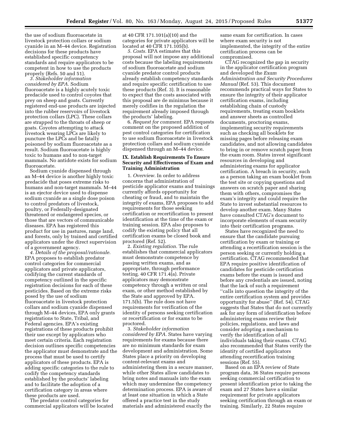the use of sodium fluoroacetate in livestock protection collars or sodium cyanide in an M–44 device. Registration decisions for these products have established specific competency standards and require applicators to be competent in how to use the products properly (Refs. 50 and 51).

*3. Stakeholder information considered by EPA.* Sodium fluoroacetate is a highly acutely toxic predacide used to control coyotes that prey on sheep and goats. Currently registered end-use products are injected into the rubber reservoirs of livestock protection collars (LPC). These collars are strapped to the throats of sheep or goats. Coyotes attempting to attack livestock wearing LPCs are likely to puncture the LPCs and be fatally poisoned by sodium fluoroacetate as a result. Sodium fluoroacetate is highly toxic to humans and to non-target mammals. No antidote exists for sodium fluoroacetate.

Sodium cyanide dispensed through an M–44 device is another highly toxic predacide that poses extreme risks to humans and non-target mammals. M–44 is an ejector device used to dispense sodium cyanide as a single dose poison to control predators of livestock, poultry, or Federally-designated threatened or endangered species, or those that are vectors of communicable diseases. EPA has registered this product for use in pastures, range land, and forests, only by trained and certified applicators under the direct supervision of a government agency.

*4. Details of the proposal/rationale.*  EPA proposes to establish predator control categories for commercial applicators and private applicators, codifying the current standards of competency outlined in the specific registration decisions for each of these pesticides. Based on the extreme risks posed by the use of sodium fluoroacetate in livestock protection collars and sodium cyanide dispensed through M–44 devices, EPA only grants registrations to State, Tribal, and Federal agencies. EPA's existing registrations of these products prohibit their use except by applicators who meet certain criteria. Each registration decision outlines specific competencies the applicator must demonstrate and the process that must be used to certify applicators of these products. EPA is adding specific categories to the rule to codify the competency standards established by the products' labeling and to facilitate the adoption of a certification category in areas where these products are used.

The predator control categories for commercial applicators will be located

at 40 CFR 171.101(a)(10) and the categories for private applicators will be located at 40 CFR 171.105(b).

*5. Costs.* EPA estimates that this proposal will not impose any additional costs because the labeling requirements of sodium fluoroacetate and sodium cyanide predator control products already establish competency standards and require specific certification to use these products (Ref. 3). It is reasonable to expect that the costs associated with this proposal are de minimus because it merely codifies in the regulation the requirement already imposed through the products' labeling.

6. *Request for comment.* EPA requests comment on the proposed addition of pest control categories for certification to use sodium fluoroacetate in livestock protection collars and sodium cyanide dispensed through an M–44 device.

#### **IX. Establish Requirements To Ensure Security and Effectiveness of Exam and Training Administration**

1. *Overview.* In order to address concerns that administration of pesticide applicator exams and trainings currently affords opportunity for cheating or fraud, and to maintain the integrity of exams, EPA proposes to add requirements for those seeking certification or recertification to present identification at the time of the exam or training session. EPA also proposes to codify the existing policy that all certification exams be closed book and proctored (Ref. 52).

2. *Existing regulation.* The rule establishes that commercial applicators must demonstrate competence by passing written exams, and as appropriate, through performance testing. 40 CFR 171.4(a). Private applicators may demonstrate competency through a written or oral exam, or other method established by the State and approved by EPA. 171.5(b). The rule does not have requirements for verification of the identity of persons seeking certification or recertification or for exams to be proctored.

3. *Stakeholder information considered by EPA.* States have varying requirements for exams because there are no minimum standards for exam development and administration. Some States place a priority on developing content-relevant exams and administering them in a secure manner, while other States allow candidates to bring notes and manuals into the exam which may undermine the competency determination process. EPA is aware of at least one situation in which a State offered a practice test in the study materials and administered exactly the

same exam for certification. In cases where exam security is not implemented, the integrity of the entire certification process can be compromised.

CTAG recognized the gap in security in the applicator certification program and developed the *Exam Administration and Security Procedures Manual* (Ref. 53). This document recommends practical ways for States to ensure the integrity of their applicator certification exams, including establishing chain of custody requirements, treating exam booklets and answer sheets as controlled documents, proctoring exams, implementing security requirements such as checking all booklets for missing pages before releasing exam candidates, and not allowing candidates to bring in or remove scratch paper from the exam room. States invest significant resources in developing and administering exams for applicator certification. A breach in security, such as a person taking an exam booklet from the test site or copying questions and answers on scratch paper and sharing them with others, compromises the exam's integrity and could require the State to invest substantial resources to develop another exam. Many States have consulted CTAG's document to incorporate elements of exam security into their certification programs.

States have recognized the need to ensure that the candidate pursuing certification by exam or training or attending a recertification session is the person seeking or currently holding a certification. CTAG recommended that EPA require positive identification of candidates for pesticide certification exams before the exam is issued and before any credentials are issued, noting that the lack of such a requirement ''calls into question the integrity of the entire certification system and provides opportunity for abuse'' (Ref. 54). CTAG suggests that States that do not currently ask for any form of identification before administering exams review their policies, regulations, and laws and consider adopting a mechanism to verify the identification of all individuals taking their exams. CTAG also recommended that States verify the identity of certified applicators attending recertification training sessions (Ref. 55).

Based on an EPA review of State program data, 36 States require persons seeking commercial certification to present identification prior to taking the exam and 27 States have a similar requirement for private applicators seeking certification through an exam or training. Similarly, 22 States require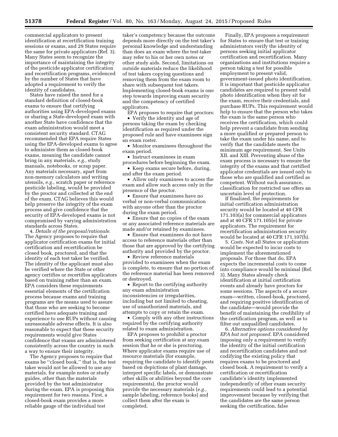commercial applicators to present identification at recertification training sessions or exams, and 29 States require the same for private applicators (Ref. 3). Many States seem to recognize the importance of maintaining the integrity of the pesticide applicator certification and recertification programs, evidenced by the number of States that have adopted a requirement to verify the identity of candidates.

States have raised the need for a standard definition of closed-book exams to ensure that certifying authorities using EPA-developed exams or sharing a State-developed exam with another State have confidence that the exam administration would meet a consistent security standard. CTAG recommended that EPA require States using the EPA-developed exams to agree to administer them as closed-book exams, meaning the candidate cannot bring in any materials, *e.g.,* study manuals, notebooks, or scrap paper. Any materials necessary, apart from non-memory calculators and writing utensils, *e.g.,* scratch paper or reference pesticide labeling, would be provided by the proctor and collected at the end of the exam. CTAG believes this would help preserve the integrity of the exam process and give confidence that the security of EPA-developed exams is not compromised by varying administration standards across States.

4. *Details of the proposal/rationale.*  The Agency proposes to require that applicator certification exams for initial certification and recertification be closed book, proctored, and that the identity of each test taker be verified. The identity of the applicant must also be verified where the State or other agency certifies or recertifies applicators based on training rather than an exam. EPA considers these requirements essential elements of the certification process because exams and training programs are the means used to assure that those who are seeking to become certified have adequate training and experience to use RUPs without causing unreasonable adverse effects. It is also reasonable to expect that these security requirements would give States confidence that exams are administered consistently across the country in such a way to ensure their integrity.

The Agency proposes to require that exams be ''closed book,'' that is, the test taker would not be allowed to use any materials, for example notes or study guides, other than the materials provided by the test administrator during the exam. EPA is proposing this requirement for two reasons. First, a closed-book exam provides a more reliable gauge of the individual test

taker's competency because the outcome depends more directly on the test taker's personal knowledge and understanding than does an exam where the test-taker may refer to his or her own notes or other study aids. Second, limitations on outside materials reduce the likelihood of test takers copying questions and removing them from the exam room to share with subsequent test takers. Implementing closed-book exams is one step towards improving exam security and the competency of certified applicators.

EPA proposes to require that proctors:

• Verify the identity and age of persons taking the exam by checking identification as required under the proposed rule and have examinees sign an exam roster.

• Monitor examinees throughout the exam period.

• Instruct examinees in exam procedures before beginning the exam.

• Keep exams secure before, during, and after the exam period.

• Allow only examinees to access the exam and allow such access only in the presence of the proctor.

• Ensure that examinees have no verbal or non-verbal communication with anyone other than the proctor during the exam period.

• Ensure that no copies of the exam or any associated reference materials are made and/or retained by examinees.

• Ensure that examinees do not have access to reference materials other than those that are approved by the certifying authority and provided by the proctor.

• Review reference materials provided to examinees when the exam is complete, to ensure that no portion of the reference material has been removed or destroyed.

• Report to the certifying authority any exam administration inconsistencies or irregularities, including but not limited to cheating, use of unauthorized materials, and attempts to copy or retain the exam.

• Comply with any other instructions required by the certifying authority related to exam administration.

EPA proposes to prohibit a proctor from seeking certification at any exam session that he or she is proctoring. Where applicator exams require use of resource materials (for example, requiring the candidate to identify pests based on depictions of plant damage, interpret specific labels, or demonstrate other skills or abilities beyond the core requirements), the proctor would provide the necessary materials (*e.g.,*  sample labeling, reference books) and collect them after the exam is completed.

Finally, EPA proposes a requirement for States to ensure that test or training administrators verify the identity of persons seeking initial applicator certification and recertification. Many organizations and institutions require a person taking a test for possible employment to present valid, government-issued photo identification. It is important that pesticide applicator candidates are required to present valid photo identification when they sit for the exam, receive their credentials, and purchase RUPs. This requirement would help to ensure that the person who takes the exam is the same person who receives the certification, which could help prevent a candidate from sending a more qualified or prepared person to take the exam under his name, and to verify that the candidate meets the minimum age requirement. See Units XII. and XIII. Preventing abuse of the exam process is necessary to ensure the integrity of the exams and that certified applicator credentials are issued only to those who are qualified and certified as competent. Without such assurance, classification for restricted use offers an uncertain level of protection.

If finalized, the requirements for initial certification administration security would be located at 40 CFR 171.103(a) for commercial applicators and at 40 CFR 171.105(e) for private applicators. The requirement for recertification administration security would be located at 40 CFR 171.107(b).

5. *Costs.* Not all States or applicators would be expected to incur costs to implement the aforementioned proposals. For those that do, EPA expects the incremental costs to come into compliance would be minimal (Ref. 3). Many States already check identification at initial certification events and already have proctors for some sessions. The aspects of a secure exam—written, closed-book, proctored, and requiring positive identification of the candidate—would provide the benefit of maintaining the credibility of the certification program, as well as to filter out unqualified candidates.

6. *Alternative options considered by EPA but not proposed.* EPA considered imposing only a requirement to verify the identity of the initial certification and recertification candidates and not codifying the existing policy that requires exams to be proctored and closed book. A requirement to verify a certification or recertification candidate's identity implemented independently of other exam security requirements could lead to a potential improvement because by verifying that the candidates are the same person seeking the certification, false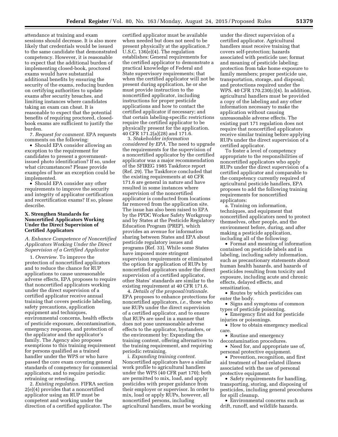attendance at training and exam sessions should decrease. It is also more likely that credentials would be issued to the same candidate that demonstrated competency. However, it is reasonable to expect that the additional burden of implementing closed-book, proctored exams would have substantial additional benefits by ensuring the security of the exams, reducing burden on certifying authorities to update exams after security breaches, and limiting instances where candidates taking an exam can cheat. It is reasonable to expect that the potential benefits of requiring proctored, closedbook exams are sufficient to justify the burden.

7. *Request for comment.* EPA requests comments on the following:

• Should EPA consider allowing an exception to the requirement for candidates to present a governmentissued photo identification? If so, under what circumstances? Please provide examples of how an exception could be implemented.

• Should EPA consider any other requirements to improve the security and integrity of applicator certification and recertification exams? If so, please describe.

#### **X. Strengthen Standards for Noncertified Applicators Working Under the Direct Supervision of Certified Applicators**

#### *A. Enhance Competence of Noncertified Applicators Working Under the Direct Supervision of a Certified Applicator*

1. *Overview.* To improve the protection of noncertified applicators and to reduce the chance for RUP applications to cause unreasonable adverse effects, EPA proposes to require that noncertified applicators working under the direct supervision of a certified applicator receive annual training that covers pesticide labeling, safety precautions, application equipment and techniques, environmental concerns, health effects of pesticide exposure, decontamination, emergency response, and protection of the applicator and the applicator's family. The Agency also proposes exemptions to this training requirement for persons qualified as a trained handler under the WPS or who have passed the core exam covering general standards of competency for commercial applicators, and to require periodic retraining or retesting.

2. *Existing regulation.* FIFRA section 2(e)(4) provides that a noncertified applicator using an RUP must be competent and working under the direction of a certified applicator. The

certified applicator must be available when needed but does not need to be present physically at the application.7 U.S.C. 136(e)(4). The regulation establishes: General requirements for the certified applicator to demonstrate a practical knowledge of Federal and State supervisory requirements; that when the certified applicator will not be present during application, he or she must provide instruction to the noncertified applicator, including instructions for proper pesticide applications and how to contact the certified applicator if necessary; and that certain labeling-specific restrictions require the certified applicator to be physically present for the application. 40 CFR 171.2(a)(28) and 171.6.

3. *Stakeholder information considered by EPA.* The need to upgrade the requirements for the supervision of a noncertified applicator by the certified applicator was a major recommendation of the SFIREG 1985 Taskforce report (Ref. 29). The Taskforce concluded that the existing requirements at 40 CFR 171.6 are general in nature and have resulted in some instances where supervision of the noncertified applicator is conducted from locations far removed from the application site. The issue has also been raised to EPA by the PPDC Worker Safety Workgroup and by States at the Pesticide Regulatory Education Program (PREP), which provides an avenue for information sharing between States and EPA about pesticide regulatory issues and programs (Ref. 33). While some States have imposed more stringent supervision requirements or eliminated the option for application of RUPs by noncertified applicators under the direct supervision of a certified applicator, other States' standards are similar to the existing requirement at 40 CFR 171.6.

4. *Details of the proposal/rationale.*  EPA proposes to enhance protections for noncertified applicators, *i.e.,* those who use RUPs under the direct supervision of a certified applicator, and to ensure that RUPs are used in a manner that does not pose unreasonable adverse effects to the applicator, bystanders, or the environment by: Expanding the training content, offering alternatives to the training requirement, and requiring periodic retraining.

i. *Expanding training content.*  Noncertified applicators have a similar work profile to agricultural handlers under the WPS (40 CFR part 170); both are permitted to mix, load, and apply pesticides with proper guidance from their employer or supervisor. In order to mix, load or apply RUPs, however, all noncertified persons, including agricultural handlers, must be working

under the direct supervision of a certified applicator. Agricultural handlers must receive training that covers self-protection; hazards associated with pesticide use; format and meaning of pesticide labeling; protection from take home exposure to family members; proper pesticide use, transportation, storage, and disposal; and protections required under the WPS. 40 CFR 170.230(c)(4). In addition, agricultural handlers must be provided a copy of the labeling and any other information necessary to make the application without causing unreasonable adverse effects. The existing part 171 regulation does not require that noncertified applicators receive similar training before applying RUPs under the direct supervision of a certified applicator.

To foster a level of competency appropriate to the responsibilities of noncertified applicators who apply RUPs under the direct supervision of a certified applicator and comparable to the competency currently required of agricultural pesticide handlers, EPA proposes to add the following training requirements for noncertified applicators:

a. Training on information, techniques, and equipment that noncertified applicators need to protect themselves, other people, and the environment before, during, and after making a pesticide application, including all of the following:

• Format and meaning of information contained on pesticide labels and in labeling, including safety information, such as precautionary statements about human health hazards, and hazards of pesticides resulting from toxicity and exposure, including acute and chronic effects, delayed effects, and sensitization.

• Routes by which pesticides can enter the body.

• Signs and symptoms of common types of pesticide poisoning.

• Emergency first aid for pesticide injuries or poisonings.

• How to obtain emergency medical care.

• Routine and emergency decontamination procedures.

• Need for, and appropriate use of, personal protective equipment.

• Prevention, recognition, and first aid treatment of heat-related illness associated with the use of personal protective equipment.

• Safety requirements for handling, transporting, storing, and disposing of pesticides, including general procedures for spill cleanup.

• Environmental concerns such as drift, runoff, and wildlife hazards.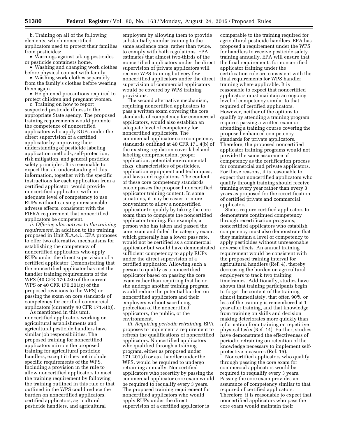b. Training on all of the following elements, which noncertified applicators need to protect their families from pesticides:

• Warnings against taking pesticides or pesticide containers home.

• Washing and changing work clothes before physical contact with family.

• Washing work clothes separately from the family's clothes before wearing them again.

• Heightened precautions required to protect children and pregnant women.

c. Training on how to report suspected pesticide illness to the appropriate State agency. The proposed training requirements would promote the competence of noncertified applicators who apply RUPs under the direct supervision of a certified applicator by improving their understanding of pesticide labeling, application methods, self-protection, risk mitigation, and general pesticide safety principles. It is reasonable to expect that an understanding of this information, together with the specific instructions for each application from a certified applicator, would provide noncertified applicators with an adequate level of competency to use RUPs without causing unreasonable adverse effects, consistent with the FIFRA requirement that noncertified applicators be competent.

*ii. Offering alternatives to the training requirement.* In addition to the training proposed in Unit X.A.4.i., EPA proposes to offer two alternative mechanisms for establishing the competency of noncertified applicators who apply RUPs under the direct supervision of a certified applicator: Demonstrating that the noncertified applicator has met the handler training requirements of the WPS (40 CFR 170.230 of the current WPS or 40 CFR 170.201(c) of the proposed revisions to the WPS) or passing the exam on core standards of competency for certified commercial applicators (currently 40 CFR 171.4(b)).

As mentioned in this unit, noncertified applicators working on agricultural establishments and agricultural pesticide handlers have similar job responsibilities. The proposed training for noncertified applicators mirrors the proposed training for agricultural pesticide handlers, except it does not include specific requirements of the WPS. Including a provision in the rule to allow noncertified applicators to meet the training requirement by following the training outlined in this rule or that outlined in the WPS could reduce the burden on noncertified applicators, certified applicators, agricultural pesticide handlers, and agricultural

employers by allowing them to provide substantially similar training to the same audience once, rather than twice, to comply with both regulations. EPA estimates that almost two-thirds of the noncertified applicators under the direct supervision of private applicators will receive WPS training but very few noncertified applicators under the direct supervision of commercial applicators would be covered by WPS training provisions.

The second alternative mechanism, requiring noncertified applicators to pass a written exam covering the core standards of competency for commercial applicators, would also establish an adequate level of competency for noncertified applicators. The commercial applicator core competency standards outlined at 40 CFR 171.4(b) of the existing regulation cover label and labeling comprehension, proper application, potential environmental risks, characteristics of pesticides, application equipment and techniques, and laws and regulations. The content of these core competency standards encompasses the proposed noncertified applicator training content. In some situations, it may be easier or more convenient to allow a noncertified applicator to qualify by taking the core exam than to complete the noncertified applicator training. For example, a person who has taken and passed the core exam and failed the category exam, which generally has a lower pass rate, would not be certified as a commercial applicator but would have demonstrated sufficient competency to apply RUPs under the direct supervision of a certified applicator. Allowing such a person to qualify as a noncertified applicator based on passing the core exam rather than requiring that he or she undergo another training program would reduce the potential burden on noncertified applicators and their employers without sacrificing protection of the noncertified applicators, the public, or the environment.

*iii. Requiring periodic retraining.* EPA proposes to implement a requirement to refresh the qualifications of noncertified applicators. Noncertified applicators who qualified through a training program, either as proposed under 171.201(d) or as a handler under the WPS, would be required to undergo retraining annually. Noncertified applicators who recertify by passing the commercial applicator core exam would be required to requalify every 3 years. The proposed training requirement for noncertified applicators who would apply RUPs under the direct supervision of a certified applicator is

comparable to the training required for agricultural pesticide handlers. EPA has proposed a requirement under the WPS for handlers to receive pesticide safety training annually. EPA will ensure that the final requirements for noncertified applicator training under the certification rule are consistent with the final requirements for WPS handler training where applicable. It is reasonable to expect that noncertified applicators must maintain an ongoing level of competency similar to that required of certified applicators. However, neither of the options to qualify by attending a training program requires passing a written exam or attending a training course covering the proposed enhanced competency standards for private applicators. Therefore, the proposed noncertified applicator training programs would not provide the same assurance of competency as the certification process for commercial and private applicators. For these reasons, it is reasonable to expect that noncertified applicators who qualify through training should receive training every year rather than every 3 years as proposed for the recertification of certified private and commercial applicators.

States require certified applicators to demonstrate continued competency through recertification programs; noncertified applicators who establish competency must also demonstrate that they maintain a level of competency to apply pesticides without unreasonable adverse effects. An annual training requirement would be consistent with the proposed training interval for agricultural handlers (Ref. 4), thereby decreasing the burden on agricultural employers to track two training timeframes. Additionally, studies have shown that training participants begin to forget the content of the training almost immediately, that often 90% or less of the training is remembered at 1 year after training, and that knowledge from training on skills and decision making deteriorates more quickly than information from training on repetitive physical tasks (Ref. 14). Further, studies have demonstrated the effectiveness of periodic retraining on retention of the knowledge necessary to implement selfprotective measures (Ref. 15).

Noncertified applicators who qualify through passing the core exam for commercial applicators would be required to requalify every 3 years. Passing the core exam provides an assurance of competency similar to that required of certified applicators. Therefore, it is reasonable to expect that noncertified applicators who pass the core exam would maintain their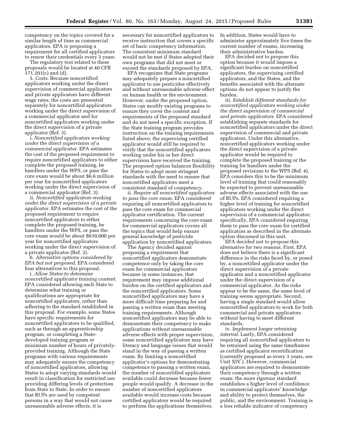competency on the topics covered for a similar length of time as commercial applicators. EPA is proposing a requirement for all certified applicators to renew their credentials every 3 years.

The regulatory text related to these proposals would be located at 40 CFR 171.201(c) and (d).

5. *Costs.* Because noncertified applicators working under the direct supervision of commercial applicators and private applicators have different wage rates, the costs are presented separately for noncertified applicators working under the direct supervision of a commercial applicator and for noncertified applicators working under the direct supervision of a private applicator (Ref. 3).

i. *Noncertified applicators working under the direct supervision of a commercial applicator.* EPA estimates the cost of the proposed requirement to require noncertified applicators to either complete the proposed training, be handlers under the WPS, or pass the core exam would be about \$6.6 million per year for noncertified applicators working under the direct supervision of a commercial applicator (Ref. 3).

ii. *Noncertified applicators working under the direct supervision of a private applicator.* EPA estimates the cost of the proposed requirement to require noncertified applicators to either complete the proposed training, be handlers under the WPS, or pass the core exam would be about \$639,000 per year for noncertified applicators working under the direct supervision of a private applicator (Ref. 3).

6. *Alternative options considered by EPA but not proposed.* EPA considered four alternatives to this proposal.

i. *Allow States to determine noncertified applicator training content.*  EPA considered allowing each State to determine what training or qualifications are appropriate for noncertified applicators, rather than adhering to the standard established in this proposal. For example, some States have specific requirements for noncertified applicators to be qualified, such as through an apprenticeship program, or completing a Statedeveloped training program or minimum number of hours of privatelyprovided training. Although the State programs with various requirements may adequately ensure the competency of noncertified applicators, allowing States to adopt varying standards would result in classification for restricted use providing differing levels of protection from State to State. In order to ensure that RUPs are used by competent persons in a way that would not cause unreasonable adverse effects, it is

necessary for noncertified applicators to receive instruction that covers a specific set of basic competency information. The consistent minimum standard would not be met if States adopted their own programs that did not meet or exceed the standards proposed by EPA.

EPA recognizes that State programs may adequately prepare a noncertified applicator to use pesticides effectively and without unreasonable adverse effect on human health or the environment. However, under the proposed option, States can modify existing programs to ensure they cover the content and requirements of the proposed standard and do not need a specific exception. If the State training program provides instruction on the training requirements listed above, the supervising certified applicator would still be required to verify that the noncertified applicators working under his or her direct supervision have received the training. The proposed option balances flexibility for States to adopt more stringent standards with the need to ensure that noncertified applicators meet a consistent standard of competency.

ii. *Require all noncertified applicators to pass the core exam.* EPA considered requiring all noncertified applicators to pass the core exam for commercial applicator certification. The current requirements concerning the core exam for commercial applicators covers all the topics that would help ensure general knowledge of pesticide application by noncertified applicators.

The Agency decided against proposing a requirement that noncertified applicators demonstrate competence only by taking the core exam for commercial applicators because in some instances, that requirement may impose additional burden on the certified applicators and the noncertified applicators. Some noncertified applicators may have a more difficult time preparing for and passing a written exam than meeting training requirements. Although noncertified applicators may be able to demonstrate their competency to make applications without unreasonable adverse effects with proper supervision, some noncertified applicators may have literacy and language issues that would stand in the way of passing a written exam. By limiting a noncertified applicator's options for demonstrating competence to passing a written exam, the number of noncertified applicators available could decrease because fewer people would qualify. A decrease in the number of noncertified applicators available would increase costs because certified applicators would be required to perform the applications themselves.

In addition, States would have to administer approximately five times the current number of exams, increasing their administrative burden.

EPA decided not to propose this option because it would impose a significant burden on noncertified applicators, the supervising certified applicators, and the States, and the benefits associated with the alternate options do not appear to justify the burden.

iii. *Establish different standards for noncertified applicators working under the direct supervision of commercial and private applicators.* EPA considered establishing separate standards for noncertified applicators under the direct supervision of commercial and private applicators. Under this alternative, noncertified applicators working under the direct supervision of a private applicator would be required to complete the proposed training or the training for handlers under the proposed revisions to the WPS (Ref. 4). EPA considers this to be the minimum level of training that could reasonably be expected to prevent unreasonable adverse effects associated with the use of RUPs. EPA considered requiring a higher level of training for noncertified applicators working under the direct supervision of a commercial applicator; specifically, EPA considered requiring them to pass the core exam for certified applicators as described in the alternate option discussed in this unit.

EPA decided not to propose this alternative for two reasons. First, EPA does not believe there is a significant difference in the risks faced by, or posed by, a noncertified applicator under the direct supervision of a private applicator and a noncertified applicator under the direct supervision of a commercial applicator. As the risks appear to be the same, the same level of training seems appropriate. Second, having a single standard would allow noncertified applicators to work for both commercial and private applicators without having to meet different standards.

iv. *Implement longer retraining interval.* Lastly, EPA considered requiring all noncertified applicators to be retrained using the same timeframes as certified applicator recertification (currently proposed as every 3 years, see Unit XIV.). However, commercial applicators are required to demonstrate their competency through a written exam; the more rigorous standard establishes a higher level of confidence in commercial applicators' knowledge and ability to protect themselves, the public, and the environment. Training is a less reliable indicator of competency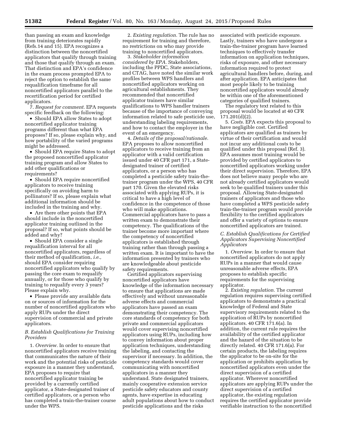than passing an exam and knowledge from training deteriorates rapidly (Refs.14 and 15). EPA recognizes a distinction between the noncertified applicators that qualify through training and those that qualify through an exam. That distinction and EPA's confidence in the exam process prompted EPA to reject the option to establish the same requalification timeframe for all noncertified applicators parallel to the recertification period for certified applicators.

7. *Request for comment.* EPA requests specific feedback on the following:

• Should EPA allow States to adopt noncertified applicator training programs different than what EPA proposes? If so, please explain why, and how portability of the varied programs might be addressed.

• Should EPA require States to adopt the proposed noncertified applicator training program and allow States to add other qualifications or requirements?

• Should EPA require noncertified applicators to receive training specifically on avoiding harm to pollinators? If so, please explain what additional information should be included in the training and why.

• Are there other points that EPA should include in the noncertified applicator training outlined in the proposal? If so, what points should be added and why?

• Should EPA consider a single requalification interval for all noncertified applicators, regardless of their method of qualification, *i.e.,*  should EPA consider requiring noncertified applicators who qualify by passing the core exam to requalify annually, or for those who qualify by training to requalify every 3 years? Please explain why.

• Please provide any available data on or sources of information for the number of noncertified applicators who apply RUPs under the direct supervision of commercial and private applicators.

#### *B. Establish Qualifications for Training Providers*

1. *Overview.* In order to ensure that noncertified applicators receive training that communicates the nature of their work and the potential risks of pesticide exposure in a manner they understand, EPA proposes to require that noncertified applicator training be provided by a currently certified applicator, a State-designated trainer of certified applicators, or a person who has completed a train-the-trainer course under the WPS.

2. *Existing regulation.* The rule has no requirement for training and therefore, no restrictions on who may provide training to noncertified applicators.

3. *Stakeholder information considered by EPA.* Stakeholders, including the PPDC, State associations, and CTAG, have noted the similar work profiles between WPS handlers and noncertified applicators working on agricultural establishments. They recommended that noncertified applicator trainers have similar qualifications to WPS handler trainers because of the importance of conveying information related to safe pesticide use, understanding labeling requirements, and how to contact the employer in the event of an emergency.

4. *Details of the proposal/rationale.*  EPA proposes to allow noncertified applicators to receive training from an applicator with a valid certification issued under 40 CFR part 171, a Statedesignated trainer of certified applicators, or a person who has completed a pesticide safety train-thetrainer program under the WPS, 40 CFR part 170. Given the elevated risks associated with applying RUPs, it is critical to have a high level of confidence in the competence of those who will make applications. Commercial applicators have to pass a written exam to demonstrate their competency. The qualifications of the trainer become more important where the competency of noncertified applicators is established through training rather than through passing a written exam. It is important to have the information presented by trainers who are knowledgeable about pesticide safety requirements.

Certified applicators supervising noncertified applicators have knowledge of the information necessary to ensure that applications are made effectively and without unreasonable adverse effects and commercial applicators have passed an exam demonstrating their competency. The core standards of competency for both private and commercial applicators would cover supervising noncertified applicators using RUPs, including how to convey information about proper application techniques, understanding the labeling, and contacting the supervisor if necessary. In addition, the competency standards would cover communicating with noncertified applicators in a manner they understand. State designated trainers, mainly cooperative extension service pesticide safety educators and county agents, have expertise in educating adult populations about how to conduct pesticide applications and the risks

associated with pesticide exposure. Lastly, trainers who have undergone a train-the-trainer program have learned techniques to effectively transfer information on application techniques, risks of exposure, and other necessary information required to protect agricultural handlers before, during, and after application. EPA anticipates that most people likely to be training noncertified applicators would already be within one of the aforementioned categories of qualified trainers.

The regulatory text related to this proposal would be located at 40 CFR 171.201(d)(2).

5. *Costs.* EPA expects this proposal to have negligible cost. Certified applicators are qualified as trainers by virtue of their certification and would not incur any additional costs to be qualified under this proposal (Ref. 3). EPA assumes most training would be provided by certified applicators to noncertified applicators working under their direct supervision. Therefore, EPA does not believe many people who are not already certified applicators would seek to be qualified trainers under this proposal. Allowing State-designated trainers of applicators and those who have completed a WPS pesticide safety train-the-trainer program would provide flexibility to the certified applicators and offer a variety of options to ensure noncertified applicators are trained.

#### *C. Establish Qualifications for Certified Applicators Supervising Noncertified Applicators*

1. *Overview.* In order to ensure that noncertified applicators do not apply RUPs in a manner that would cause unreasonable adverse effects, EPA proposes to establish specific requirements for the supervising applicator.

2. *Existing regulation.* The current regulation requires supervising certified applicators to demonstrate a practical knowledge of Federal and State supervisory requirements related to the application of RUPs by noncertified applicators. 40 CFR 171.6(a). In addition, the current rule requires the availability of the certified applicator and the hazard of the situation to be directly related. 40 CFR 171.6(a). For certain products, the labeling requires the applicator to be on-site for the application or prohibits application by noncertified applicators even under the direct supervision of a certified applicator. Wherever noncertified applicators are applying RUPs under the direct supervision of a certified applicator, the existing regulation requires the certified applicator provide verifiable instruction to the noncertified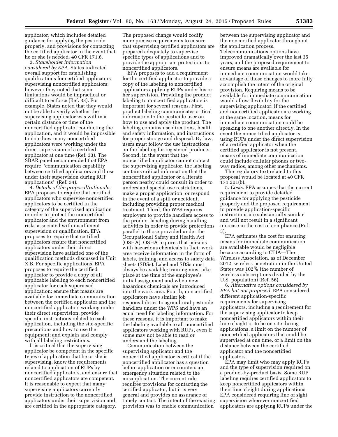applicator, which includes detailed guidance for applying the pesticide properly, and provisions for contacting the certified applicator in the event that he or she is needed. 40 CFR 171.6.

3. *Stakeholder information considered by EPA.* States indicated overall support for establishing qualifications for certified applicators supervising noncertified applicators; however they noted that some limitations would be impractical or difficult to enforce (Ref. 33). For example, States noted that they would not be able to verify whether the supervising applicator was within a certain distance or time of the noncertified applicator conducting the application, and it would be impossible to note how many noncertified applicators were working under the direct supervision of a certified applicator at one time (Ref. 33). The SBAR panel recommended that EPA require ''communication capability between certified applicators and those under their supervision during RUP applications'' (Ref. 34).

4. *Details of the proposal/rationale.*  EPA proposes to require that certified applicators who supervise noncertified applicators to be certified in the category of the supervised application in order to protect the noncertified applicator and the environment from risks associated with insufficient supervision or qualification. EPA proposes to require that certified applicators ensure that noncertified applicators under their direct supervision have satisfied one of the qualification methods discussed in Unit X.B. For specific applications, EPA proposes to require the certified applicator to provide a copy of all applicable labeling to each noncertified applicator for each supervised application; ensure that means are available for immediate communication between the certified applicator and the noncertified applicators working under their direct supervision; provide specific instructions related to each application, including the site-specific precautions and how to use the equipment; and explain and comply with all labeling restrictions.

It is critical that the supervising applicator be competent in the specific types of application that he or she is supervising, know the requirements related to application of RUPs by noncertified applicators, and ensure that noncertified applicators are competent. It is reasonable to expect that many supervising applicators currently provide instruction to the noncertified applicators under their supervision and are certified in the appropriate category.

The proposed change would codify more precise requirements to ensure that supervising certified applicators are prepared adequately to supervise specific types of applications and to provide the appropriate protections to noncertified applicators.

EPA proposes to add a requirement for the certified applicator to provide a copy of the labeling to noncertified applicators applying RUPs under his or her supervision. Providing the product labeling to noncertified applicators is important for several reasons. First, product labeling communicates critical information to the pesticide user on how to use and apply the product. The labeling contains use directions, health and safety information, and instructions for proper storage and disposal. By law, users must follow the use instructions on the labeling for registered products. Second, in the event that the noncertified applicator cannot contact the supervising applicator, the labeling contains critical information that the noncertified applicator or a literate person nearby could consult in order to understand special use restrictions, make a proper application, or respond in the event of a spill or accident, including providing proper medical treatment. Third, the WPS requires employers to provide handlers access to the product labeling during handling activities in order to provide protections parallel to those provided under the Occupational Safety and Health Act (OSHA). OSHA requires that persons with hazardous chemicals in their work area receive information in the form of labels, training, and access to safety data sheets (SDSs). Label and SDSs must always be available; training must take place at the time of the employee's initial assignment and when new hazardous chemicals are introduced into the work area. Fourth, noncertified applicators have similar job responsibilities to agricultural pesticide handlers under the WPS and have an equal need for labeling information. For these reasons, it is important to make the labeling available to all noncertified applicators working with RUPs, even if some may not be able to read or understand the labeling.

Communication between the supervising applicator and the noncertified applicator is critical if the noncertified applicator has a question before application or encounters an emergency situation related to the misapplication. The current rule requires provisions for contacting the certified applicator, but it is very general and provides no assurance of timely contact. The intent of the existing provision was to enable communication

between the supervising applicator and the noncertified applicator throughout the application process. Telecommunications options have improved dramatically over the last 35 years, and the proposed requirement to ensure means are available for immediate communication would take advantage of those changes to more fully accomplish the intent of the original provision. Requiring means to be available for immediate communication would allow flexibility for the supervising applicator; if the certified and noncertified applicator are working at the same location, means for immediate communication could be speaking to one another directly. In the event the noncertified applicator is using RUPs under the direct supervision of a certified applicator when the certified applicator is not present, means of immediate communication could include cellular phones or twoway radios, among other mechanisms.

The regulatory text related to this proposal would be located at 40 CFR 171.201(b).

5. *Costs.* EPA assumes that the current requirement to provide detailed guidance for applying the pesticide properly and the proposed requirement to provide application-specific instructions are substantially similar and will not result in a significant increase in the cost of compliance (Ref. 3).

EPA estimates the cost for ensuring means for immediate communication are available would be negligible because according to CTIA—The Wireless Association, as of December 2012, wireless penetration in the United States was 102% (the number of wireless subscriptions divided by the U.S. population) (Ref. 56).

6. *Alternative options considered by EPA but not proposed.* EPA considered different application-specific requirements for supervising applicators, including a requirement for the supervising applicator to keep noncertified applicators within their line of sight or to be on site during applications, a limit on the number of noncertified applicators that could be supervised at one time, or a limit on the distance between the certified applicator and the noncertified applicators.

EPA may limit who may apply RUPs and the type of supervision required on a product-by-product basis. Some RUP labeling requires certified applicators to keep noncertified applicators within their line of sight during applications. EPA considered requiring line of sight supervision wherever noncertified applicators are applying RUPs under the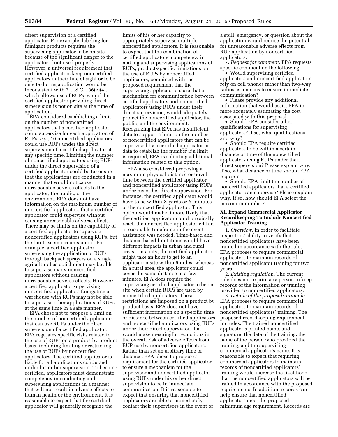direct supervision of a certified applicator. For example, labeling for fumigant products requires the supervising applicator to be on site because of the significant danger to the applicator if not used properly. However, a universal requirement that certified applicators keep noncertified applicators in their line of sight or to be on site during application would be inconsistent with 7 U.S.C. 136(e)(4), which allows use of RUPs even if the certified applicator providing direct supervision is not on site at the time of application.

EPA considered establishing a limit on the number of noncertified applicators that a certified applicator could supervise for each application of RUPs, *e.g.,* 10 noncertified applicators could use RUPs under the direct supervision of a certified applicator at any specific time. Limiting the number of noncertified applicators using RUPs under the direct supervision of a certified applicator could better ensure that the applications are conducted in a manner that would not cause unreasonable adverse effects to the applicator, the public, or the environment. EPA does not have information on the maximum number of noncertified applicators that a certified applicator could supervise without causing unreasonable adverse effects. There may be limits on the capability of a certified applicator to supervise noncertified applicators using RUPs, but the limits seem circumstantial. For example, a certified applicator supervising the application of RUPs through backpack sprayers on a single agricultural establishment may be able to supervise many noncertified applicators without causing unreasonable adverse effects. However, a certified applicator supervising noncertified applicators fumigating a warehouse with RUPs may not be able to supervise other applications of RUPs at the same time in a safe manner.

EPA chose not to propose a limit on the number of noncertified applicators that can use RUPs under the direct supervision of a certified applicator. EPA regulates specific risks related to the use of RUPs on a product by product basis, including limiting or restricting the use of RUPs by noncertified applicators. The certified applicator is liable for all applications conducted under his or her supervision. To become certified, applicators must demonstrate competency in conducting and supervising applications in a manner that will not result in adverse effects to human health or the environment. It is reasonable to expect that the certified applicator will generally recognize the

limits of his or her capacity to appropriately supervise multiple noncertified applicators. It is reasonable to expect that the combination of certified applicators' competency in making and supervising applications of RUPs, product-specific limitations on the use of RUPs by noncertified applicators, combined with the proposed requirement that the supervising applicator ensure that a mechanism for communication between certified applicators and noncertified applicators using RUPs under their direct supervision, would adequately protect the noncertified applicator, the public, and the environment. Recognizing that EPA has insufficient data to support a limit on the number of noncertified applicators that can be supervised by a certified applicator or data to establish the number if a limit is required, EPA is soliciting additional information related to this option.

EPA also considered proposing a maximum physical distance or travel time between the certified applicator and noncertified applicator using RUPs under his or her direct supervision. For instance, the certified applicator would have to be within X yards or Y minutes of the noncertified applicator. This option would make it more likely that the certified applicator could physically reach the noncertified applicator within a reasonable timeframe in the event assistance was needed. Time-based and distance-based limitations would have different impacts in urban and rural areas—in a city, the certified applicator might take an hour to get to an application site within 5 miles, whereas in a rural area, the applicator could cover the same distance in a few minutes. EPA does require the supervising certified applicator to be on site when certain RUPs are used by noncertified applicators. These restrictions are imposed on a product by product basis. EPA does not have sufficient information on a specific time or distance between certified applicators and noncertified applicators using RUPs under their direct supervision that would make meaningful reductions in the overall risk of adverse effects from RUP use by noncertified applicators. Rather than set an arbitrary time or distance, EPA chose to propose a requirement for the certified applicator to ensure a mechanism for the supervisor and noncertified applicator using RUPs under his or her direct supervision to be in immediate communication. It is reasonable to expect that ensuring that noncertified applicators are able to immediately contact their supervisors in the event of

a spill, emergency, or question about the application would reduce the potential for unreasonable adverse effects from RUP application by noncertified applicators.

7. *Request for comment.* EPA requests specific comment on the following:

• Would supervising certified applicators and noncertified applicators rely on cell phones rather than two-way radios as a means to ensure immediate communication?

• Please provide any additional information that would assist EPA in more accurately estimating the cost associated with this proposal.

• Should EPA consider other qualifications for supervising applicators? If so, what qualifications and why?

• Should EPA require certified applicators to be within a certain distance or time of the noncertified applicators using RUPs under their direct supervision? Please explain why. If so, what distance or time should EPA require?

• Should EPA limit the number of noncertified applicators that a certified applicator can supervise? Please explain why. If so, how should EPA select the maximum number?

#### **XI. Expand Commercial Applicator Recordkeeping To Include Noncertified Applicator Training**

1. *Overview.* In order to facilitate inspectors' ability to verify that noncertified applicators have been trained in accordance with the rule, EPA proposes to require commercial applicators to maintain records of noncertified applicator training for two years.

2. *Existing regulation.* The current rule does not require any person to keep records of the information or training provided to noncertified applicators.

3. *Details of the proposal/rationale.*  EPA proposes to require commercial applicators to maintain records of noncertified applicators' training. The proposed recordkeeping requirement includes: The trained noncertified applicator's printed name, and signature; the date of the training; the name of the person who provided the training; and the supervising commercial applicator's name. It is reasonable to expect that requiring commercial applicators to maintain records of noncertified applicators' training would increase the likelihood that the noncertified applicators will be trained in accordance with the proposed requirements. In addition, records can help ensure that noncertified applicators meet the proposed minimum age requirement. Records are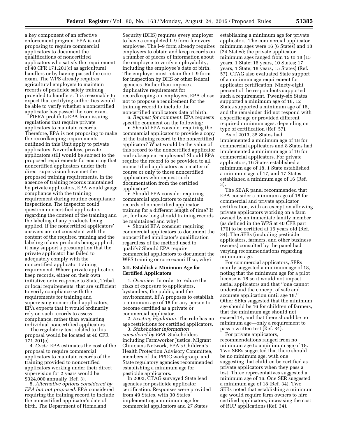a key component of an effective enforcement program. EPA is not proposing to require commercial applicators to document the qualifications of noncertified applicators who satisfy the requirement of 40 CFR 171.201(c) as agricultural handlers or by having passed the core exam. The WPS already requires agricultural employers to maintain records of pesticide safety training provided to handlers. It is reasonable to expect that certifying authorities would be able to verify whether a noncertified applicator has passed the core exam.

FIFRA prohibits EPA from issuing regulations that require private applicators to maintain records. Therefore, EPA is not proposing to make the recordkeeping requirements outlined in this Unit apply to private applicators. Nevertheless, private applicators still would be subject to the proposed requirements for ensuring that noncertified applicators under their direct supervision have met the proposed training requirements. In the absence of training records maintained by private applicators, EPA would gauge compliance with the training requirement during routine compliance inspections. The inspector could question noncertified applicators regarding the content of the training and the labeling of any products being applied. If the noncertified applicators' answers are not consistent with the content of the required training and the labeling of any products being applied, it may support a presumption that the private applicator has failed to adequately comply with the noncertified applicator training requirement. Where private applicators keep records, either on their own initiative or in response to State, Tribal, or local requirements, that are sufficient to verify compliance with the requirements for training and supervising noncertified applicators, EPA expects that it would ordinarily rely on such records to assess compliance, rather than evaluating individual noncertified applicators.

The regulatory text related to this proposal would be located at 40 CFR 171.201(e).

4. *Costs.* EPA estimates the cost of the proposal to require commercial applicators to maintain records of the training provided to noncertified applicators working under their direct supervision for 2 years would be \$324,000 annually (Ref. 3).

5. *Alternative options considered by EPA but not proposed.* EPA considered requiring the training record to include the noncertified applicator's date of birth. The Department of Homeland

Security (DHS) requires every employer to have a completed I–9 form for every employee. The I–9 form already requires employers to obtain and keep records on a number of pieces of information about the employee to verify employability, including the employee's date of birth. The employer must retain the I–9 form for inspection by DHS or other federal agencies. Rather than impose a duplicative requirement for recordkeeping on employers, EPA chose not to propose a requirement for the training record to include the noncertified applicators date of birth.

6. *Request for comment.* EPA requests specific comment on the following:

• Should EPA consider requiring the commercial applicator to provide a copy of the training record to the noncertified applicator? What would be the value of this record to the noncertified applicator and subsequent employers? Should EPA require the record to be provided to all noncertified applicators as a matter of course or only to those noncertified applicators who request such documentation from the certified applicator?

• Should EPA consider requiring commercial applicators to maintain records of noncertified applicator training for a different length of time? If so, for how long should training records be maintained and why?

• Should EPA consider requiring commercial applicators to document the noncertified applicator's qualification regardless of the method used to qualify? Should EPA require commercial applicators to document the WPS training or core exam? If so, why?

#### **XII. Establish a Minimum Age for Certified Applicators**

1. *Overview.* In order to reduce the risks of exposure to applicators, bystanders, the public, and the environment, EPA proposes to establish a minimum age of 18 for any person to become certified as a private or commercial applicator.

2. *Existing regulation.* The rule has no age restrictions for certified applicators.

3. *Stakeholder information considered by EPA.* Stakeholders including Farmworker Justice, Migrant Clinicians Network, EPA's Children's Health Protection Advisory Committee, members of the PPDC workgroup, and State regulatory agencies recommended establishing a minimum age for pesticide applicators.

In 2002, CTAG surveyed State lead agencies for pesticide applicator certification. Responses were provided from 49 States, with 30 States implementing a minimum age for commercial applicators and 27 States

establishing a minimum age for private applicators. The commercial applicator minimum ages were 16 (6 States) and 18 (24 States); the private applicator minimum ages ranged from 15 to 18 (15 years, 1 State; 16 years, 10 States; 17 years, 1 State; 18 years, 15 States) (Ref. 57). CTAG also evaluated State support of a minimum age requirement for applicator certification. Ninety-eight percent of the respondents supported such a requirement. Twenty-six States supported a minimum age of 18, 12 States supported a minimum age of 16, and the remainder did not respond with a specific age or provided different required minimum ages, depending on type of certification (Ref. 57).

As of 2013, 35 States had implemented a minimum age of 18 for commercial applicators and 8 States had implemented a minimum age of 16 for commercial applicators. For private applicators, 16 States established a minimum age of 18, 1 State established a minimum age of 17, and 17 States established a minimum age of 16 (Ref. 3).

The SBAR panel recommended that EPA consider a minimum age of 18 for commercial and private applicator certification, with an exception allowing private applicators working on a farm owned by an immediate family member (as defined in the WPS at 40 CFR part 170) to be certified at 16 years old (Ref. 34). The SERs (including pesticide applicators, farmers, and other business owners) consulted by the panel had varying recommendations regarding minimum age.

For commercial applicators, SERs mainly suggested a minimum age of 18, noting that the minimum age for a pilot license is 18 so it would not impact aerial applicators and that ''one cannot understand the concept of safe and accurate application until age 18.'' Other SERs suggested that the minimum age should be 16 for children of farmers, that the minimum age should not exceed 14, and that there should be no minimum age—only a requirement to pass a written test (Ref. 34).

For private applicators, recommendations ranged from no minimum age to a minimum age of 18. Two SERs suggested that there should be no minimum age, with one suggesting that children be certified as private applicators when they pass a test. Three representatives suggested a minimum age of 16. One SER suggested a minimum age of 18 (Ref. 34). Two SERs noted that establishing a minimum age would require farm owners to hire certified applicators, increasing the cost of RUP applications (Ref. 34).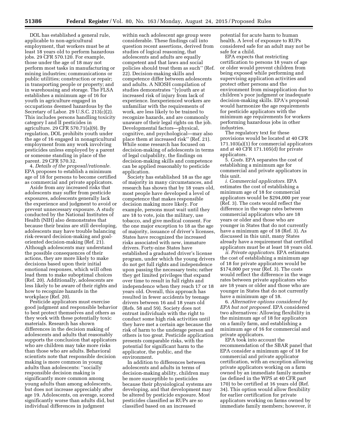DOL has established a general rule, applicable to non-agricultural employment, that workers must be at least 18 years old to perform hazardous jobs. 29 CFR 570.120. For example, those under the age of 18 may not perform most tasks in manufacturing or mining industries; communications or public utilities; construction or repair; in transporting people or property; and in warehousing and storage. The FLSA establishes a minimum age of 16 for youth in agriculture engaged in occupations deemed hazardous by the Secretary of Labor. 29 U.S.C. 213(c)(2). This includes persons handling toxicity category I and II pesticides in agriculture. 29 CFR 570.71(a)(9). By regulation, DOL prohibits youth under the age of 16 engaged in nonagricultural employment from any work involving pesticides unless employed by a parent or someone standing in place of the parent. 29 CFR 570.32.

4. *Details of the proposal/rationale.*  EPA proposes to establish a minimum age of 18 for persons to become certified as commercial and private applicators.

Aside from any increased risks that adolescents may suffer from pesticide exposures, adolescents generally lack the experience and judgment to avoid or prevent unnecessary exposure. A study conducted by the National Institutes of Health (NIH) also demonstrates that because their brains are still developing, adolescents may have trouble balancing risk-reward decision-making and goaloriented decision-making (Ref. 21). Although adolescents may understand the possible consequences of their actions, they are more likely to make decisions based upon their initial emotional responses, which will often lead them to make suboptimal choices (Ref. 20). Additionally, adolescents are less likely to be aware of their rights and how to recognize hazards in the workplace (Ref. 20).

Pesticide applicators must exercise good judgment and responsible behavior to best protect themselves and others as they work with these potentially toxic materials. Research has shown differences in the decision making of adolescents and adults that reasonably supports the conclusion that applicators who are children may take more risks than those who are adults. Behavioral scientists note that responsible decision making is more common in young adults than adolescents: ''socially responsible decision making is significantly more common among young adults than among adolescents, but does not increase appreciably after age 19. Adolescents, on average, scored significantly worse than adults did, but individual differences in judgment

within each adolescent age group were considerable. These findings call into question recent assertions, derived from studies of logical reasoning, that adolescents and adults are equally competent and that laws and social policies should treat them as such'' (Ref. 22). Decision-making skills and competence differ between adolescents and adults. A NIOSH compilation of studies demonstrates ''[y]outh are at increased risk of injury from lack of experience. Inexperienced workers are unfamiliar with the requirements of work, are less likely to be trained to recognize hazards, and are commonly unaware of their legal rights on the job. Developmental factors—physical, cognitive, and psychological—may also place them at increased risk" (Ref. 21). While some research has focused on decision-making of adolescents in terms of legal culpability, the findings on decision-making skills and competence can be applied reasonably to pesticide application.

Society has established 18 as the age of majority in many circumstances, and research has shown that by 18 years old, most people have developed a level of competence that makes responsible decision making more likely. For example, persons must wait until they are 18 to vote, join the military, use tobacco, and give medical consent. For the one major exception to 18 as the age of majority, issuance of driver's licenses, States have recognized the increased risks associated with new, immature drivers. Forty-nine States have established a graduated driver's license program, under which the young drivers do not get full rights and independence upon passing the necessary tests; rather they get limited privileges that expand over time to result in full rights and independence when they reach 17 or 18 years old. Overall, this approach has resulted in fewer accidents by teenage drivers between 16 and 18 years old (Refs. 58 and 59). Society does not entrust individuals with the right to conduct some high risk activities until they have met a certain age because the risk of harm to the underage person and others is too great. Pesticide application presents comparable risks, with the potential for significant harm to the applicator, the public, and the environment.

In addition to differences between adolescents and adults in terms of decision-making ability, children may be more susceptible to pesticides because their physiological systems are developing, and that development may be altered by pesticide exposure. Most pesticides classified as RUPs are so classified based on an increased

potential for acute harm to human health. A level of exposure to RUPs considered safe for an adult may not be safe for a child.

EPA expects that restricting certification to persons 18 years of age or older would prevent children from being exposed while performing and supervising application activities and protect other persons and the environment from misapplication due to children's poor judgment or inadequate decision-making skills. EPA's proposal would harmonize the age requirements for pesticide applicators with the minimum age requirements for workers performing hazardous jobs in other industries.

The regulatory text for these provisions would be located at 40 CFR 171.103(a)(1) for commercial applicators and at 40 CFR 171.105(d) for private applicators.

5. *Costs.* EPA separates the cost of establishing a minimum age for commercial and private applicators in this unit.

*i. Commercial applicators.* EPA estimates the cost of establishing a minimum age of 18 for commercial applicators would be \$294,000 per year (Ref. 3). The costs would reflect the difference in the wage rates between commercial applicators who are 18 years or older and those who are younger in States that do not currently have a minimum age of 18 (Ref. 3). As discussed in this unit, many States already have a requirement that certified applicators must be at least 18 years old.

*ii. Private applicators.* EPA estimates the cost of establishing a minimum age of 18 for private applicators would be \$174,000 per year (Ref. 3). The costs would reflect the difference in the wage rates between private applicators who are 18 years or older and those who are younger in States that do not currently have a minimum age of 18.

6. *Alternative options considered by EPA but not proposed.* EPA considered two alternatives: Allowing flexibility in the minimum age of 18 for applicators on a family farm, and establishing a minimum age of 16 for commercial and private applicators.

EPA took into account the recommendation of the SBAR panel that EPA consider a minimum age of 18 for commercial and private applicator certification, with an exception allowing private applicators working on a farm owned by an immediate family member (as defined in the WPS at 40 CFR part 170) to be certified at 16 years old (Ref. 34). This option would allow flexibility for earlier certification for private applicators working on farms owned by immediate family members; however, it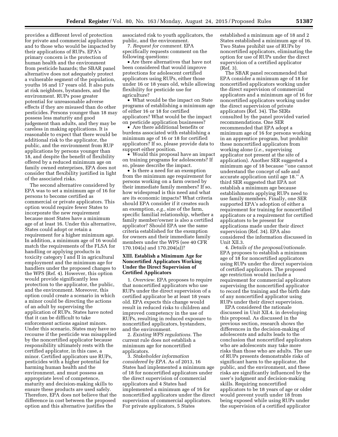provides a different level of protection for private and commercial applicators and to those who would be impacted by their applications of RUPs. EPA's primary concern is the protection of human health and the environment from pesticide hazards; the SBAR panel alternative does not adequately protect a vulnerable segment of the population, youths 16 and 17 years old. It also puts at risk neighbors, bystanders, and the environment. RUPs pose greater potential for unreasonable adverse effects if they are misused than do other pesticides. Persons younger than 18 may possess less maturity and good judgement than adults, and they may be careless in making applications. It is reasonable to expect that there would be additional risk to the applicator, the public, and the environment from RUP applications by persons younger than 18, and despite the benefit of flexibility offered by a reduced minimum age on family owned enterprises, EPA does not consider that flexibility justified in light of the associated risks.

The second alternative considered by EPA was to set a minimum age of 16 for persons to become certified as commercial or private applicators. This option would require fewer States to incorporate the new requirement because most States have a minimum age of at least 16. Under this alternative, States could adopt or retain a requirement for a higher minimum age. In addition, a minimum age of 16 would match the requirements of the FLSA for handling or applying products in toxicity category I and II in agricultural employment and the minimum age for handlers under the proposed changes to the WPS (Ref. 4). However, this option would provide significantly less protection to the applicator, the public, and the environment. Moreover, this option could create a scenario in which a minor could be directing the actions of an adult by supervising the application of RUPs. States have noted that it can be difficult to take enforcement actions against minors. Under this scenario, States may have no recourse if the pesticide was misapplied by the noncertified applicator because responsibility ultimately rests with the certified applicator, in this case, a minor. Certified applicators use RUPs, pesticides with a higher potential for harming human health and the environment, and must possess an appropriate level of competence, maturity and decision-making skills to ensure these products are used safely. Therefore, EPA does not believe that the difference in cost between the proposed option and this alternative justifies the

associated risk to youth applicators, the public, and the environment.

7. *Request for comment.* EPA specifically requests comment on the following questions:

• Are there alternatives that have not been considered that would improve protections for adolescent certified applicators using RUPs, either those under 16 or 18 years old, while allowing flexibility for pesticide use for agriculture?

• What would be the impact on State programs of establishing a minimum age of either 16 or 18 for certified applicators? What would be the impact on pesticide application businesses?

• Are there additional benefits or burdens associated with establishing a minimum age of 16 or 18 for certified applicators? If so, please provide data to support either position.

• Would this proposal have an impact on training programs for adolescents? If so, please describe the impact.

• Is there a need for an exemption from the minimum age requirement for persons working on a farm owned by their immediate family members? If so, how widespread is this need and what are its economic impacts? What criteria should EPA consider if it creates such an exemption, *e.g.,* size of the farm, specific familial relationship, whether a family member/owner is also a certified applicator? Should EPA use the same criteria established for the exemption for owners and their immediate family members under the WPS (see 40 CFR 170.104(a) and 170.204(a))?

#### **XIII. Establish a Minimum Age for Noncertified Applicators Working Under the Direct Supervision of Certified Applicators**

1. *Overview.* EPA proposes to require that noncertified applicators who use RUPs under the direct supervision of a certified applicator be at least 18 years old. EPA expects this change would result in reduced risks to children and improved competency in the use of RUPs, resulting in reduced exposure to noncertified applicators, bystanders, and the environment.

2. *Existing WPS regulations.* The current rule does not establish a minimum age for noncertified applicators.

3. *Stakeholder information considered by EPA.* As of 2013, 16 States had implemented a minimum age of 18 for noncertified applicators under the direct supervision of commercial applicators and 4 States had implemented a minimum age of 16 for noncertified applicators under the direct supervision of commercial applicators. For private applicators, 5 States

established a minimum age of 18 and 2 States established a minimum age of 16. Two States prohibit use of RUPs by noncertified applicators, eliminating the option for use of RUPs under the direct supervision of a certified applicator (Ref. 3).

The SBAR panel recommended that EPA consider a minimum age of 18 for noncertified applicators working under the direct supervision of commercial applicators and a minimum age of 16 for noncertified applicators working under the direct supervision of private applicators (Ref. 34). The SERs consulted by the panel provided varied recommendations. One SER recommended that EPA adopt a minimum age of 16 for persons working in an apprentice program, but prohibit these noncertified applicators from working alone (*i.e.,* supervising applicator not present at the site of application). Another SER suggested a minimum age of 18 because ''one cannot understand the concept of safe and accurate application until age 18.'' A third SER suggested that EPA not establish a minimum age because establishments applying RUPs need to use family members. Finally, one SER supported EPA's adoption of either a requirement for training for noncertified applicators or a requirement for certified applicators to be present for applications made under their direct supervision (Ref. 34). EPA also considered the information discussed in Unit XII.3.

4. *Details of the proposal/rationale.*  EPA proposes to establish a minimum age of 18 for noncertified applicators using RUPs under the direct supervision of certified applicators. The proposed age restriction would include a requirement for commercial applicators supervising the noncertified applicator to record the training and the birth date of any noncertified applicator using RUPs under their direct supervision.

EPA considered the rationale discussed in Unit XII.4. in developing this proposal. As discussed in the previous section, research shows the differences in the decision-making of adolescents and adults leads to the conclusion that noncertified applicators who are adolescents may take more risks than those who are adults. The use of RUPs presents demonstrable risks of significant harm to the applicator, the public, and the environment, and these risks are significantly influenced by the user's judgment and decision-making skills. Requiring noncertified applicators to be 18 years of age or older would prevent youth under 18 from being exposed while using RUPs under the supervision of a certified applicator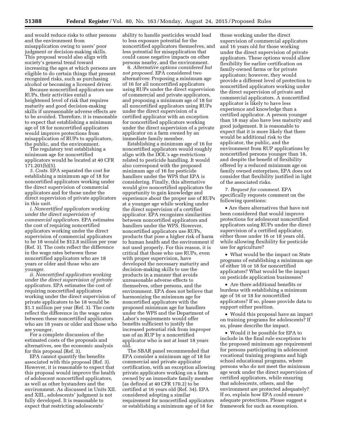Because noncertified applicators use RUPs, their activities entail a heightened level of risk that requires maturity and good decision-making skills if unreasonable adverse effects are to be avoided. Therefore, it is reasonable to expect that establishing a minimum age of 18 for noncertified applicators would improve protections from misapplication of RUPs to applicators, the public, and the environment.

The regulatory text establishing a minimum age for noncertified applicators would be located at 40 CFR 171.201(b)(5).

*5. Costs.* EPA separated the cost for establishing a minimum age of 18 for noncertified applicators working under the direct supervision of commercial applicators and for those under the direct supervision of private applicators in this unit.

*i. Noncertified applicators working under the direct supervision of commercial applicators.* EPA estimates the cost of requiring noncertified applicators working under the direct supervision of commercial applicators to be 18 would be \$12.8 million per year (Ref. 3). The costs reflect the difference in the wage rates between these noncertified applicators who are 18 years or older and those who are younger.

*ii. Noncertified applicators working under the direct supervision of private applicators.* EPA estimates the cost of requiring noncertified applicators working under the direct supervision of private applicators to be 18 would be \$1.1 million per year (Ref. 3). The costs reflect the difference in the wage rates between these noncertified applicators who are 18 years or older and those who are younger.

For a complete discussion of the estimated costs of the proposals and alternatives, see the economic analysis for this proposal (Ref. 3).

EPA cannot quantify the benefits associated with this proposal (Ref. 3). However, it is reasonable to expect that this proposal would improve the health of adolescent noncertified applicators, as well as other bystanders and the environment. As discussed in Units XII. and XIII., adolescents' judgment is not fully developed. It is reasonable to expect that restricting adolescents'

ability to handle pesticides would lead to less exposure potential for the noncertified applicators themselves, and less potential for misapplication that could cause negative impacts on other persons nearby, and the environment.

6. *Alternative options considered but not proposed.* EPA considered two alternatives: Proposing a minimum age of 16 for all noncertified applicators using RUPs under the direct supervision of commercial and private applicators, and proposing a minimum age of 18 for all noncertified applicators using RUPs under the direct supervision of a certified applicator with an exception for noncertified applicators working under the direct supervision of a private applicator on a farm owned by an immediate family member.

Establishing a minimum age of 16 for noncertified applicators would roughly align with the DOL's age restrictions related to pesticide handling. It would also correspond with the proposed minimum age of 16 for pesticide handlers under the WPS that EPA is considering. Finally, this alternative would give noncertified applicators the opportunity to gain knowledge and experience about the proper use of RUPs at a younger age while working under the direct supervision of a certified applicator. EPA recognizes similarities between noncertified applicators and handlers under the WPS. However, noncertified applicators use RUPs, products that pose a higher risk of harm to human health and the environment if not used properly. For this reason, it is critical that those who use RUPs, even with proper supervision, have developed the necessary maturity and decision-making skills to use the products in a manner that avoids unreasonable adverse effects to themselves, other persons, and the environment. EPA does not believe that harmonizing the minimum age for noncertified applicators with the proposed minimum age for handlers under the WPS and the Department of Labor's requirements would offer benefits sufficient to justify the increased potential risk from improper use of an RUP by a noncertified applicator who is not at least 18 years old.

The SBAR panel recommended that EPA consider a minimum age of 18 for commercial and private applicator certification, with an exception allowing private applicators working on a farm owned by an immediate family member (as defined at 40 CFR 170.2) to be certified at 16 years old (Ref. 34). EPA considered adopting a similar requirement for noncertified applicators or establishing a minimum age of 18 for

those working under the direct supervision of commercial applicators and 16 years old for those working under the direct supervision of private applicators. These options would allow flexibility for earlier certification on family-owned farms or for private applicators; however, they would provide a different level of protection to noncertified applicators working under the direct supervision of private and commercial applicators. A noncertified applicator is likely to have less experience and knowledge than a certified applicator. A person younger than 18 may also have less maturity and good judgement. It is reasonable to expect that it is more likely that there would be additional risk to the applicator, the public, and the environment from RUP applications by noncertified persons younger than 18, and despite the benefit of flexibility offered by a reduced minimum age on family owned enterprises, EPA does not consider that flexibility justified in light of the associated risks.

7. *Request for comment.* EPA specifically requests comment on the following questions:

• Are there alternatives that have not been considered that would improve protections for adolescent noncertified applicators using RUPs under the direct supervision of a certified applicator, either those under 16 or 18 years old, while allowing flexibility for pesticide use for agriculture?

• What would be the impact on State programs of establishing a minimum age of either 16 or 18 for noncertified applicators? What would be the impact on pesticide application businesses?

• Are there additional benefits or burdens with establishing a minimum age of 16 or 18 for noncertified applicators? If so, please provide data to support either position.

• Would this proposal have an impact on training programs for adolescents? If so, please describe the impact.

• Would it be possible for EPA to include in the final rule exceptions to the proposed minimum age requirement for persons participating in adolescent vocational training programs and high school educational programs, where persons who do not meet the minimum age work under the direct supervision of certified applicators, while ensuring that adolescents, others, and the environment are protected adequately? If so, explain how EPA could ensure adequate protections. Please suggest a framework for such an exemption.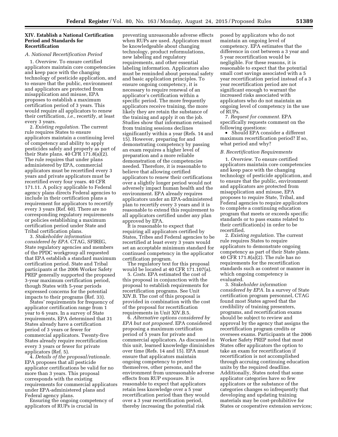#### **XIV. Establish a National Certification Period and Standards for Recertification**

#### *A. National Recertification Period*

1. *Overview.* To ensure certified applicators maintain core competencies and keep pace with the changing technology of pesticide application, and to ensure that the public, environment and applicators are protected from misapplication and misuse, EPA proposes to establish a maximum certification period of 3 years. This would require all applicators to renew their certification, *i.e.,* recertify, at least every 3 years.

2. *Existing regulation.* The current rule requires States to ensure applicators maintain a continuing level of competency and ability to apply pesticides safely and properly as part of their State plans.  $40$  CFR  $171.8(a)(2)$ . The rule requires that under plans administered by EPA, commercial applicators must be recertified every 3 years and private applicators must be recertified every four years. 40 CFR 171.11. A policy applicable to Federal agency plans directs Federal agencies to include in their certification plans a requirement for applicators to recertify every 3 years (Ref. 60). There are no corresponding regulatory requirements or policies establishing a maximum certification period under State and Tribal certification plans.

3. *Stakeholder information considered by EPA.* CTAG, SFIREG, State regulatory agencies and members of the PPDC workgroup all requested that EPA establish a standard maximum certification period. State and Tribal participants at the 2006 Worker Safety PREP generally supported the proposed 3-year maximum certification period, though States with 5-year periods expressed concerns for the potential impacts to their programs (Ref. 33).

States' requirements for frequency of applicator certification range from 1 year to 6 years. In a survey of State requirements, EPA determined that 31 States already have a certification period of 3 years or fewer for commercial applicators. Twenty-five States already require recertification every 3 years or fewer for private applicators (Ref. 5).

4. *Details of the proposal/rationale.*  EPA proposes that all pesticide applicator certifications be valid for no more than 3 years. This proposal corresponds with the existing requirements for commercial applicators under EPA-administered plans and Federal agency plans.

Ensuring the ongoing competency of applicators of RUPs is crucial in

preventing unreasonable adverse effects when RUPs are used. Applicators must be knowledgeable about changing technology, product reformulations, new labeling and regulatory requirements, and other essential labeling information. Applicators also must be reminded about personal safety and basic application principles. To ensure ongoing competency, it is necessary to require renewal of an applicator's certification within a specific period. The more frequently applicators receive training, the more likely they are retain the substance of the training and apply it on the job. Studies show that information retained from training sessions declines significantly within a year (Refs. 14 and 15). However, preparing for and demonstrating competency by passing an exam requires a higher level of preparation and a more reliable demonstration of the competencies needed. Therefore, it is reasonable to believe that allowing certified applicators to renew their certifications over a slightly longer period would not adversely impact human health and the environment. EPA already requires applicators under an EPA-administered plan to recertify every 3 years and it is reasonable to extend this requirement to all applicators certified under any plan approved by EPA.

It is reasonable to expect that requiring all applicators certified by States, Tribes and Federal agencies to be recertified at least every 3 years would set an acceptable minimum standard for continued competency in the applicator certification program.

The regulatory text for this proposal would be located at 40 CFR  $171.107(a)$ .

5. *Costs.* EPA estimated the cost of this proposal in conjunction with the proposal to establish requirements for recertification programs. See Unit XIV.B. The cost of this proposal is provided in combination with the cost of the proposal for recertification requirements in Unit XIV.B.5.

6. *Alternative options considered by EPA but not proposed.* EPA considered proposing a maximum certification period of 5 years for private and commercial applicators. As discussed in this unit, learned knowledge diminishes over time (Refs. 14 and 15). EPA must ensure that applicators maintain ongoing competency to protect themselves, other persons, and the environment from unreasonable adverse effects from RUP exposure. It is reasonable to expect that applicators retain less knowledge over a 5 year recertification period than they would over a 3 year recertification period, thereby increasing the potential risk

posed by applicators who do not maintain an ongoing level of competency. EPA estimates that the difference in cost between a 3 year and 5 year recertification would be negligible. For these reasons, it is reasonable to expect that the potential small cost savings associated with a 5 year recertification period instead of a 3 year recertification period are not significant enough to warrant the increased risks associated with applicators who do not maintain an ongoing level of competency in the use of RUPs.

7. *Request for comment.* EPA specifically requests comment on the following questions:

• Should EPA consider a different maximum recertification period? If so, what period and why?

#### *B. Recertification Requirements*

1. *Overview.* To ensure certified applicators maintain core competencies and keep pace with the changing technology of pesticide application, and to ensure that the public, environment and applicators are protected from misapplication and misuse, EPA proposes to require State, Tribal, and Federal agencies to require applicators to complete a continuing education program that meets or exceeds specific standards or to pass exams related to their certification(s) in order to be recertified.

2. *Existing regulation.* The current rule requires States to require applicators to demonstrate ongoing competency as part of their State plans. 40 CFR 171.8(a)(2). The rule has no requirements for the recertification standards such as content or manner in which ongoing competency is evaluated.

3. *Stakeholder information considered by EPA.* In a survey of State certification program personnel, CTAG found most States agreed that the credibility of training presenters, programs, and recertification exams should be subject to review and approval by the agency that assigns the recertification program credits or oversees exams. Participants at the 2006 Worker Safety PREP noted that most States offer applicators the option to take an exam for recertification if recertification is not accomplished through accruing continuing education units by the required deadline. Additionally, States noted that some applicator categories have so few applicators or the substance of the categories changes so infrequently that developing and updating training materials may be cost-prohibitive for States or cooperative extension services;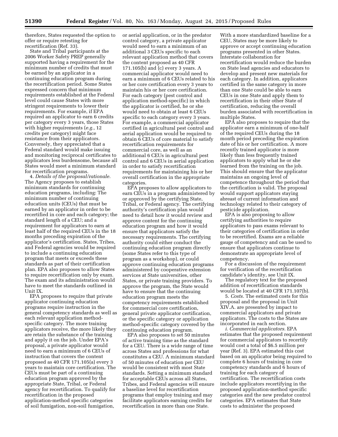therefore, States requested the option to offer or require retesting for recertification (Ref. 33).

State and Tribal participants at the 2006 Worker Safety PREP generally supported having a requirement for the minimum number of credits that must be earned by an applicator in a continuing education program during the recertification period. Some States expressed concern that minimum requirements established at the Federal level could cause States with more stringent requirements to lower their requirements. For example, if EPA required an applicator to earn 6 credits per category every 3 years, those States with higher requirements (*e.g.,* 12 credits per category) might face resistance from their applicators. Conversely, they appreciated that a Federal standard would make issuing and monitoring reciprocal certificates to applicators less burdensome, because all States would meet a minimum standard for recertification programs.

4. *Details of the proposal/rationale.*  The Agency proposes to establish minimum standards for continuing education programs, including: The minimum number of continuing education units (CEUs) that must be earned by an applicator in order to be recertified in core and each category; the standard length of a CEU; and a requirement for applicators to earn at least half of the required CEUs in the 18 months preceding expiration of the applicator's certification. States, Tribes, and Federal agencies would be required to include a continuing education program that meets or exceeds these standards as part of their certification plan. EPA also proposes to allow States to require recertification only by exam. The exam and its administration would have to meet the standards outlined in Unit IX.

EPA proposes to require that private applicator continuing education programs require instruction in the general competency standards as well as each relevant application methodspecific category. The more training applicators receive, the more likely they are retain the substance of the training and apply it on the job. Under EPA's proposal, a private applicator would need to earn a minimum of 6 CEUs of instruction that covers the content proposed as 40 CFR 171.105(a) every 3 years to maintain core certification. The CEUs must be part of a continuing education program approved by the appropriate State, Tribal, or Federal agency for recertification. To qualify for recertification in the proposed application-method specific categories of soil fumigation, non-soil fumigation,

or aerial application, or in the predator control category, a private applicator would need to earn a minimum of an additional 3 CEUs specific to each relevant application method that covers the content proposed as 40 CFR 171.105(b) and (c) every 3 years. A commercial applicator would need to earn a minimum of 6 CEUs related to his or her core certification every 3 years to maintain his or her core certification. For each category (pest control and application method-specific) in which the applicator is certified, he or she would need to obtain at least 6 CEUs specific to each category every 3 years. For example, a commercial applicator certified in agricultural pest control and aerial application would be required to obtain 6 CEUs of core material to satisfy recertification requirements for commercial core, as well as an additional 6 CEUs in agricultural pest control and 6 CEUs in aerial application in order to satisfy recertification requirements for maintaining his or her overall certification in the appropriate categories.

EPA proposes to allow applicators to earn CEUs in a program administered by or approved by the certifying State, Tribal, or Federal agency. The certifying authority's certification plan would need to detail how it would review and approve content for the continuing education program and how it would ensure that applicators satisfy the necessary requirements. The certifying authority could either conduct the continuing education program directly (some States refer to this type of program as a workshop), or could approve continuing education programs administered by cooperative extension services at State universities, other States, or private training providers. To approve the program, the State would have to ensure that the continuing education program meets the competency requirements established for commercial core certification, general private applicator certification, or the specific category or application method-specific category covered by the continuing education program.

EPA also proposes to set 50 minutes of active training time as the standard for a CEU. There is a wide range of time across States and professions for what constitutes a CEU. A minimum standard of 50 minutes of education per CEU would be consistent with most State standards. Setting a minimum standard for acceptable CEUs across all States, Tribes, and Federal agencies will ensure a baseline level for recertification programs that employ training and may facilitate applicators earning credits for recertification in more than one State.

With a more standardized baseline for a CEU, States may be more likely to approve or accept continuing education programs presented in other States. Interstate collaboration for recertification would reduce the burden on State lead agencies and educators to develop and present new materials for each category. In addition, applicators certified in the same category in more than one State could be able to earn CEUs in one State and apply them to recertification in their other State of certification, reducing the overall burden associated with recertification in multiple States.

EPA also proposes to require that the applicator earn a minimum of one-half of the required CEUs during the 18 month period preceding the expiration date of his or her certification. A more recently trained applicator is more likely than less frequently trained applicators to apply what he or she learned from the training on the job. This should ensure that the applicator maintains an ongoing level of competence throughout the period that the certification is valid. The proposal would support applicators staying abreast of current information and technology related to their category of pesticide application.

EPA is also proposing to allow certifying authorities to require applicators to pass exams relevant to their categories of certification in order to be recertified. Exams are a reliable gauge of competency and can be used to ensure that applicators continue to demonstrate an appropriate level of competency.

For a discussion of the requirement for verification of the recertification candidate's identity, see Unit IX.

The regulatory text for the proposed addition of recertification standards would be located at 40 CFR 171.107(b).

5. *Costs.* The estimated costs for this proposal and the proposal in Unit XIV.A. are presented by impact to commercial applicators and private applicators. The costs to the States are incorporated in each section.

*i. Commercial applicators.* EPA estimates that the proposed requirement for commercial applicators to recertify would cost a total of \$6.5 million per year (Ref. 3). EPA estimated this cost based on an applicator being required to complete 6 hours of training in core competency standards and 6 hours of training for each category of certification. The recertification costs include applicators recertifying in the proposed application-method specific categories and the new predator control categories. EPA estimates that State costs to administer the proposed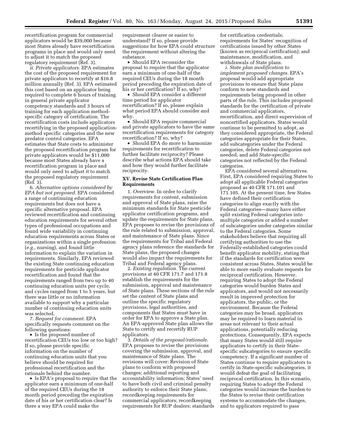recertification program for commercial applicators would be \$39,000 because most States already have recertification programs in place and would only need to adjust it to match the proposed regulatory requirement (Ref. 3).

*ii. Private applicators.* EPA estimates the cost of the proposed requirement for private applicators to recertify at \$16.8 million annually (Ref. 3). EPA estimated this cost based on an applicator being required to complete 6 hours of training in general private applicator competency standards and 3 hours of training for each application methodspecific category of certification. The recertification costs include applicators recertifying in the proposed applicationmethod specific categories and the new predator control categories. EPA estimates that State costs to administer the proposed recertification program for private applicators would be \$11,000 because most States already have a recertification program in place and would only need to adjust it to match the proposed regulatory requirement (Ref. 3).

6. *Alternative options considered by EPA but not proposed.* EPA considered a range of continuing education requirements but does not have a specific alternative proposal. EPA reviewed recertification and continuing education requirements for several other types of professional occupations and found wide variability in continuing education requirements across States or organizations within a single profession (*e.g.,* nursing), and found little information to explain the variation in requirements. Similarly, EPA reviewed the existing State continuing education requirements for pesticide applicator recertification and found that the requirements ranged from two up to 40 continuing education units per cycle, and cycles ranged from 1 to 5 years, but there was little or no information available to support why a particular number of continuing education units was selected.

7. *Request for comment.* EPA specifically requests comment on the following questions:

• Is the proposed number of recertification CEUs too low or too high? If so, please provide specific information on the number of continuing education units that you believe should be required for professional recertification and the rationale behind the number.

• Is EPA's proposal to require that the applicator earn a minimum of one-half of the required CEUs during the 18 month period preceding the expiration date of his or her certification clear? Is there a way EPA could make the

requirement clearer or easier to understand? If so, please provide suggestions for how EPA could structure the requirement without altering the substance.

• Should EPA reconsider the proposal to require that the applicator earn a minimum of one-half of the required CEUs during the 18 month period preceding the expiration date of his or her certification? If so, why?

• Should EPA consider a different time period for applicator recertification? If so, please explain what period EPA should consider and why.

• Should EPA require commercial and private applicators to have the same recertification requirements for category recertification? If so, why?

• Should EPA do more to harmonize requirements for recertification to further facilitate reciprocity? Please describe what actions EPA should take and how they would further facilitate reciprocity.

#### **XV. Revise State Certification Plan Requirements**

1. *Overview.* In order to clarify requirements for content, submission and approval of State plans, raise the minimum standards for State pesticide applicator certification programs, and update the requirements for State plans, EPA proposes to revise the provisions of the rule related to submission, approval, and maintenance of State plans. Since the requirements for Tribal and Federal agency plans reference the standards for State plans, the proposed changes would also impact the requirements for Tribal and Federal agency plans.

2. *Existing regulation.* The current provisions at 40 CFR 171.7 and 171.8 establish the requirements for the submission, approval and maintenance of State plans. These sections of the rule set the content of State plans and outline the specific regulatory provisions, legal authorities, and components that States must have in order for EPA to approve a State plan. An EPA-approved State plan allows the State to certify and recertify RUP applicators.

3. *Details of the proposal/rationale.*  EPA proposes to revise the provisions covering the submission, approval, and maintenance of State plans. The revisions will cover: Revision of State plans to conform with proposed changes; additional reporting and accountability information; States' need to have both civil and criminal penalty authority to enforce their State plans; recordkeeping requirements for commercial applicators; recordkeeping requirements for RUP dealers; standards

for certification credentials; requirements for States' recognition of certifications issued by other States (known as reciprocal certification); and maintenance, modification, and withdrawals of State plans.

*i. State plan modification to implement proposed changes.* EPA's proposal would add appropriate provisions to ensure that State plans conform to new standards and requirements being proposed in other parts of the rule. This includes proposed standards for the certification of private and commercial applicators, recertification, and direct supervision of noncertified applicators. States would continue to be permitted to adopt, as they considered appropriate, the Federal categories appropriate for their States, add subcategories under the Federal categories, delete Federal categories not needed, and add State-specific categories not reflected by the Federal categories.

EPA considered several alternatives. First, EPA considered requiring States to adopt all applicable Federal categories proposed as 40 CFR 171.101 and 171.105. At the present time, few States have defined their certification categories to align exactly with the Federal categories—many have either split existing Federal categories into multiple categories or added a number of subcategories under categories similar to the Federal categories. Some stakeholders believe that requiring all certifying authorities to use the Federally-established categories could benefit applicator mobility, stating that if the standards for certification were consistent across States, States would be able to more easily evaluate requests for reciprocal certification. However, requiring States to adopt the Federal categories would burden States and applicators, and would not necessarily result in improved protection for applicators, the public, or the environment. Because the Federal categories may be broad, applicators may be required to learn material in areas not relevant to their actual applications, potentially reducing protections. Consequently, EPA expects that many States would still require applicators to certify in their Statespecific subcategories to ensure specific competency. If a significant number of States continue to require applicators to certify in State-specific subcategories, it would defeat the goal of facilitating reciprocal certification. In this scenario, requiring States to adopt the Federal categories would increase the burden to the States to revise their certification systems to accommodate the changes, and to applicators required to pass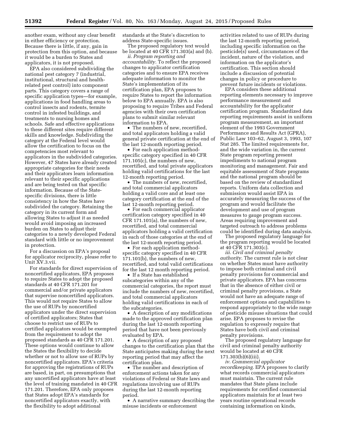another exam, without any clear benefit in either efficiency or protection. Because there is little, if any, gain in protection from this option, and because it would be a burden to States and applicators, it is not proposed.

EPA also considered subdividing the national pest category 7 (industrial, institutional, structural and healthrelated pest control) into component parts. This category covers a range of specific application types—for example, applications in food handling areas to control insects and rodents, termite control in infested buildings, and treatments to nursing homes and schools. Safe and effective applications to these different sites require different skills and knowledge. Subdividing the category at the Federal level would allow the certification to focus on the competencies most relevant to applicators in the subdivided categories. However, 47 States have already created appropriate categories for their needs and their applicators learn information relevant to their specific applications and are being tested on that specific information. Because of the Statespecific divisions, there is little consistency in how the States have subdivided the category. Retaining the category in its current form and allowing States to adjust it as needed would avoid imposing an increased burden on States to adjust their categories to a newly developed Federal standard with little or no improvement in protection.

For a discussion on EPA's proposal for applicator reciprocity, please refer to Unit XV.3.vii.

For standards for direct supervision of noncertified applicators, EPA proposes to require States to adopt the proposed standards at 40 CFR 171.201 for commercial and/or private applicators that supervise noncertified applicators. This would not require States to allow the use of RUPs by noncertified applicators under the direct supervision of certified applicators; States that choose to restrict use of RUPs to certified applicators would be exempted from the requirement to adopt the proposed standards as 40 CFR 171.201. These options would continue to allow the States the flexibility to decide whether or not to allow use of RUPs by noncertified applicators. EPA's criteria for approving the registrations of RUPs are based, in part, on presumptions that any uncertified applicators have at least the level of training mandated in 40 CFR 171.201. Therefore, EPA only proposes that States adopt EPA's standards for noncertified applicators exactly, with the flexibility to adopt additional

standards at the State's discretion to address State-specific issues.

The proposed regulatory text would be located at 40 CFR 171.303(a) and (b).

*ii. Program reporting and accountability.* To reflect the proposed changes to applicator certification categories and to ensure EPA receives adequate information to monitor the State's implementation of its certification plan, EPA proposes to require States to report the information below to EPA annually. EPA is also proposing to require Tribes and Federal agencies with their own certification plans to submit similar relevant information to EPA.

• The numbers of new, recertified, and total applicators holding a valid general private certification at the end of the last 12-month reporting period.

• For each application methodspecific category specified in 40 CFR 171.105(c), the numbers of new, recertified, and total private applicators holding valid certifications for the last 12-month reporting period.

• The numbers of new, recertified, and total commercial applicators holding a valid core and at least one category certification at the end of the last 12-month reporting period.

• For each commercial applicator certification category specified in 40 CFR 171.101(a), the numbers of new, recertified, and total commercial applicators holding a valid certification in each of those categories at the end of the last 12-month reporting period.

• For each application methodspecific category specified in 40 CFR 171.101(b), the numbers of new, recertified, and total valid certifications for the last 12 month reporting period.

• If a State has established subcategories within any of the commercial categories, the report must include the numbers of new, recertified, and total commercial applicators holding valid certifications in each of the subcategories.

• A description of any modifications made to the approved certification plan during the last 12-month reporting period that have not been previously evaluated by EPA.

• A description of any proposed changes to the certification plan that the State anticipates making during the next reporting period that may affect the certification plan.

• The number and description of enforcement actions taken for any violations of Federal or State laws and regulations involving use of RUPs during the last 12-month reporting period.

• A narrative summary describing the misuse incidents or enforcement

activities related to use of RUPs during the last 12-month reporting period, including specific information on the pesticide(s) used, circumstances of the incident, nature of the violation, and information on the applicator's certification. This section should include a discussion of potential changes in policy or procedure to prevent future incidents or violations.

EPA considers these additional reporting elements necessary to improve performance measurement and accountability for the applicator certification program. Standardized data reporting requirements assist in uniform program measurement, an important element of the 1993 Government Performance and Results Act (GPRA), Public Law 103–62, August 3, 1993, 107 Stat 285. The limited requirements for, and the wide variation in, the current State program reporting present impediments to national program monitoring and management. Fair and equitable assessment of State programs and the national program should be based on the review of standardized reports. Uniform data collection and submission would assist EPA in accurately measuring the success of the program and would facilitate the development and use of program measures to gauge program success. Areas requiring improvement and targeted outreach to address problems could be identified during data analysis.

The proposed regulatory language for the program reporting would be located at 40 CFR 171.303(c).

*iii. Civil and criminal penalty authority.* The current rule is not clear on whether States must have authority to impose both criminal and civil penalty provisions for commercial and private applicators. EPA has concerns that in the absence of either civil or criminal penalty provisions, a State would not have an adequate range of enforcement options and capabilities to respond appropriately to the wide range of pesticide misuse situations that could arise. EPA proposes to revise the regulation to expressly require that States have both civil and criminal penalty provisions.

The proposed regulatory language for civil and criminal penalty authority would be located at 40 CFR 171.303(b)(6)(iii).

*iv. Commercial applicator recordkeeping.* EPA proposes to clarify what records commercial applicators must maintain. The current rule mandates that State plans include requirements for certified commercial applicators maintain for at least two years routine operational records containing information on kinds,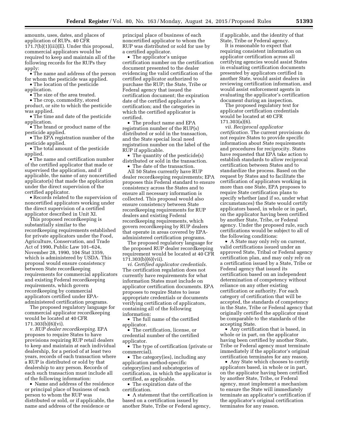amounts, uses, dates, and places of application of RUPs. 40 CFR 171.7(b)(1)(iii)(E). Under this proposal, commercial applicators would be required to keep and maintain all of the following records for the RUPs they apply:

• The name and address of the person for whom the pesticide was applied.

• The location of the pesticide application.

• The size of the area treated.

• The crop, commodity, stored product, or site to which the pesticide was applied.

• The time and date of the pesticide application.

• The brand or product name of the pesticide applied.

• The EPA registration number of the pesticide applied.

• The total amount of the pesticide applied.

• The name and certification number of the certified applicator that made or supervised the application, and if applicable, the name of any noncertified applicator(s) that made the application under the direct supervision of the certified applicator.

• Records related to the supervision of noncertified applicators working under the direct supervision of a certified applicator described in Unit XI.

This proposed recordkeeping is substantially similar to the recordkeeping requirements established for private applicators under the Food, Agriculture, Conservation, and Trade Act of 1990, Public Law 101–624, November 28, 1990, 104 Stat 3359, which is administered by USDA. This proposal would ensure consistency between State recordkeeping requirements for commercial applicators and existing Federal recordkeeping requirements, which govern recordkeeping by commercial applicators certified under EPAadministered certification programs.

The proposed regulatory language for commercial applicator recordkeeping would be located at 40 CFR 171.303(b)(6)(vi).

*v. RUP dealer recordkeeping.* EPA proposes to require States to have provisions requiring RUP retail dealers to keep and maintain at each individual dealership, for a period of at least two years, records of each transaction where a RUP is distributed or sold by that dealership to any person. Records of each such transaction must include all of the following information:

• Name and address of the residence or principal place of business of each person to whom the RUP was distributed or sold, or if applicable, the name and address of the residence or

principal place of business of each noncertified applicator to whom the RUP was distributed or sold for use by a certified applicator.

• The applicator's unique certification number on the certification document presented to the dealer evidencing the valid certification of the certified applicator authorized to purchase the RUP; the State, Tribe or Federal agency that issued the certification document; the expiration date of the certified applicator's certification; and the categories in which the certified applicator is certified.

• The product name and EPA registration number of the RUP(s) distributed or sold in the transaction, and the State special local need registration number on the label of the RUP if applicable.

• The quantity of the pesticide(s) distributed or sold in the transaction.

The date of the transaction.

All 50 States currently have RUP dealer recordkeeping requirements; EPA proposes this Federal standard to ensure consistency across the States and to ensure all necessary information is collected. This proposal would also ensure consistency between State recordkeeping requirements for RUP dealers and existing Federal recordkeeping requirements, which govern recordkeeping by RUP dealers that operate in areas covered by EPAadministered certification programs.

The proposed regulatory language for the proposed RUP dealer recordkeeping requirement would be located at 40 CFR 171.303(b)(6)(vii).

*vi. Certified applicator credentials.*  The certification regulation does not currently have requirements for what information States must include on applicator certification documents. EPA proposes to require States to issue appropriate credentials or documents verifying certification of applicators, containing all of the following information:

• The full name of the certified applicator.

• The certification, license, or credential number of the certified applicator.

• The type of certification (private or commercial).

• The category (ies), including any application method-specific category(ies) and subcategories of certification, in which the applicator is certified, as applicable.

• The expiration date of the certification.

• A statement that the certification is based on a certification issued by another State, Tribe or Federal agency,

if applicable, and the identity of that State, Tribe or Federal agency.

It is reasonable to expect that requiring consistent information on applicator certification across all certifying agencies would assist States in evaluating certification documents presented by applicators certified in another State, would assist dealers in reviewing certification information, and would assist enforcement agents in evaluating the applicator's certification document during an inspection.

The proposed regulatory text for applicator certification credentials would be located at 40 CFR 171.303(a)(6).

*vii. Reciprocal applicator certification.* The current provisions do not require States to provide specific information about State requirements and procedures for reciprocity. States have requested that EPA take action to establish standards to allow reciprocal certification between States and to standardize the process. Based on the request by States and to facilitate the certification of applicators working in more than one State, EPA proposes to require State certification plans to specify whether (and if so, under what circumstances) the State would certify applicators based, in whole or in part, on the applicator having been certified by another State, Tribe, or Federal agency. Under the proposed rule, such certifications would be subject to all of the following conditions:

• A State may only rely on current, valid certifications issued under an approved State, Tribal or Federal agency certification plan, and may only rely on a certification issued by a State, Tribe or Federal agency that issued its certification based on an independent determination of competency without reliance on any other existing certification or authority. For each category of certification that will be accepted, the standards of competency in the State, Tribe or Federal agency that originally certified the applicator must be comparable to the standards of the accepting State.

• Any certification that is based, in whole or in part, on the applicator having been certified by another State, Tribe or Federal agency must terminate immediately if the applicator's original certification terminates for any reason.

• Any State which chooses to certify applicators based, in whole or in part, on the applicator having been certified by another State, Tribe, or Federal agency, must implement a mechanism to ensure the State will immediately terminate an applicator's certification if the applicator's original certification terminates for any reason.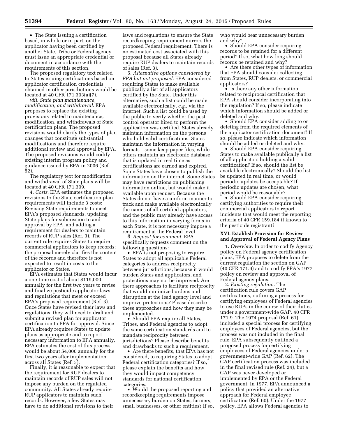• The State issuing a certification based, in whole or in part, on the applicator having been certified by another State, Tribe or Federal agency must issue an appropriate credential or document in accordance with the requirements of this section.

The proposed regulatory text related to States issuing certifications based on applicator certification credentials obtained in other jurisdictions would be located at 40 CFR 171.303(a)(7).

*viii. State plan maintenance, modification, and withdrawal.* EPA proposes to replace the existing provisions related to maintenance, modification, and withdrawals of State certification plans. The proposed revisions would clarify the types of plan changes that constitute substantial modifications and therefore require additional review and approval by EPA. The proposed revisions would codify existing interim program policy and guidance issued by EPA in 2006 (Ref. 52).

The regulatory text for modification and withdrawal of State plans will be located at 40 CFR 171.309.

4. *Costs.* EPA estimates the proposed revisions to the State certification plan requirements will include 3 costs: Revising State requirements to meet EPA's proposed standards, updating State plans for submission to and approval by EPA, and adding a requirement for dealers to maintain records of RUP sales (Ref. 3). The current rule requires States to require commercial applicators to keep records; the proposal merely clarifies the content of the records and therefore is not expected to result in costs to the applicator or States.

EPA estimates that States would incur a one-time cost of about \$119,000 annually for the first two years to revise and finalize pesticide applicator laws and regulations that meet or exceed EPA's proposed requirement (Ref. 3). Once States have revised their laws and regulations, they will need to draft and submit a revised plan for applicator certification to EPA for approval. Since EPA already requires States to update plans as appropriate and to report necessary information to EPA annually, EPA estimates the cost of this process would be about \$4,000 annually for the first two years after implementation across all States (Ref. 3).

Finally, it is reasonable to expect that the requirement for RUP dealers to maintain records of RUP sales will not impose any burden on the regulated community. All States already require RUP applicators to maintain such records. However, a few States may have to do additional revisions to their

laws and regulations to ensure the State recordkeeping requirement mirrors the proposed Federal requirement. There is no estimated cost associated with this proposal because all States already require RUP dealers to maintain records of sales (Ref. 3).

5. *Alternative options considered by EPA but not proposed.* EPA considered requiring States to make available publically a list of all applicators certified by the State. Under this alternative, such a list could be made available electronically, *e.g.,* via the internet. Such a list could be used by the public to verify whether the pest control operator hired to perform the application was certified. States already maintain information on the persons who hold valid certifications. States maintain the information in varying formats—some keep paper files, while others maintain an electronic database that is updated in real time as certifications are earned and expired. Some States have chosen to publish the information on the internet. Some States may have restrictions on publishing information online, but would make it available upon request. Because the States do not have a uniform manner to track and make available electronically the names of all certified applicators, and the public may already have access to this information in varying forms in each State, it is not necessary impose a requirement at the Federal level.

6. *Request for comment.* EPA specifically requests comment on the following questions:

• EPA is not proposing to require States to adopt all applicable Federal categories to address reciprocity between jurisdictions, because it would burden States and applicators, and protections may not be improved. Are there approaches to facilitate reciprocity that would minimize burdens and disruption at the lead agency level and improve protections? Please describe these approaches and how they may be implemented.

• Should EPA require all States, Tribes, and Federal agencies to adopt the same certification standards and to mandate reciprocity between jurisdictions? Please describe benefits and drawbacks to such a requirement.

• Are there benefits, that EPA has not considered, to requiring States to adopt Federal certification categories? If so, please explain the benefits and how they would impact competency standards for national certification categories.

• Would the proposed reporting and recordkeeping requirements impose unnecessary burden on States, farmers, small businesses, or other entities? If so, who would bear unnecessary burden and why?

• Should EPA consider requiring records to be retained for a different period? If so, what how long should records be retained and why?

• Are there other types of information that EPA should consider collecting from States, RUP dealers, or commercial applicators?

• Is there any other information related to reciprocal certification that EPA should consider incorporating into the regulation? If so, please indicate which information should be added or deleted and why.

• Should EPA consider adding to or deleting from the required elements of the applicator certification document? If so, please indicate which information should be added or deleted and why.

• Should EPA consider requiring States to make available publically a list of all applicators holding a valid certification? If so, should the list be available electronically? Should the list be updated in real time, or would periodic updates be acceptable? If periodic updates are chosen, what period would be reasonable?

• Should EPA consider requiring certifying authorities to require their commercial applicators to report incidents that would meet the reporting criteria of 40 CFR 159.184 if known to the pesticide registrant?

#### **XVI. Establish Provision for Review and Approval of Federal Agency Plans**

1. *Overview.* In order to codify Agency policy on Federal agency certification plans, EPA proposes to delete from the current regulation the section on GAP (40 CFR 171.9) and to codify EPA's 1977 policy on review and approval of Federal agency plans.

2. *Existing regulation.* The certification rule covers GAP certifications, outlining a process for certifying employees of Federal agencies to use RUPs in the course of their duties under a government-wide GAP. 40 CFR 171.9. The 1974 proposal (Ref. 61) included a special process for certifying employees of Federal agencies, but the process was not included in the final rule. EPA subsequently outlined a proposed process for certifying employees of Federal agencies under a government-wide GAP (Ref. 62). The GAP certification process was included in the final revised rule (Ref. 24), but a GAP was never developed or implemented by EPA or the Federal government. In 1977, EPA announced a policy that provided an alternative approach for Federal employee certification (Ref. 60). Under the 1977 policy, EPA allows Federal agencies to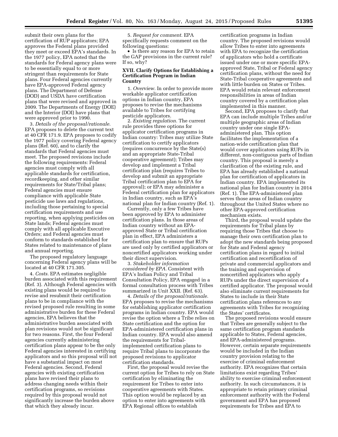submit their own plans for the certification of RUP applicators; EPA approves the Federal plans provided they meet or exceed EPA's standards. In the 1977 policy, EPA noted that the standards for Federal agency plans were to be essentially equal to or more stringent than requirements for State plans. Four Federal agencies currently have EPA-approved Federal agency plans. The Department of Defense (DOD) and USDA have certification plans that were revised and approved in 2009. The Departments of Energy (DOE) and the Interior (DOI) have plans that were approved prior to 1990.

3. *Details of the proposal/rationale.*  EPA proposes to delete the current text at 40 CFR 171.9. EPA proposes to codify the 1977 policy covering Federal agency plans (Ref. 60), and to clarify the standards that Federal agencies must meet. The proposed revisions include the following requirements: Federal agencies must comply with all applicable standards for certification, recordkeeping, and other similar requirements for State/Tribal plans; Federal agencies must ensure compliance with applicable State pesticide use laws and regulations, including those pertaining to special certification requirements and use reporting, when applying pesticides on State lands; Federal agencies must comply with all applicable Executive Orders; and Federal agencies must conform to standards established for States related to maintenance of plans and annual reporting.

The proposed regulatory language concerning Federal agency plans will be located at 40 CFR 171.305.

4. *Costs.* EPA estimates negligible burden associated with this requirement (Ref. 3). Although Federal agencies with existing plans would be required to revise and resubmit their certification plans to be in compliance with the revised proposed rule resulting in some administrative burden for these Federal agencies, EPA believes that the administrative burden associated with plan revisions would not be significant for two reasons. First, the four Federal agencies currently administering certification plans appear to be the only Federal agencies interested in certifying applicators and so this proposal will not have a substantial impact on most Federal agencies. Second, Federal agencies with existing certification plans have revised their plans to address changing needs within their certification programs, so revisions required by this proposal would not significantly increase the burden above that which they already incur.

5. *Request for comment.* EPA specifically requests comment on the following questions:

• Is there any reason for EPA to retain the GAP provisions in the current rule? If so, why?

#### **XVII. Clarify Options for Establishing a Certification Program in Indian Country**

1. *Overview.* In order to provide more workable applicator certification options in Indian country, EPA proposes to revise the mechanisms available to Tribes for certifying pesticide applicators.

2. *Existing regulation.* The current rule provides three options for applicator certification programs in Indian country: Tribes may utilize State certification to certify applicators (requires concurrence by the State(s) and an appropriate State-Tribal cooperative agreement); Tribes may develop and implement a Tribal certification plan (requires Tribes to develop and submit an appropriate Tribal certification plan to EPA for approval); or EPA may administer a Federal certification plan for applicators in Indian country, such as EPA's national plan for Indian country (Ref. 1).

Currently, only a few Tribes have been approved by EPA to administer certification plans. In those areas of Indian country without an EPAapproved State or Tribal certification plan in effect, EPA administers a certification plan to ensure that RUPs are used only by certified applicators or noncertified applicators working under their direct supervision.

3. *Stakeholder information considered by EPA.* Consistent with EPA's Indian Policy and Tribal Consultation Policy, EPA engaged in a formal consultation process with Tribes summarized in Unit XXII. (Ref. 63).

4. *Details of the proposal/rationale.*  EPA proposes to revise the mechanisms for establishing applicator certification programs in Indian country. EPA would revise the option where a Tribe relies on State certification and the option for EPA-administered certification plans in Indian country. EPA would also amend the requirements for Tribalimplemented certification plans to require Tribal plans to incorporate the proposed revisions to applicator certification standards.

First, the proposal would revise the current option for Tribes to rely on State certification by eliminating the requirement for Tribes to enter into cooperative agreements with States. This option would be replaced by an option to enter into agreements with EPA Regional offices to establish

certification programs in Indian country. The proposed revisions would allow Tribes to enter into agreements with EPA to recognize the certification of applicators who hold a certificate issued under one or more specific EPAapproved State, Tribal or Federal agency certification plans, without the need for State-Tribal cooperative agreements and with little burden on States or Tribes. EPA would retain relevant enforcement responsibilities in areas of Indian country covered by a certification plan implemented in this manner.

Second, EPA proposes to clarify that EPA can include multiple Tribes and/or multiple geographic areas of Indian country under one single EPAadministered plan. This option facilitates the implementation of a nation-wide certification plan that would cover applicators using RUPs in different, non-contiguous parts of Indian country. This proposal is merely a clarification of the existing rule, and EPA has already established a national plan for certification of applicators in Indian country. EPA implemented its national plan for Indian country in 2014 (Ref. 1). The EPA-administered plan serves those areas of Indian country throughout the United States where no other EPA-approved certification mechanism exists.

Third, the proposal would update the requirements for Tribal plans by requiring those Tribes that choose to manage their own certification plan to adopt the new standards being proposed for State and Federal agency certification plans in regard to initial certification and recertification of private and commercial applicators and the training and supervision of noncertified applicators who apply RUPs under the direct supervision of a certified applicator. The proposal would also eliminate current requirements for States to include in their State certification plans references to any agreements with Tribes for recognizing the States' certificates.

The proposed revisions would ensure that Tribes are generally subject to the same certification program standards applicable to States, Federal agencies, and EPA-administered programs. However, certain separate requirements would be included in the Indian country provision relating to the exercise of criminal enforcement authority. EPA recognizes that certain limitations exist regarding Tribes' ability to exercise criminal enforcement authority. In such circumstances, it is appropriate to retain primary criminal enforcement authority with the Federal government and EPA has proposed requirements for Tribes and EPA to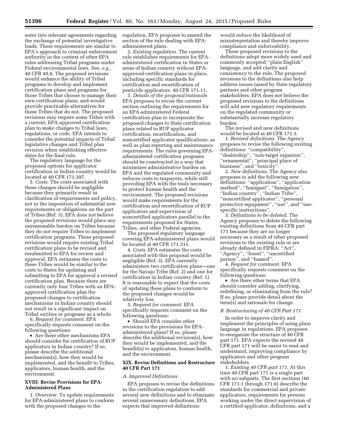enter into relevant agreements regarding the exchange of potential investigative leads. These requirements are similar to EPA's approach to criminal enforcement authority in the context of other EPA rules addressing Tribal programs under Federal environmental laws. See, *e.g.,*  40 CFR 49.8. The proposed revisions would enhance the ability of Tribal programs to develop and implement certification plans and programs for those Tribes that choose to manage their own certification plans, and would provide practicable alternatives for those Tribes that do not. The proposed revisions may require some Tribes with a current, EPA-approved certification plan to make changes to Tribal laws, regulations, or code. EPA intends to consider the potential impacts of Tribal legislative changes and Tribal plan revision when establishing effective dates for the final rule.

The regulatory language for the proposed options for applicator certification in Indian country would be located at 40 CFR 171.307.

5. *Costs.* The costs associated with these changes should be negligible because they primarily result in clarification of requirements and policy, not in the imposition of substantial new requirements or obligations on the part of Tribes (Ref. 3). EPA does not believe the proposed revisions would place any unreasonable burden on Tribes because they do not require Tribes to implement certification programs. These proposed revisions would require existing Tribal certification plans to be revised and resubmitted to EPA for review and approval. EPA estimates the costs to these Tribes would be similar to the costs to States for updating and submitting to EPA for approval a revised certification plan. Because there are currently only four Tribes with an EPAapproved certification plan the proposed changes to certification mechanisms in Indian country should not result in a significant impact on Tribal entities or programs as a whole.

6. *Request for comment.* EPA specifically requests comment on the following questions:

• Are there other mechanisms EPA should consider for certification of RUP applicators in Indian country? If so, please describe the additional mechanism(s), how they would be implemented, and the benefit to Tribes, applicators, human health, and the environment.

#### **XVIII. Revise Provisions for EPA-Administered Plans**

1. *Overview.* To update requirements for EPA-administered plans to conform with the proposed changes to the

regulation, EPA proposes to amend the section of the rule dealing with EPAadministered plans.

2. *Existing regulation.* The current rule establishes requirements for EPAadministered certification in States or areas of Indian country without EPAapproved certification plans in place, including specific standards for certification and recertification of pesticide applicators. 40 CFR 171.11.

3. *Details of the proposal/rationale.*  EPA proposes to revise the current section outlining the requirements for an EPA-administered Federal certification plan to incorporate the proposed changes to State certification plans related to RUP applicator certification, recertification, and noncertified applicator qualifications, as well as plan reporting and maintenance requirements. The rules governing EPAadministered certification programs should be constructed in a way that minimizes administrative burden on EPA and the regulated community and reduces costs to taxpayers, while still providing EPA with the tools necessary to protect human health and the environment. The proposed revisions would make requirements for the certification and recertification of RUP applicators and supervision of noncertified applicators parallel to the requirements proposed for States, Tribes, and other Federal agencies.

The proposed regulatory language covering EPA-administered plans would be located at 40 CFR 171.311.

4. *Costs.* EPA estimates the costs associated with this proposal would be negligible (Ref. 3). EPA currently administers two certification plans—one for the Navajo Tribe (Ref. 2) and one for certification in Indian country (Ref. 1). It is reasonable to expect that the costs of updating these plans to conform to the proposed changes would be relatively low.

5. *Request for comment.* EPA specifically requests comment on the following questions:

• Should EPA consider other revisions to the provisions for EPAadministered plans? If so, please describe the additional revision(s), how they would be implemented, and the benefit(s) to applicators, human health, and the environment.

#### **XIX. Revise Definitions and Restructure 40 CFR Part 171**

#### *A. Improved Definitions*

EPA proposes to revise the definitions in the certification regulation to add several new definitions and to eliminate several unnecessary definitions. EPA expects that improved definitions

would reduce the likelihood of misinterpretation and thereby improve compliance and enforceability.

These proposed revisions to the definitions adopt more widely used and commonly accepted ''plain English'' language, and add clarity and consistency to the rule. The proposed revisions to the definitions also help address issues raised by State regulatory partners and other program stakeholders. EPA does not believe the proposed revisions to the definitions will add new regulatory requirements on the regulated community or substantially increase regulatory burden.

The revised and new definitions would be located at 40 CFR 171.3.

1. *Revised definitions.* The Agency proposes to revise the following existing definitions: ''compatibility'', ''dealership'', ''non-target organism'', ''ornamental'', ''principal place of business'', and ''toxicity''.

2. *New definitions.* The Agency also proposes to add the following new definitions: ''application'', ''application method'', ''fumigant'', ''fumigation'', ''Indian country'', ''Indian Tribe'', ''noncertified applicator'', ''personal protective equipment'', ''use'', and ''usespecific instructions''.

3. *Definitions to be deleted.* The Agency proposes to delete the following existing definitions from 40 CFR part 171 because they are no longer necessary as a result of other proposed revisions to the existing rule or are already defined in FIFRA: ''Act'', ''Agency'', ''forest'', ''uncertified person'', and ''hazard''.

4. *Request for comment.* EPA specifically requests comment on the following questions:

• Are there other terms that EPA should consider adding, clarifying, redefining, or eliminating from the rule? If so, please provide detail about the term(s) and rationale for change.

#### *B. Restructuring of 40 CFR Part 171*

In order to improve clarity and implement the principles of using plain language in regulations, EPA proposes to reorganize the structure of 40 CFR part 171. EPA expects the revised 40 CFR part 171 will be easier to read and understand, improving compliance by applicators and other program stakeholders.

1. *Existing 40 CFR part 171.* At this time 40 CFR part 171 is a single part with no subparts. The first sections (40 CFR 171.1 through 171.6) describe the standards for commercial and private applicators, requirements for persons working under the direct supervision of a certified applicator, definitions, and a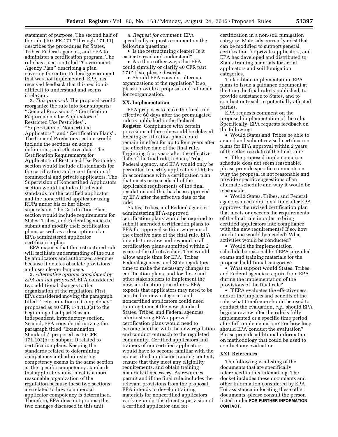statement of purpose. The second half of the rule (40 CFR 171.7 through 171.11) describes the procedures for States, Tribes, Federal agencies, and EPA to administer a certification program. The rule has a section titled ''Government Agency Plan'' describing a plan covering the entire Federal government that was not implemented. EPA has received feedback that this section is difficult to understand and seems irrelevant.

2. *This proposal.* The proposal would reorganize the rule into four subparts: ''General Provisions'', ''Certification Requirements for Applicators of Restricted Use Pesticides'', ''Supervision of Noncertified Applicators'', and ''Certification Plans''. The General Provisions section would include the sections on scope, definitions, and effective date. The Certification Requirements for Applicators of Restricted Use Pesticides section would include all standards for the certification and recertification of commercial and private applicators. The Supervision of Noncertified Applicators section would include all relevant standards for the certified applicator and the noncertified applicator using RUPs under his or her direct supervision. The Certification Plans section would include requirements for States, Tribes, and Federal agencies to submit and modify their certification plans, as well as a description of an EPA-administered applicator certification plan.

EPA expects that the restructured rule will facilitate understanding of the rule by applicators and authorized agencies because it deletes obsolete provisions and uses clearer language.

3. *Alternative options considered by EPA but not proposed.* EPA considered two additional changes to the organization of the regulation. First, EPA considered moving the paragraph titled ''Determination of Competency'' proposed as 40 CFR 171.103(a) to the beginning of subpart B as an independent, introductory section. Second, EPA considered moving the paragraph titled ''Examination Standards'' proposed as 40 CFR 171.103(b) to subpart D related to certification plans. Keeping the standards related to determining competency and administering competency exams in the same section as the specific competency standards that applicators must meet is a more reasonable organization of the regulation because these two sections are related to how commercial applicator competency is determined. Therefore, EPA does not propose the two changes discussed in this unit.

4. *Request for comment.* EPA specifically requests comment on the following questions:

• Is the restructuring clearer? Is it easier to read and understand?

• Are there other ways that EPA could simplify or clarify 40 CFR part 171? If so, please describe.

• Should EPA consider alternate organizations of the regulation? If so, please provide a proposal and rationale for reorganization.

#### **XX. Implementation**

EPA proposes to make the final rule effective 60 days after the promulgated rule is published in the **Federal Register**. Compliance with certain provisions of the rule would be delayed. Existing certification plans could remain in effect for up to four years after the effective date of the final rule. Beginning four years after the effective date of the final rule, a State, Tribe, Federal agency, and EPA would only be permitted to certify applicators of RUPs in accordance with a certification plan that meets or exceeds all of the applicable requirements of the final regulation and that has been approved by EPA after the effective date of the rule.

States, Tribes, and Federal agencies administering EPA-approved certification plans would be required to submit amended certification plans to EPA for approval within two years of the effective date of the final rule. EPA intends to review and respond to all certification plans submitted within 2 years of the effective date. This would allow ample time for EPA, Tribes, Federal agencies, and State regulators time to make the necessary changes to certification plans, and for these and other stakeholders to implement the new certification procedures. EPA expects that applicators may need to be certified in new categories and noncertified applicators could need training to meet the new standard. States, Tribes, and Federal agencies administering EPA-approved certification plans would need to become familiar with the new regulation and conduct outreach to the regulated community. Certified applicators and trainers of noncertified applicators would have to become familiar with the noncertified applicator training content, ensure that they meet any eligibility requirements, and obtain training materials if necessary. As resources permit and if the final rule includes the relevant provisions from the proposal, EPA intends to develop training materials for noncertified applicators working under the direct supervision of a certified applicator and for

certification in a non-soil fumigation category. Materials currently exist that can be modified to support general certification for private applicators, and EPA has developed and distributed to States training materials for aerial applicators and soil fumigation categories.

To facilitate implementation, EPA plans to issue a guidance document at the time the final rule is published, to provide assistance to States, and to conduct outreach to potentially affected parties.

EPA requests comment on the proposed implementation of the rule. Specifically, EPA requests feedback on the following:

• Would States and Tribes be able to amend and submit revised certification plans for EPA approval within 2 years of the effective date of the final rule?

• If the proposed implementation schedule does not seem reasonable, please provide specific comments on why the proposal is not reasonable and provide specific suggestions of an alternate schedule and why it would be reasonable.

• Would States, Tribes, and Federal agencies need additional time after EPA approves the revised certification plan that meets or exceeds the requirements of the final rule in order to bring certified applicators into compliance with the new requirements? If so, how much time would be needed? What activities would be conducted?

• Would the implementation schedule be reasonable if EPA provided exams and training materials for the proposed additional categories?

• What support would States, Tribes, and Federal agencies require from EPA during the implementation of the provisions of the final rule?

• If EPA evaluates the effectiveness and/or the impacts and benefits of the rule, what timeframe should be used to conduct the evaluation, *e.g.,* should EPA begin a review after the rule is fully implemented or a specific time period after full implementation? For how long should EPA conduct the evaluation? Please provide additional information on methodology that could be used to conduct any evaluation.

#### **XXI. References**

The following is a listing of the documents that are specifically referenced in this rulemaking. The docket includes these documents and other information considered by EPA. For assistance in locating these other documents, please consult the person listed under **FOR FURTHER INFORMATION CONTACT**.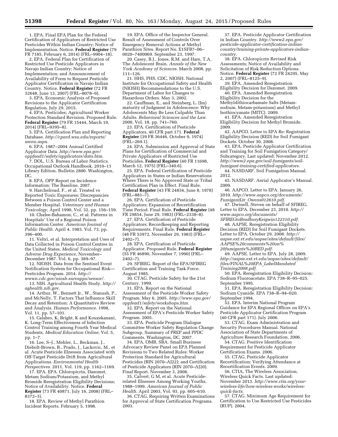1. EPA. Final EPA Plan for the Federal Certification of Applicators of Restricted Use Pesticides Within Indian Country; Notice of Implementation. Notice. **Federal Register** (79 FR 7185, February 6, 2014) (FRL–9904–18).

2. EPA. Federal Plan for Certification of Restricted Use Pesticide Applicators in Navajo Indian Country; Notice of Implementation; and Announcement of Availability of Form to Request Pesticide Applicator Certification in Navajo Indian Country. Notice. **Federal Register** (72 FR 32648, June 13, 2007) (FRL–8078–9).

3. EPA. Economic Analysis of Proposed Revisions to the Applicator Certification Regulation. July 29, 2015.

4. EPA. Pesticides; Agricultural Worker Protection Standard Revision. Proposed Rule. **Federal Register** (79 FR 15444, March 19, 2014) (FRL–9395–8).

5. EPA. Certification Plan and Reporting Database. *[http://cpard.wsu.edu/reports/](http://cpard.wsu.edu/reports/menu.aspx) [menu.aspx.](http://cpard.wsu.edu/reports/menu.aspx)* 

6. EPA. 1987–2004 Annual Certified Applicator Data. *[http://www.epa.gov/](http://www.epa.gov/oppfead1/safety/applicators/data.htm)  [oppfead1/safety/applicators/data.htm.](http://www.epa.gov/oppfead1/safety/applicators/data.htm)* 

7. DOL. U.S. Bureau of Labor Statistics. Occupational Outlook Handbook. 2010–11 Library Edition. Bulletin 2800. Washington, DC.

8. EPA. OPP Report on Incidence Information: The Baseline. 2007.

9. Harchelroad, F., et al. Treated vs Reported Toxic Exposures: Discrepancies Between a Poison Control Center and a Member Hospital. *Veterinary and Human Toxicology,* April 1990, Vol. 32, pp. 156–159.

10. Chafee-Bahamon, C., et al. Patterns in Hospitals' Use of a Regional Poison Information Center. *American Journal of Public Health.* April 4, 1983. Vol. 73, pp. 396–400.

11. Veltri, et al. Interpretation and Uses of Data Collected in Poison Control Centres in the United States. *Medical Toxicology and Adverse Drug Experience,* November– December 1987. Vol. 6, pp. 389–97.

12. NIOSH. Data from the Sentinel Event Notification System for Occupational Risk— Pesticides Program. 2014. *[http://](http://wwwn.cdc.gov/niosh-survapps/sensor/)* 

*[wwwn.cdc.gov/niosh-survapps/sensor/.](http://wwwn.cdc.gov/niosh-survapps/sensor/)*  13. NIH. Agricultural Health Study. *[http://](http://aghealth.nih.gov) [aghealth.nih.gov.](http://aghealth.nih.gov)* 

14. Arthur, W., Bennett Jr., W., Stanush, P., and McNelly, T. Factors That Influence Skill Decay and Retention: A Quantitative Review and Analysis. *Human Performance.* 1998, Vol. 11, pp. 57–101.

15. Calabro, K, Bright, K and Kouzekanani, K. Long-Term Effectiveness of Infection Control Training among Fourth Year Medical Students. *Medical Education Online,* Vol. 5, pp. 1–7.

16. Lee, S–J., Mehler, L., Beckman, J., Diebolt-Brown, B., Prado, J., Lackovic, M., et al. Acute Pesticide Illnesses Associated with Off-Target Pesticide Drift from Agricultural Applications. *Environmental Health Perspectives.* 2011, Vol. 119, pp. 1162–1169.

17. EPA. EPA. Chloropicrin, Dazomet, Metam Sodium/Potassium, and Methyl Bromide Reregistration Eligibility Decisions; Notice of Availability. Notice. **Federal Register** (73 FR 40871, July 16, 2008) (FRL– 8372–3).

18. EPA. Review of Methyl Parathion Incident Reports. February 5, 1998.

19. EPA. Office of the Inspector General. Result of Assessment of Controls Over Emergency Removal Actions at Methyl Parathion Sites. Report No. E1SFB7–06– 0020–7400069. September 23, 1997.

20. Casey, B.J., Jones, R.M. and Hare, T.A. The Adolescent Brain. *Annals of the New York Academy of Sciences.* March 2008, pp. 111–126.

21. HHS, PHS, CDC, NIOSH. National Institute for Occupational Safety and Health (NIOSH) Recommendations to the U.S. Department of Labor for Changes to Hazardous Orders. May 3, 2002.

22. Cauffman, E., and Steinberg, L. (Im) maturity of Judgment in Adolescence: Why Adolescents May Be Less Culpable Than Adults. *Behavioral Sciences and the Law.*  2000, Vol. 18, pp. 741–760.

23. EPA. Certification of Pesticide Applicators. 40 CFR part 171. **Federal Register** (39 FR 36446, October 9, 1974) (FRL–269.1).

24. EPA. Submission and Approval of State Plans for Certification of Commercial and Private Applicators of Restricted Use Pesticides. **Federal Register** (40 FR 11698, March 12, 1975) (FRL–340.6).

25. EPA. Federal Certification of Pesticide Applicators in States or Indian Reservations Where There is No Approved State or Tribal Certification Plan in Effect. Final Rule. **Federal Register** (43 FR 24834, June 8, 1978) (FRL–881–7).

26. EPA. Certification of Pesticide Applicators; Expansion of Recertification Time Period. Final Rule. **Federal Register** (48 FR 29854, June 29, 1983) (FRL–2338–8).

27. EPA. Certification of Pesticide Applicators; Recordkeeping and Reporting Requirements. Final Rule. **Federal Register**  (48 FR 53972, November 29, 1983) (FRL– 2402–7).

28. EPA. Certification of Pesticide Applicator. Proposed Rule. **Federal Register**  (55 FR 46890, November 7, 1990) (FRL– 2402–7).

29. SFIREG. Report of the EPA/SFIREG Certification and Training Task Force. August 1985.

30. CTAG. Pesticide Safety for the 21st Century. 1999.

31. EPA. Report on the National Assessment of the Pesticide Worker Safety Program. May 6, 2005. *[http://www.epa.gov/](http://www.epa.gov/oppfead1/safety/workshops.htm)  [oppfead1/safety/workshops.htm.](http://www.epa.gov/oppfead1/safety/workshops.htm)* 

32. EPA. Report on the National Assessment of EPA's Pesticide Worker Safety Program. 2005.

33. EPA. Pesticide Program Dialogue Committee Worker Safety Regulation Change Subgroup, Summary of PREP and PPDC Comments. Washington, DC. 2007.

34. EPA, OMB, SBA. Small Business Advocacy Review Panel on EPA Planned Revisions to Two Related Rules: Worker Protection Standard for Agricultural Pesticides (RIN 2070–AJ22); and Certification of Pesticide Applicators (RIN 2070–AJ20). Final Report. November 3, 2008.

35. Calvert, G M, et al. Acute Pesticiderelated Illnesses Among Working Youths, 1988–1999. *American Journal of Public Health.* April 2003, Vol. 93, pp. 605–610.

36. CTAG. Requiring Written Examinations for Approval of State Certification Programs. 2003.

37. EPA. Pesticide Applicator Certification in Indian Country. *[http://www2.epa.gov/](http://www2.epa.gov/pesticide-applicator-certification-indian-country/training-private-applicators-indian-country)  pesticide-applicator-certification-indian[country/training-private-applicators-indian](http://www2.epa.gov/pesticide-applicator-certification-indian-country/training-private-applicators-indian-country)country.* 

38. EPA. Chloropicrin Revised Risk Assessments; Notice of Availability and Solicitation of Risk Reduction Options. Notice. **Federal Register** (72 FR 24295, May 2, 2007) (FRL–8125–9).

39. EPA. Amended Reregistration Eligibility Decision for Dazomet. 2009. 40. EPA. Amended Reregistration Eligibility Decision for the Methyldithiocarbamate Salts (Metamsodium, Metam-potassium) and Methyl

Isothiocyanate (MITC). 2009. 41. EPA. Amended Reregistration

Eligibility Decision for Methyl Bromide. 2009.

42. AAPCO. Letter to EPA Re: Registration Eligibility Decision (RED) for Soil Fumigant Dockets. October 30, 2008.

43. EPA. Pesticide Applicator Certification and Training for Soil Fumigation Category/ Subcategory. Last updated: November 2012. *[http://www2.epa.gov/soil-fumigants/soil](http://www2.epa.gov/soil-fumigants/soil-fumigant-training-certified-applicators)[fumigant-training-certified-applicators.](http://www2.epa.gov/soil-fumigants/soil-fumigant-training-certified-applicators)* 

44. NASDARF. Soil Fumigation Manual. 2012.

45. NASDARF. Aerial Applicator's Manual. 2009.

46. AAPCO. Letter to EPA. January 26, 2010. *[http://www.aapco.org/documents/](http://www.aapco.org/documents/FumigantLtr_Owens012610.pdf) FumigantLtr*\_*[Owens012610.pdf.](http://www.aapco.org/documents/FumigantLtr_Owens012610.pdf)* 

47. Dwinell, Steven on behalf of SFIREG. Letter to EPA. December 23, 2010. *[http://](http://www.aapco.org/documents/SFIREGtoBradburyKeigwin122310.pdf) [www.aapco.org/documents/](http://www.aapco.org/documents/SFIREGtoBradburyKeigwin122310.pdf) [SFIREGtoBradburyKeigwin122310.pdf.](http://www.aapco.org/documents/SFIREGtoBradburyKeigwin122310.pdf)* 

48. AAPSE. Reregistration Eligibility Decision (RED) for Soil Fumigant Dockets. Letter to EPA. October 29, 2008. *[http://](http://aapse.ext.vt.edu/aapse/sites/default/files/AAPSE%20comments%20on%20fumigants%20RED.pdf) [aapse.ext.vt.edu/aapse/sites/default/files/](http://aapse.ext.vt.edu/aapse/sites/default/files/AAPSE%20comments%20on%20fumigants%20RED.pdf) [AAPSE%20comments%20on%](http://aapse.ext.vt.edu/aapse/sites/default/files/AAPSE%20comments%20on%20fumigants%20RED.pdf) [20fumigants%20RED.pdf.](http://aapse.ext.vt.edu/aapse/sites/default/files/AAPSE%20comments%20on%20fumigants%20RED.pdf)* 

49. AAPSE. Letter to EPA. July 28, 2009. *[http://aapse.ext.vt.edu/aapse/sites/default/](http://aapse.ext.vt.edu/aapse/sites/default/files/FINAL%20EPA_LabelMandatedTraining2008.pdf) [files/FINAL%20EPA](http://aapse.ext.vt.edu/aapse/sites/default/files/FINAL%20EPA_LabelMandatedTraining2008.pdf)*\_*LabelMandated [Training2008.pdf.](http://aapse.ext.vt.edu/aapse/sites/default/files/FINAL%20EPA_LabelMandatedTraining2008.pdf)* 

50. EPA. Reregistration Eligibility Decision: Sodium Fluoroacetate. EPA 738–R–95–025. September 1995.

51. EPA. Reregistration Eligibility Decision: Sodium Cyanide. EPA 738–R–94–020. September 1994.

52. EPA. Interim National Program Guidance for EPA Regional Offices on EPA's Pesticide Applicator Certification Program (40 CFR part 171). July 2006.

53. CTAG. Exam Administration and Security Procedures Manual. National Association of State Departments of Agriculture Research Foundation, 2006.

54. CTAG. Positive Identification Requirement for Pesticide Applicator

Certification Exams. 2006.

55. CTAG. Pesticide Applicator Recertification: Verifying Attendance at Recertification Events. 2009.

56. CTIA, The Wireless Association. Wireless Quick Facts. Last updated: November 2013. *[http://www.ctia.org/your](http://www.ctia.org/your-wireless-life/how-wireless-works/wireless-quick-facts)[wireless-life/how-wireless-works/wireless](http://www.ctia.org/your-wireless-life/how-wireless-works/wireless-quick-facts)quick-facts.* 

57. CTAG. Minimum Age Requirement for Certification to Use Restricted Use Pesticides (RUP). 2004.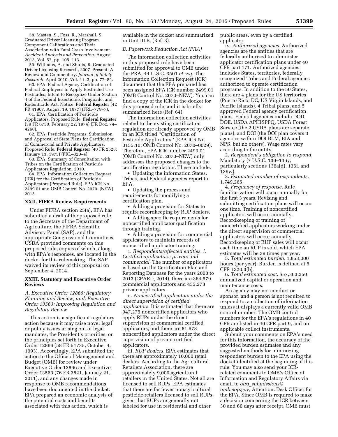58. Masten, S., Foss, R., Marshall, S. Graduated Driver Licensing Program Component Calibrations and Their Association with Fatal Crash Involvement. *Accident Analysis and Prevention.* August 2013, Vol. 57, pp. 105–113.

59. Williams, A. and Shults, R. Graduated Driver Licensing Research, 2007–Present: A Review and Commentary. *Journal of Safety Research.* April 2010, Vol. 41, 2, pp. 77–84.

60. EPA. Federal Agency Certification of Federal Employees to Apply Restricted Use Pesticides; Intent to Recognize Under Section 4 of the Federal Insecticide, Fungicide, and Rodenticide Act. Notice. **Federal Register** (42 FR 41907, August 19, 1977) (FRL–779–7).

61. EPA. Certification of Pesticide Applicators. Proposed Rule. **Federal Register**  (39 FR 6730, February 22, 1974) (FR Doc. 74– 4266).

62. EPA. Pesticide Programs; Submission and Approval of State Plans for Certification of Commercial and Private Applicators. Proposed Rule. **Federal Register** (40 FR 2528; January 13, 1975) (FRL–320–4).

63. EPA. Summary of Consultation with Tribes on the Certification of Pesticide Applicators Regulation. 2010.

64. EPA. Information Collection Request (ICR) for the Certification of Pesticide Applicators (Proposed Rule). EPA ICR No. 2499.01 and OMB Control No. 2070–[NEW]. 2015.

#### **XXII. FIFRA Review Requirements**

Under FIFRA section 25(a), EPA has submitted a draft of the proposed rule to the Secretary of the Department of Agriculture, the FIFRA Scientific Advisory Panel (SAP), and the appropriate Congressional Committees. USDA provided comments on this proposed rule, copies of which, along with EPA's responses, are located in the docket for this rulemaking. The SAP waived its review of this proposal on September 4, 2014.

#### **XXIII. Statutory and Executive Order Reviews**

*A. Executive Order 12866: Regulatory Planning and Review; and, Executive Order 13563: Improving Regulation and Regulatory Review* 

This action is a significant regulatory action because it may raise novel legal or policy issues arising out of legal mandates, the President's priorities, or the principles set forth in Executive Order 12866 (58 FR 51735, October 4, 1993). Accordingly, EPA submitted the action to the Office of Management and Budget (OMB) for review under Executive Order 12866 and Executive Order 13563 (76 FR 3821, January 21, 2011), and any changes made in response to OMB recommendations have been documented in the docket. EPA prepared an economic analysis of the potential costs and benefits associated with this action, which is

available in the docket and summarized in Unit III.B. (Ref. 3).

#### *B. Paperwork Reduction Act (PRA)*

The information collection activities in this proposed rule have been submitted for approval to OMB under the PRA, 44 U.S.C. 3501 *et seq.* The Information Collection Request (ICR) document that the EPA prepared has been assigned EPA ICR number 2499.01 (OMB Control No. 2070–NEW). You can find a copy of the ICR in the docket for this proposed rule, and it is briefly summarized here (Ref. 64).

The information collection activities related to the existing certification regulation are already approved by OMB in an ICR titled ''Certification of Pesticide Applicators'' (EPA ICR No. 0155.10; OMB Control No. 2070–0029). Therefore, EPA ICR number 2499.01 (OMB Control No. 2070–NEW) only addresses the proposed changes to the certification regulation. These include:

• Updating the information States, Tribes, and Federal agencies report to EPA.

• Updating the process and requirements for modifying a certification plan.

• Adding a provision for States to require recordkeeping by RUP dealers.

• Adding specific requirements for noncertified applicator qualification through training.

• Adding a provision for commercial applicators to maintain records of noncertified applicator training.

1. *Respondents/affected entities. i. Certified applicators; private and commercial.* The number of applicators is based on the Certification Plan and Reporting Database for the years 2008 to 2013 (CPARD, 2014), there are 364,579 commercial applicators and 455,278 private applicators.

ii. *Noncertified applicators under the direct supervision of certified applicators.* It is estimated that there are 947,275 noncertified applicators who apply RUPs under the direct supervision of commercial certified applicators, and there are 81,678 noncertified applicators under the direct supervision of private certified applicators.

iii. *RUP dealers.* EPA estimates that there are approximately 10,000 retail dealers. According to the Agricultural Retailers Association, there are approximately 9,000 agricultural retailers in the United States. Not all are licensed to sell RUPs. EPA estimates that there are far fewer nonagricultural pesticide retailers licensed to sell RUPs, given that RUPs are generally not labeled for use in residential and other

public areas, even by a certified applicator.

iv. *Authorized agencies.* Authorized agencies are the entities that are federally authorized to administer applicator certification plans under 40 CFR part 171. Authorized agencies includes States, territories, federally recognized Tribes and Federal agencies authorized to operate certification programs. In addition to the 50 States, there are 4 plans for the US territories (Puerto Rico, DC, US Virgin Islands, and Pacific Islands), 4 Tribal plans, and 5 approved Federal agency certification plans. Federal agencies include DOD, DOE, USDA APHISPPQ, USDA Forest Service (the 2 USDA plans are separate plans), and DOI (the DOI plan covers 3 agencies within DOI BLM, BIA and NPS, but no others). Wage rates vary according to the entity.

2. *Respondent's obligation to respond.*  Mandatory (7 U.S.C. 136–136y, particularly sections 136a(d), 136i, and 136w).

3. *Estimated number of respondents.*  1,749,265.

4. *Frequency of response.* Rule familiarization will occur annually for the first 3 years. Revising and submitting certification plans will occur one time. Training of noncertified applicators will occur annually. Recordkeeping of training of noncertified applicators working under the direct supervision of commercial applicators will occur annually. Recordkeeping of RUP sales will occur each time an RUP is sold, which EPA estimates will be 39 times per year.

5. *Total estimated burden.* 1,853,000 hours (per year). Burden is defined at 5 CFR 1320.3(b).

6. *Total estimated cost.* \$57,363,250 annualized capital or operation and maintenance costs.

An agency may not conduct or sponsor, and a person is not required to respond to, a collection of information unless it displays a currently valid OMB control number. The OMB control numbers for the EPA's regulations in 40 CFR are listed in 40 CFR part 9, and on applicable collect instruments.

Submit your comments on EPA's need for this information, the accuracy of the provided burden estimates and any suggested methods for minimizing respondent burden to the EPA using the docket identified at the beginning of this rule. You may also send your ICRrelated comments to OMB's Office of Information and Regulatory Affairs via email to *oira*\_*[submissions@](mailto:oira_submissions@omb.eop.gov) [omb.eop.gov,](mailto:oira_submissions@omb.eop.gov)* Attention: Desk Officer for the EPA. Since OMB is required to make a decision concerning the ICR between 30 and 60 days after receipt, OMB must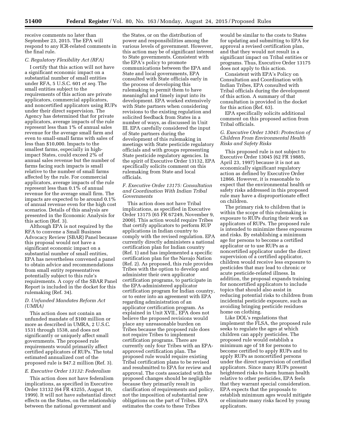receive comments no later than September 23, 2015. The EPA will respond to any ICR-related comments in the final rule.

#### *C. Regulatory Flexibility Act (RFA)*

I certify that this action will not have a significant economic impact on a substantial number of small entities under RFA, 5 U.S.C. 601 *et seq.* The small entities subject to the requirements of this action are private applicators, commercial applicators, and noncertified applicators using RUPs under their direct supervision. The Agency has determined that for private applicators, average impacts of the rule represent less than 1% of annual sales revenue for the average small farm and even to small-small farms with sales of less than \$10,000. Impacts to the smallest farms, especially in highimpact States, could exceed 2% of annual sales revenue but the number of farms facing such impacts is small relative to the number of small farms affected by the rule. For commercial applicators, average impacts of the rule represent less than 0.1% of annual revenue for the average small firm. The impacts are expected to be around 0.1% of annual revenue even for the high cost scenarios. Details of this analysis are presented in the Economic Analysis for this action (Ref. 3).

Although EPA is not required by the RFA to convene a Small Business Advocacy Review (SBAR) Panel because this proposal would not have a significant economic impact on a substantial number of small entities, EPA has nevertheless convened a panel to obtain advice and recommendations from small entity representatives potentially subject to this rule's requirements. A copy of the SBAR Panel Report is included in the docket for this rulemaking (Ref. 34).

#### *D. Unfunded Mandates Reform Act (UMRA)*

This action does not contain an unfunded mandate of \$100 million or more as described in UMRA, 2 U.S.C. 1531 through 1538, and does not significantly or uniquely affect small governments. The proposed rule requirements would primarily affect certified applicators of RUPs. The total estimated annualized cost of the proposed rule is \$47.2 million (Ref. 3).

#### *E. Executive Order 13132: Federalism*

This action does not have federalism implications, as specified in Executive Order 13132 (64 FR 43255, August 10, 1999). It will not have substantial direct effects on the States, on the relationship between the national government and

the States, or on the distribution of power and responsibilities among the various levels of government. However, this action may be of significant interest to State governments. Consistent with the EPA's policy to promote communications between the EPA and State and local governments, EPA consulted with State officials early in the process of developing this rulemaking to permit them to have meaningful and timely input into its development. EPA worked extensively with State partners when considering revisions to the existing regulation and solicited feedback from States in a number of ways, as discussed in Unit III. EPA carefully considered the input of State partners during the development of this rulemaking in meetings with State pesticide regulatory officials and with groups representing State pesticide regulatory agencies. In the spirit of Executive Order 13132, EPA specifically solicits comment on this rulemaking from State and local officials.

#### *F. Executive Order 13175: Consultation and Coordination With Indian Tribal Governments*

This action does not have Tribal implications, as specified in Executive Order 13175 (65 FR 67249, November 9, 2000). This action would require Tribes that certify applicators to perform RUP applications in Indian country to comply with the revised regulation. EPA currently directly administers a national certification plan for Indian country (Ref. 1) and has implemented a specific certification plan for the Navajo Nation (Ref. 2). As proposed, this rule provides Tribes with the option to develop and administer their own applicator certification programs, to participate in the EPA-administered applicator certification program for Indian country, or to enter into an agreement with EPA regarding administration of an applicator certification program. As explained in Unit XVII., EPA does not believe the proposed revisions would place any unreasonable burden on Tribes because the proposed rule does not require Tribes to implement certification programs. There are currently only four Tribes with an EPAapproved certification plan. The proposed rule would require existing Tribal certification plans to be revised and resubmitted to EPA for review and approval. The costs associated with the proposed changes should be negligible because they primarily result in clarification of requirements and policy, not the imposition of substantial new obligations on the part of Tribes. EPA estimates the costs to these Tribes

would be similar to the costs to States for updating and submitting to EPA for approval a revised certification plan, and that they would not result in a significant impact on Tribal entities or programs. Thus, Executive Order 13175 does not apply to this action.

Consistent with EPA's Policy on Consultation and Coordination with Indian Tribes, EPA consulted with Tribal officials during the development of this action. A summary of that consultation is provided in the docket for this action (Ref. 63).

EPA specifically solicits additional comment on this proposed action from Tribal officials.

#### *G. Executive Order 13045: Protection of Children From Environmental Health Risks and Safety Risks*

This proposed rule is not subject to Executive Order 13045 (62 FR 19885, April 23, 1997) because it is not an economically significant regulatory action as defined by Executive Order 12866. However, it is reasonable to expect that the environmental health or safety risks addressed in this proposed rule may have a disproportionate effect on children.

The primary risk to children that is within the scope of this rulemaking is exposure to RUPs during their work as applicators of RUPs. The proposed rule is intended to minimize these exposures and risks. By establishing a minimum age for persons to become a certified applicator or to use RUPs as a noncertified applicator under the direct supervision of a certified applicator, children would receive less exposure to pesticides that may lead to chronic or acute pesticide-related illness. In addition, the proposal expands training for noncertified applicators to include topics that should also assist in reducing potential risks to children from incidental pesticide exposure, such as avoiding bringing pesticide residues home on clothing.

Like DOL's regulations that implement the FLSA, the proposed rule seeks to regulate the ages at which children can apply pesticides. The proposed rule would establish a minimum age of 18 for persons to become certified to apply RUPs and to apply RUPs as noncertified persons under the direct supervision of certified applicators. Since many RUPs present heightened risks to harm human health relative to other pesticides, EPA feels that they warrant special consideration. EPA expects that the proposals to establish minimum ages would mitigate or eliminate many risks faced by young applicators.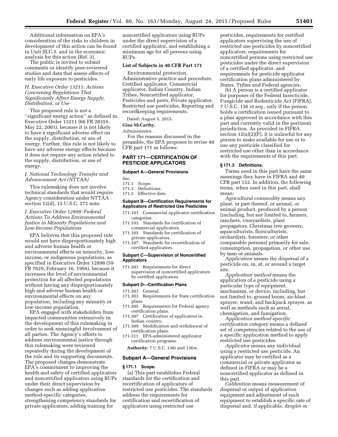Additional information on EPA's consideration of the risks to children in development of this action can be found in Unit III.C.3. and in the economic analysis for this action (Ref. 3).

The public is invited to submit comments or identify peer-reviewed studies and data that assess effects of early life exposure to pesticides.

#### *H. Executive Order 13211: Actions Concerning Regulations That Significantly Affect Energy Supply, Distribution, or Use*

This proposed rule is not a ''significant energy action'' as defined in Executive Order 13211 (66 FR 28355, May 22, 2001), because it is not likely to have a significant adverse effect on the supply, distribution, or use of energy. Further, this rule is not likely to have any adverse energy effects because it does not require any action related to the supply, distribution, or use of energy.

#### *I. National Technology Transfer and Advancement Act (NTTAA)*

This rulemaking does not involve technical standards that would require Agency consideration under NTTAA section 12(d), 15 U.S.C. 272 note.

### *J. Executive Order 12898: Federal Actions To Address Environmental Justice in Minority Populations and Low-Income Populations*

EPA believes that this proposed rule would not have disproportionately high and adverse human health or environmental effects on minority, lowincome, or indigenous populations, as specified in Executive Order 12898 (59 FR 7629, February 16, 1994), because it increases the level of environmental protection for all affected populations without having any disproportionately high and adverse human health or environmental effects on any population, including any minority or low-income population.

EPA engaged with stakeholders from impacted communities extensively in the development of this rulemaking in order to seek meaningful involvement of all parties. The Agency's efforts to address environmental justice through this rulemaking were reviewed repeatedly during the development of the rule and its supporting documents. The proposed changes demonstrate EPA's commitment to improving the health and safety of certified applicators and noncertified applicators using RUPs under their direct supervision by changes such as adding application method-specific categories, strengthening competency standards for private applicators, adding training for

noncertified applicators using RUPs under the direct supervision of a certified applicator, and establishing a minimum age for all persons using RUPs.

#### **List of Subjects in 40 CFR Part 171**

Environmental protection, Administrative practice and procedure, Certified applicator, Commercial applicator, Indian Country, Indian Tribes, Noncertified applicator, Pesticides and pests, Private applicator, Restricted use pesticides, Reporting and recordkeeping requirements.

Dated: August 5, 2015.

#### **Gina McCarthy,**

#### *Administrator.*

For the reasons discussed in the preamble, the EPA proposes to revise 40 CFR part 171 as follows:

#### **PART 171—CERTIFICATION OF PESTICIDE APPLICATORS**

### **Subpart A—General Provisions**

Sec.<br>171.1

- Scope.
- 171.3 Definitions.
- 171.5 Effective date.

#### **Subpart B—Certification Requirements for Applicators of Restricted Use Pesticides**

- 171.101 Commercial applicator certification categories.
- 171.103 Standards for certification of commercial applicators.
- 171.105 Standards for certification of private applicators.
- 171.107 Standards for recertification of certified applicators.

#### **Subpart C—Supervision of Noncertified Applicators**

171.201 Requirements for direct supervision of noncertified applicators by certified applicators.

#### **Subpart D—Certification Plans**

- 171.301 General.
- 171.303 Requirements for State certification plans.
- 171.305 Requirements for Federal agency certification plans. 171.307 Certification of applicators in
- Indian country. 171.309 Modification and withdrawal of
- certification plans.
- 171.311 EPA-administered applicator certification programs.

**Authority:** 7 U.S.C. 136i and 136w.

#### **Subpart A—General Provisions**

#### **§ 171.1 Scope.**

(a) This part establishes Federal standards for the certification and recertification of applicators of restricted use pesticides. The standards address the requirements for certification and recertification of applicators using restricted use

pesticides, requirements for certified applicators supervising the use of restricted use pesticides by noncertified applicators, requirements for noncertified persons using restricted use pesticides under the direct supervision of a certified applicator, and requirements for pesticide applicator certification plans administered by States, Tribes and Federal agencies.

(b) A person is a certified applicator for purposes of the Federal Insecticide, Fungicide and Rodenticide Act (FIFRA), 7 U.S.C. 136 *et seq.,* only if the person holds a certification issued pursuant to a plan approved in accordance with this part and currently valid in the pertinent jurisdiction. As provided in FIFRA section  $12(a)(2)(F)$ , it is unlawful for any person to make available for use or to use any pesticide classified for restricted use other than in accordance with the requirements of this part.

#### **§ 171.3 Definitions.**

Terms used in this part have the same meanings they have in FIFRA and 40 CFR part 152. In addition, the following terms, when used in this part, shall mean:

*Agricultural commodity* means any plant, or part thereof, or animal, or animal product, produced by a person (including, but not limited to, farmers, ranchers, vineyardists, plant propagators, Christmas tree growers, aquaculturists, floriculturists, orchardists, foresters, or other comparable persons) primarily for sale, consumption, propagation, or other use by man or animals.

*Application* means the dispersal of a pesticide on, in, at, or around a target site.

*Application method* means the application of a pesticide using a particular type of equipment, mechanism, or device, including, but not limited to, ground boom, air-blast sprayer, wand, and backpack sprayer, as well as methods such as aerial, chemigation, and fumigation.

*Application method-specific certification category* means a defined set of competencies related to the use of a specific application method to apply restricted use pesticides.

*Applicator* means any individual using a restricted use pesticide. An applicator may be certified as a commercial or private applicator as defined in FIFRA or may be a noncertified applicator as defined in this part.

*Calibration* means measurement of dispersal or output of application equipment and adjustment of such equipment to establish a specific rate of dispersal and, if applicable, droplet or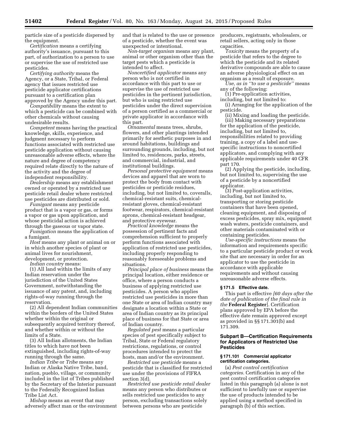particle size of a pesticide dispersed by the equipment.

*Certification* means a certifying authority's issuance, pursuant to this part, of authorization to a person to use or supervise the use of restricted use pesticides.

*Certifying authority* means the Agency, or a State, Tribal, or Federal agency that issues restricted use pesticide applicator certifications pursuant to a certification plan approved by the Agency under this part.

*Compatibility* means the extent to which a pesticide can be combined with other chemicals without causing undesirable results.

*Competent* means having the practical knowledge, skills, experience, and judgment necessary to perform functions associated with restricted use pesticide application without causing unreasonable adverse effects, where the nature and degree of competency required relate directly to the nature of the activity and the degree of independent responsibility.

*Dealership* means any establishment owned or operated by a restricted use pesticide retail dealer where restricted use pesticides are distributed or sold.

*Fumigant* means any pesticide product that is a vapor or gas, or forms a vapor or gas upon application, and whose pesticidal action is achieved through the gaseous or vapor state.

*Fumigation* means the application of a fumigant.

*Host* means any plant or animal on or in which another species of plant or animal lives for nourishment, development, or protection.

*Indian country* means:

(1) All land within the limits of any Indian reservation under the jurisdiction of the United States Government, notwithstanding the issuance of any patent, and, including rights-of-way running through the reservation.

(2) All dependent Indian communities within the borders of the United States whether within the original or subsequently acquired territory thereof, and whether within or without the limits of a State.

(3) All Indian allotments, the Indian titles to which have not been extinguished, including rights-of-way running through the same.

*Indian Tribe* or *Tribe* means any Indian or Alaska Native Tribe, band, nation, pueblo, village, or community included in the list of Tribes published by the Secretary of the Interior pursuant to the Federally Recognized Indian Tribe List Act.

*Mishap* means an event that may adversely affect man or the environment and that is related to the use or presence of a pesticide, whether the event was unexpected or intentional.

*Non-target organism* means any plant, animal or other organism other than the target pests which a pesticide is intended to affect.

*Noncertified applicator* means any person who is not certified in accordance with this part to use or supervise the use of restricted use pesticides in the pertinent jurisdiction, but who is using restricted use pesticides under the direct supervision of a person certified as a commercial or private applicator in accordance with this part.

*Ornamental* means trees, shrubs, flowers, and other plantings intended primarily for aesthetic purposes in and around habitations, buildings and surrounding grounds, including, but not limited to, residences, parks, streets, and commercial, industrial, and institutional buildings.

*Personal protective equipment* means devices and apparel that are worn to protect the body from contact with pesticides or pesticide residues, including, but not limited to, coveralls, chemical-resistant suits, chemicalresistant gloves, chemical-resistant footwear, respirators, chemical-resistant aprons, chemical-resistant headgear, and protective eyewear.

*Practical knowledge* means the possession of pertinent facts and comprehension sufficient to properly perform functions associated with application of restricted use pesticides, including properly responding to reasonably foreseeable problems and situations.

*Principal place of business* means the principal location, either residence or office, where a person conducts a business of applying restricted use pesticides. A person who applies restricted use pesticides in more than one State or area of Indian country may designate a location within a State or area of Indian country as its principal place of business for that State or area of Indian country.

*Regulated pest* means a particular species of pest specifically subject to Tribal, State or Federal regulatory restrictions, regulations, or control procedures intended to protect the hosts, man and/or the environment.

*Restricted use pesticide* means a pesticide that is classified for restricted use under the provisions of FIFRA section 3(d).

*Restricted use pesticide retail dealer*  means any person who distributes or sells restricted use pesticides to any person, excluding transactions solely between persons who are pesticide

producers, registrants, wholesalers, or retail sellers, acting only in those capacities.

*Toxicity* means the property of a pesticide that refers to the degree to which the pesticide and its related derivative compounds are able to cause an adverse physiological effect on an organism as a result of exposure.

*Use, as in ''to use a pesticide''* means any of the following:

(1) Pre-application activities, including, but not limited to:

(i) Arranging for the application of the pesticide.

(ii) Mixing and loading the pesticide. (iii) Making necessary preparations for the application of the pesticide, including, but not limited to, responsibilities related to providing training, a copy of a label and usespecific instructions to noncertified applicators, and complying with any applicable requirements under 40 CFR part 170.

(2) Applying the pesticide, including, but not limited to, supervising the use of a pesticide by a noncertified applicator.

(3) Post-application activities, including, but not limited to, transporting or storing pesticide containers that have been opened, cleaning equipment, and disposing of excess pesticides, spray mix, equipment wash waters, pesticide containers, and other materials contaminated with or containing pesticides.

*Use-specific instructions* means the information and requirements specific to a particular pesticide product or work site that are necessary in order for an applicator to use the pesticide in accordance with applicable requirements and without causing unreasonable adverse effects.

#### **§ 171.5 Effective date.**

This part is effective *[60 days after the date of publication of the final rule in the* **Federal Register**]. Certification plans approved by EPA before the effective date remain approved except as provided in §§ 171.301(b) and 171.309.

#### **Subpart B—Certification Requirements for Applicators of Restricted Use Pesticides**

#### **§ 171.101 Commercial applicator certification categories.**

(a) *Pest control certification categories.* Certification in any of the pest control certification categories listed in this paragraph (a) alone is not sufficient to lawfully use or supervise the use of products intended to be applied using a method specified in paragraph (b) of this section.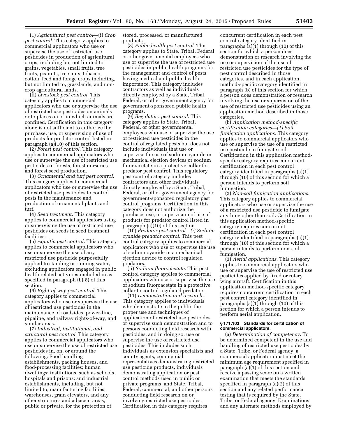(1) *Agricultural pest control*—(i) *Crop pest control.* This category applies to commercial applicators who use or supervise the use of restricted use pesticides in production of agricultural crops, including but not limited to grains, vegetables, small fruits, tree fruits, peanuts, tree nuts, tobacco, cotton, feed and forage crops including, but not limited to, grasslands, and noncrop agricultural lands.

(ii) *Livestock pest control.* This category applies to commercial applicators who use or supervise the use of restricted use pesticides on animals or to places on or in which animals are confined. Certification in this category alone is not sufficient to authorize the purchase, use, or supervision of use of products for predator control listed in paragraph  $(a)(10)$  of this section.

(2) *Forest pest control.* This category applies to commercial applicators who use or supervise the use of restricted use pesticides in forests, forest nurseries and forest seed production.

(3) *Ornamental and turf pest control.*  This category applies to commercial applicators who use or supervise the use of restricted use pesticides to control pests in the maintenance and production of ornamental plants and turf.

(4) *Seed treatment.* This category applies to commercial applicators using or supervising the use of restricted use pesticides on seeds in seed treatment facilities.

(5) *Aquatic pest control.* This category applies to commercial applicators who use or supervise the use of any restricted use pesticide purposefully applied to standing or running water, excluding applicators engaged in public health related activities included in as specified in paragraph (b)(8) of this section.

(6) *Right-of-way pest control.* This category applies to commercial applicators who use or supervise the use of restricted use pesticides in the maintenance of roadsides, power-line, pipeline, and railway rights-of-way, and similar areas.

(7) *Industrial, institutional, and structural pest control.* This category applies to commercial applicators who use or supervise the use of restricted use pesticides in, on, or around the following: Food handling establishments, packing houses, and food-processing facilities; human dwellings; institutions, such as schools, hospitals and prisons; and industrial establishments, including, but not limited to, manufacturing facilities, warehouses, grain elevators, and any other structures and adjacent areas, public or private, for the protection of

stored, processed, or manufactured products.

(8) *Public health pest control.* This category applies to State, Tribal, Federal or other governmental employees who use or supervise the use of restricted use pesticides in public health programs for the management and control of pests having medical and public health importance. This category includes contractors as well as individuals directly employed by a State, Tribal, Federal, or other government agency for government-sponsored public health programs.

(9) *Regulatory pest control.* This category applies to State, Tribal, Federal, or other governmental employees who use or supervise the use of restricted use pesticides in the control of regulated pests but does not include individuals that use or supervise the use of sodium cyanide in mechanical ejection devices or sodium fluoroacetate in a protective collar for predator pest control. This regulatory pest control category includes contractors and other individuals directly employed by a State, Tribal, Federal, or other government agency for government-sponsored regulatory pest control programs. Certification in this category does not authorize the purchase, use, or supervision of use of products for predator control listed in paragraph (a)(10) of this section.

(10) *Predator pest control—(i) Sodium cyanide predator control.* This pest control category applies to commercial applicators who use or supervise the use of sodium cyanide in a mechanical ejection device to control regulated predators.

(ii) *Sodium fluoroacetate.* This pest control category applies to commercial applicators who use or supervise the use of sodium fluoroacetate in a protective collar to control regulated predators.

(11) *Demonstration and research.*  This category applies to individuals who demonstrate to the public the proper use and techniques of application of restricted use pesticides or supervise such demonstration and to persons conducting field research with pesticides, and in doing so, use or supervise the use of restricted use pesticides. This includes such individuals as extension specialists and county agents, commercial representatives demonstrating restricted use pesticide products, individuals demonstrating application or pest control methods used in public or private programs, and State, Tribal, Federal, commercial, and other persons conducting field research on or involving restricted use pesticides. Certification in this category requires

concurrent certification in each pest control category identified in paragraphs (a)(1) through (10) of this section for which a person does demonstration or research involving the use or supervision of the use of restricted use pesticides for the type of pest control described in those categories, and in each application method-specific category identified in paragraph (b) of this section for which a person does demonstration or research involving the use or supervision of the use of restricted use pesticides using an application method described in those categories.

(b) *Application method-specific certification categories—(1) Soil fumigation applications.* This category applies to commercial applicators who use or supervise the use of a restricted use pesticide to fumigate soil. Certification in this application methodspecific category requires concurrent certification in each pest control category identified in paragraphs (a)(1) through (10) of this section for which a person intends to perform soil fumigation.

(2) *Non-soil fumigation applications.*  This category applies to commercial applicators who use or supervise the use of a restricted use pesticide to fumigate anything other than soil. Certification in this application method-specific category requires concurrent certification in each pest control category identified in paragraphs (a)(1) through (10) of this section for which a person intends to perform non-soil fumigation.

(3) *Aerial applications.* This category applies to commercial applicators who use or supervise the use of restricted use pesticides applied by fixed or rotary wing aircraft. Certification in this application method-specific category requires concurrent certification in each pest control category identified in paragraphs (a)(1) through (10) of this section for which a person intends to perform aerial application.

#### **§ 171.103 Standards for certification of commercial applicators.**

(a) *Determination of competency.* To be determined competent in the use and handling of restricted use pesticides by a State, Tribe, or Federal agency, a commercial applicator must meet the minimum age requirement specified in paragraph (a)(1) of this section and receive a passing score on a written examination that meets the standards specified in paragraph (a)(2) of this section and any related performance testing that is required by the State, Tribe, or Federal agency. Examinations and any alternate methods employed by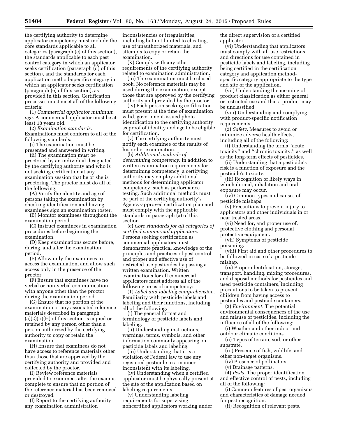the certifying authority to determine applicator competency must include the core standards applicable to all categories (paragraph (c) of this section), the standards applicable to each pest control category in which an applicator seeks certification (paragraph (d) of this section), and the standards for each application method-specific category in which an applicator seeks certification (paragraph (e) of this section), as provided in this section. Certification processes must meet all of the following criteria:

(1) *Commercial applicator minimum age.* A commercial applicator must be at least 18 years old.

(2) *Examination standards.*  Examinations must conform to all of the

following standards: (i) The examination must be

presented and answered in writing.

(ii) The examination must be proctored by an individual designated by the certifying authority and who is not seeking certification at any examination session that he or she is proctoring. The proctor must do all of the following:

(A) Verify the identity and age of persons taking the examination by checking identification and having examinees sign an examination roster.

(B) Monitor examinees throughout the examination period.

(C) Instruct examinees in examination procedures before beginning the examination.

(D) Keep examinations secure before, during, and after the examination period.

(E) Allow only the examinees to access the examination, and allow such access only in the presence of the proctor.

(F) Ensure that examinees have no verbal or non-verbal communication with anyone other than the proctor during the examination period.

(G) Ensure that no portion of the examination or any associated reference materials described in paragraph (a)(2)(ii)(H) of this section is copied or retained by any person other than a person authorized by the certifying authority to copy or retain the examination.

(H) Ensure that examinees do not have access to reference materials other than those that are approved by the certifying authority and provided and collected by the proctor.

(I) Review reference materials provided to examinees after the exam is complete to ensure that no portion of the reference material has been removed or destroyed.

(J) Report to the certifying authority any examination administration

inconsistencies or irregularities, including but not limited to cheating, use of unauthorized materials, and attempts to copy or retain the examination.

(K) Comply with any other requirements of the certifying authority related to examination administration.

(iii) The examination must be closedbook. No reference materials may be used during the examination, except those that are approved by the certifying authority and provided by the proctor.

(iv) Each person seeking certification must present at the time of examination valid, government-issued photo identification to the certifying authority as proof of identity and age to be eligible for certification.

(v) The certifying authority must notify each examinee of the results of his or her examination.

(b) *Additional methods of determining competency.* In addition to written examination requirements for determining competency, a certifying authority may employ additional methods for determining applicator competency, such as performance testing. Such additional methods must be part of the certifying authority's Agency-approved certification plan and must comply with the applicable standards in paragraph (a) of this section.

(c) *Core standards for all categories of certified commercial applicators.*  Persons seeking certification as commercial applicators must demonstrate practical knowledge of the principles and practices of pest control and proper and effective use of restricted use pesticides by passing a written examination. Written examinations for all commercial applicators must address all of the following areas of competency:

(1) *Label and labeling comprehension.*  Familiarity with pesticide labels and labeling and their functions, including all of the following:

(i) The general format and terminology of pesticide labels and labeling.

(ii) Understanding instructions, warnings, terms, symbols, and other information commonly appearing on pesticide labels and labeling.

(iii) Understanding that it is a violation of Federal law to use any registered pesticide in a manner inconsistent with its labeling.

(iv) Understanding when a certified applicator must be physically present at the site of the application based on labeling requirements.

(v) Understanding labeling requirements for supervising noncertified applicators working under the direct supervision of a certified applicator.

(vi) Understanding that applicators must comply with all use restrictions and directions for use contained in pesticide labels and labeling, including being certified in the certification category and application methodspecific category appropriate to the type and site of the application.

(vii) Understanding the meaning of product classification as either general or restricted use and that a product may be unclassified.

(viii) Understanding and complying with product-specific notification requirements.

(2) *Safety.* Measures to avoid or minimize adverse health effects, including all of the following:

(i) Understanding the terms ''acute toxicity'' and ''chronic toxicity,'' as well as the long-term effects of pesticides.

(ii) Understanding that a pesticide's risk is a function of exposure and the pesticide's toxicity.

(iii) Recognition of likely ways in which dermal, inhalation and oral exposure may occur.

(iv) Common types and causes of pesticide mishaps.

(v) Precautions to prevent injury to applicators and other individuals in or near treated areas.

(vi) Need for, and proper use of, protective clothing and personal protective equipment.

(vii) Symptoms of pesticide poisoning.

(viii) First aid and other procedures to be followed in case of a pesticide mishap.

(ix) Proper identification, storage, transport, handling, mixing procedures, and disposal methods for pesticides and used pesticide containers, including precautions to be taken to prevent children from having access to pesticides and pesticide containers.

(3) *Environment.* The potential environmental consequences of the use and misuse of pesticides, including the influence of all of the following:

(i) Weather and other indoor and outdoor climatic conditions.

(ii) Types of terrain, soil, or other substrate.

(iii) Presence of fish, wildlife, and other non-target organisms.

(iv) Presence of pollinators.

(v) Drainage patterns.

(4) *Pests.* The proper identification and effective control of pests, including all of the following:

(i) Common features of pest organisms and characteristics of damage needed for pest recognition.

(ii) Recognition of relevant pests.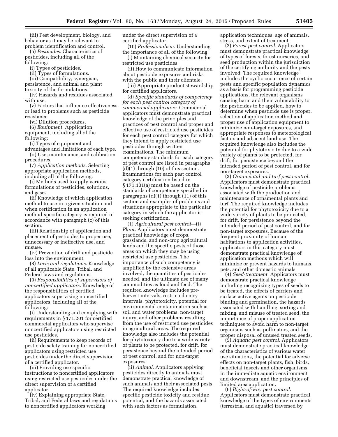(iii) Pest development, biology, and behavior as it may be relevant to problem identification and control.

(5) *Pesticides.* Characteristics of pesticides, including all of the following:

(i) Types of pesticides.

(ii) Types of formulations.

(iii) Compatibility, synergism,

persistence, and animal and plant toxicity of the formulations.

(iv) Hazards and residues associated with use.

(v) Factors that influence effectiveness or lead to problems such as pesticide resistance.

(vi) Dilution procedures.

(6) *Equipment.* Application equipment, including all of the following:

(i) Types of equipment and

advantages and limitations of each type. (ii) Use, maintenance, and calibration

procedures. (7) *Application methods.* Selecting appropriate application methods, including all of the following:

(i) Methods used to apply various formulations of pesticides, solutions,

and gases. (ii) Knowledge of which application method to use in a given situation and when certification in an application method-specific category is required in accordance with paragraph (c) of this section.

(iii) Relationship of application and placement of pesticides to proper use, unnecessary or ineffective use, and misuse.

(iv) Prevention of drift and pesticide loss into the environment.

(8) *Laws and regulations.* Knowledge of all applicable State, Tribal, and Federal laws and regulations.

(9) *Responsibilities of supervisors of noncertified applicators.* Knowledge of the responsibilities of certified applicators supervising noncertified applicators, including all of the following:

(i) Understanding and complying with requirements in § 171.201 for certified commercial applicators who supervise noncertified applicators using restricted use pesticides.

(ii) Requirements to keep records of pesticide safety training for noncertified applicators using restricted use pesticides under the direct supervision of a certified applicator.

(iii) Providing use-specific instructions to noncertified applicators using restricted use pesticides under the direct supervision of a certified applicator.

(iv) Explaining appropriate State, Tribal, and Federal laws and regulations to noncertified applicators working

under the direct supervision of a certified applicator.

(10) *Professionalism.* Understanding the importance of all of the following:

(i) Maintaining chemical security for restricted use pesticides.

(ii) How to communicate information about pesticide exposures and risks with the public and their clientele.

(iii) Appropriate product stewardship for certified applicators.

(d) *Specific standards of competency for each pest control category of commercial applicators.* Commercial applicators must demonstrate practical knowledge of the principles and practices of pest control and proper and effective use of restricted use pesticides for each pest control category for which they intend to apply restricted use pesticides through written examinations. The minimum competency standards for each category of pest control are listed in paragraphs  $(d)(1)$  through  $(10)$  of this section. Examinations for each pest control category certification listed in § 171.101(a) must be based on the standards of competency specified in paragraphs (d)(1) through (11) of this section and examples of problems and situations appropriate to the particular category in which the applicator is seeking certification.

(1) *Agricultural pest control*—(i) *Plant.* Applicators must demonstrate practical knowledge of crops, grasslands, and non-crop agricultural lands and the specific pests of those areas on which they may be using restricted use pesticides. The importance of such competency is amplified by the extensive areas involved, the quantities of pesticides needed, and the ultimate use of many commodities as food and feed. The required knowledge includes preharvest intervals, restricted entry intervals, phytotoxicity, potential for environmental contamination such as soil and water problems, non-target injury, and other problems resulting from the use of restricted use pesticides in agricultural areas. The required knowledge also includes the potential for phytotoxicity due to a wide variety of plants to be protected, for drift, for persistence beyond the intended period of pest control, and for non-target exposures.

(ii) *Animal.* Applicators applying pesticides directly to animals must demonstrate practical knowledge of such animals and their associated pests. The required knowledge includes specific pesticide toxicity and residue potential, and the hazards associated with such factors as formulation,

application techniques, age of animals, stress, and extent of treatment.

(2) *Forest pest control.* Applicators must demonstrate practical knowledge of types of forests, forest nurseries, and seed production within the jurisdiction of the certifying authority and the pests involved. The required knowledge includes the cyclic occurrence of certain pests and specific population dynamics as a basis for programming pesticide applications, the relevant organisms causing harm and their vulnerability to the pesticides to be applied, how to determine when pesticide use is proper, selection of application method and proper use of application equipment to minimize non-target exposures, and appropriate responses to meteorological factors and adjacent land use. The required knowledge also includes the potential for phytotoxicity due to a wide variety of plants to be protected, for drift, for persistence beyond the intended period of pest control, and for non-target exposures.

(3) *Ornamental and turf pest control.*  Applicators must demonstrate practical knowledge of pesticide problems associated with the production and maintenance of ornamental plants and turf. The required knowledge includes the potential for phytotoxicity due to a wide variety of plants to be protected, for drift, for persistence beyond the intended period of pest control, and for non-target exposures. Because of the frequent proximity of human habitations to application activities, applicators in this category must demonstrate practical knowledge of application methods which will minimize or prevent hazards to humans, pets, and other domestic animals.

(4) *Seed-treatment.* Applicators must demonstrate practical knowledge including recognizing types of seeds to be treated, the effects of carriers and surface active agents on pesticide binding and germination, the hazards associated with handling, sorting and mixing, and misuse of treated seed, the importance of proper application techniques to avoid harm to non-target organisms such as pollinators, and the proper disposal of unused treated seeds.

(5) *Aquatic pest control.* Applicators must demonstrate practical knowledge of the characteristics of various water use situations, the potential for adverse effects on non-target plants, fish, birds, beneficial insects and other organisms in the immediate aquatic environment and downstream, and the principles of limited area application.

(6) *Right-of-way pest control.*  Applicators must demonstrate practical knowledge of the types of environments (terrestrial and aquatic) traversed by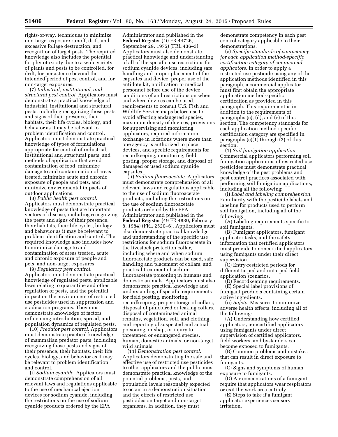rights-of-way, techniques to minimize non-target exposure runoff, drift, and excessive foliage destruction, and recognition of target pests. The required knowledge also includes the potential for phytotoxicity due to a wide variety of plants and pests to be controlled, for drift, for persistence beyond the intended period of pest control, and for non-target exposures.

(7) *Industrial, institutional, and structural pest control.* Applicators must demonstrate a practical knowledge of industrial, institutional and structural pests, including recognizing those pests and signs of their presence, their habitats, their life cycles, biology, and behavior as it may be relevant to problem identification and control. Applicators must demonstrate practical knowledge of types of formulations appropriate for control of industrial, institutional and structural pests, and methods of application that avoid contamination of food, minimize damage to and contamination of areas treated, minimize acute and chronic exposure of people and pets, and minimize environmental impacts of outdoor applications.

(8) *Public health pest control.*  Applicators must demonstrate practical knowledge of pests that are important vectors of disease, including recognizing the pests and signs of their presence, their habitats, their life cycles, biology and behavior as it may be relevant to problem identification and control. The required knowledge also includes how to minimize damage to and contamination of areas treated, acute and chronic exposure of people and pets, and non-target exposures.

(9) *Regulatory pest control.*  Applicators must demonstrate practical knowledge of regulated pests, applicable laws relating to quarantine and other regulation of pests, and the potential impact on the environment of restricted use pesticides used in suppression and eradication programs. They must demonstrate knowledge of factors influencing introduction, spread, and population dynamics of regulated pests.

(10) *Predator pest control.* Applicators must demonstrate practical knowledge of mammalian predator pests, including recognizing those pests and signs of their presence, their habitats, their life cycles, biology, and behavior as it may be relevant to problem identification and control.

(i) *Sodium cyanide.* Applicators must demonstrate comprehension of all relevant laws and regulations applicable to the use of mechanical ejection devices for sodium cyanide, including the restrictions on the use of sodium cyanide products ordered by the EPA

Administrator and published in the **Federal Register** (40 FR 44726, September 29, 1975) (FRL 436–3). Applicators must also demonstrate practical knowledge and understanding of all of the specific use restrictions for sodium cyanide devices, including safe handling and proper placement of the capsules and device, proper use of the antidote kit, notification to medical personnel before use of the device, conditions of and restrictions on when and where devices can be used, requirements to consult U.S. Fish and Wildlife Service maps before use to avoid affecting endangered species, maximum density of devices, provisions for supervising and monitoring applicators, required information exchange in locations where more than one agency is authorized to place devices, and specific requirements for recordkeeping, monitoring, field posting, proper storage, and disposal of damaged or used sodium cyanide capsules.

(ii) *Sodium fluoroacetate.* Applicators must demonstrate comprehension of all relevant laws and regulations applicable to the use of sodium fluoroacetate products, including the restrictions on the use of sodium fluoroacetate products ordered by the EPA Administrator and published in the **Federal Register** (49 FR 4830, February 8, 1984) (FRL 2520–6). Applicators must also demonstrate practical knowledge and understanding of the specific use restrictions for sodium fluoroacetate in the livestock protection collar, including where and when sodium fluoroacetate products can be used, safe handling and placement of collars, and practical treatment of sodium fluoroacetate poisoning in humans and domestic animals. Applicators must also demonstrate practical knowledge and understanding of specific requirements for field posting, monitoring, recordkeeping, proper storage of collars, disposal of punctured or leaking collars, disposal of contaminated animal remains, vegetation, soil, and clothing, and reporting of suspected and actual poisoning, mishap, or injury to threatened or endangered species, human, domestic animals, or non-target wild animals.

(11) *Demonstration pest control.*  Applicators demonstrating the safe and effective use of restricted use pesticides to other applicators and the public must demonstrate practical knowledge of the potential problems, pests, and population levels reasonably expected to occur in a demonstration situation and the effects of restricted use pesticides on target and non-target organisms. In addition, they must

demonstrate competency in each pest control category applicable to their demonstrations.

(e) *Specific standards of competency for each application method-specific certification category of commercial applicators.* In order to apply a restricted use pesticide using any of the application methods identified in this paragraph, a commercial applicator must first obtain the appropriate application method-specific certification as provided in this paragraph. This requirement is in addition to the requirements of paragraphs (c), (d), and (e) of this section. The competency standards for each application method-specific certification category are specified in paragraphs (e)(1) through (3) of this section.

(1) *Soil fumigation application.*  Commercial applicators performing soil fumigation applications of restricted use pesticides must demonstrate practical knowledge of the pest problems and pest control practices associated with performing soil fumigation applications, including all the following:

(i) *Label and labeling comprehension.*  Familiarity with the pesticide labels and labeling for products used to perform soil fumigation, including all of the following:

(A) Labeling requirements specific to soil fumigants.

(B) Fumigant applicators, fumigant applicator tasks, and the safety information that certified applicators must provide to noncertified applicators using fumigants under their direct supervision.

(C) Entry-restricted periods for different tarped and untarped field application scenarios.

(D) Recordkeeping requirements.

(E) Special label provisions of fumigant products containing certain active ingredients.

(ii) *Safety.* Measures to minimize adverse health effects, including all of the following:

(A) Understanding how certified applicators, noncertified applicators using fumigants under direct supervision of certified applicators, field workers, and bystanders can become exposed to fumigants.

(B) Common problems and mistakes that can result in direct exposure to fumigants.

(C) Signs and symptoms of human exposure to fumigants.

(D) Air concentrations of a fumigant require that applicators wear respirators or exit the work area entirely.

(E) Steps to take if a fumigant applicator experiences sensory irritation.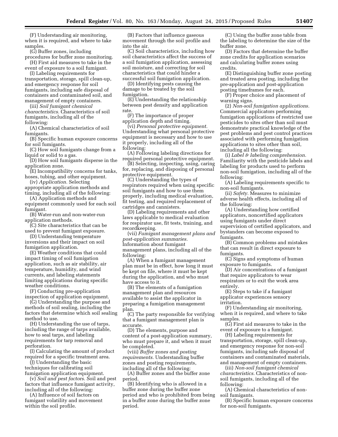(F) Understanding air monitoring, when it is required, and where to take samples.

(G) Buffer zones, including

procedures for buffer zone monitoring. (H) First aid measures to take in the

event of exposure to a soil fumigant. (I) Labeling requirements for transportation, storage, spill clean-up,

and emergency response for soil fumigants, including safe disposal of containers and contaminated soil, and management of empty containers.

(iii) *Soil fumigant chemical characteristics.* Characteristics of soil fumigants, including all of the following:

(A) Chemical characteristics of soil fumigants.

(B) Specific human exposure concerns for soil fumigants.

(C) How soil fumigants change from a liquid or solid to a gas.

(D) How soil fumigants disperse in the application zone.

(E) Incompatibility concerns for tanks, hoses, tubing, and other equipment.

(iv) *Application.* Selecting appropriate application methods and timing, including all of the following:

(A) Application methods and

equipment commonly used for each soil fumigant.

(B) Water-run and non-water-run application methods.

(C) Site characteristics that can be used to prevent fumigant exposure.

(D) Understanding temperature inversions and their impact on soil fumigation application.

(E) Weather conditions that could impact timing of soil fumigation application, such as air stability, air temperature, humidity, and wind currents, and labeling statements limiting applications during specific weather conditions.

(F) Conducting pre-application inspection of application equipment.

(G) Understanding the purpose and methods of soil sealing, including the factors that determine which soil sealing method to use.

(H) Understanding the use of tarps, including the range of tarps available, how to seal tarps, and labeling requirements for tarp removal and perforation.

(I) Calculating the amount of product required for a specific treatment area.

(J) Understanding the basic techniques for calibrating soil fumigation application equipment.

(v) *Soil and pest factors.* Soil and pest factors that influence fumigant activity, including all of the following:

(A) Influence of soil factors on fumigant volatility and movement within the soil profile.

(B) Factors that influence gaseous movement through the soil profile and into the air.

(C) Soil characteristics, including how soil characteristics affect the success of a soil fumigation application, assessing soil moisture, and correcting for soil characteristics that could hinder a successful soil fumigation application.

(D) Identifying pests causing the damage to be treated by the soil fumigation.

(E) Understanding the relationship between pest density and application rate.

(F) The importance of proper application depth and timing.

(vi) *Personal protective equipment.*  Understanding what personal protective equipment is necessary and how to use it properly, including all of the following:

(A) Following labeling directions for required personal protective equipment.

(B) Selecting, inspecting, using, caring for, replacing, and disposing of personal protective equipment.

(C) Understanding the types of respirators required when using specific soil fumigants and how to use them properly, including medical evaluation, fit testing, and required replacement of cartridges and cannisters.

(D) Labeling requirements and other laws applicable to medical evaluation for respirator use, fit tests, training, and recordkeeping.

(vii) *Fumigant management plans and post-application summaries.*  Information about fumigant management plans, including all of the following:

(A) When a fumigant management plan must be in effect, how long it must be kept on file, where it must be kept during the application, and who must have access to it.

(B) The elements of a fumigation management plan and resources available to assist the applicator in preparing a fumigation management plan.

(C) The party responsible for verifying that a fumigant management plan is accurate.

(D) The elements, purpose and content of a post-application summary, who must prepare it, and when it must be completed.

(viii) *Buffer zones and posting requirements.* Understanding buffer zones and posting requirements, including all of the following:

(A) Buffer zones and the buffer zone period.

(B) Identifying who is allowed in a buffer zone during the buffer zone period and who is prohibited from being in a buffer zone during the buffer zone period.

(C) Using the buffer zone table from the labeling to determine the size of the buffer zone.

(D) Factors that determine the buffer zone credits for application scenarios and calculating buffer zones using credits.

(E) Distinguishing buffer zone posting and treated area posting, including the pre-application and post-application posting timeframes for each.

(F) Proper choice and placement of warning signs.

(2) *Non-soil fumigation applications.*  Commercial applicators performing fumigation applications of restricted use pesticides to sites other than soil must demonstrate practical knowledge of the pest problems and pest control practices associated with performing fumigation applications to sites other than soil, including all the following:

(i) *Label & labeling comprehension.*  Familiarity with the pesticide labels and labeling for products used to perform non-soil fumigation, including all of the following:

(A) Labeling requirements specific to non-soil fumigants.

(ii) *Safety.* Measures to minimize adverse health effects, including all of the following:

(A) Understanding how certified applicators, noncertified applicators using fumigants under direct supervision of certified applicators, and bystanders can become exposed to fumigants.

(B) Common problems and mistakes that can result in direct exposure to fumigants.

(C) Signs and symptoms of human exposure to fumigants.

(D) Air concentrations of a fumigant that require applicators to wear respirators or to exit the work area entirely.

(E) Steps to take if a fumigant applicator experiences sensory irritation.

(F) Understanding air monitoring, when it is required, and where to take samples.

(G) First aid measures to take in the event of exposure to a fumigant.

(H) Labeling requirements for transportation, storage, spill clean-up, and emergency response for non-soil fumigants, including safe disposal of containers and contaminated materials, and management of empty containers.

(iii) *Non-soil fumigant chemical characteristics.* Characteristics of nonsoil fumigants, including all of the following:

(A) Chemical characteristics of nonsoil fumigants.

(B) Specific human exposure concerns for non-soil fumigants.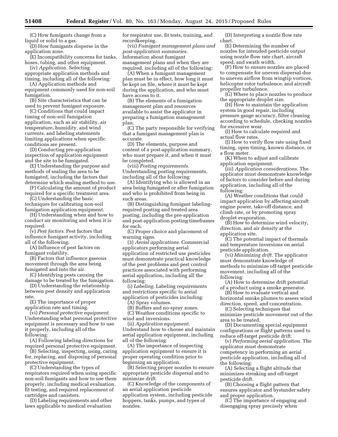(C) How fumigants change from a liquid or solid to a gas.

(D) How fumigants disperse in the application zone.

(E) Incompatibility concerns for tanks, hoses, tubing, and other equipment.

(iv) *Application.* Selecting appropriate application methods and timing, including all of the following:

(A) Application methods and equipment commonly used for non-soil fumigation.

(B) Site characteristics that can be used to prevent fumigant exposure.

(C) Conditions that could impact timing of non-soil fumigation application, such as air stability, air temperature, humidity, and wind currents, and labeling statements limiting applications when specific conditions are present.

(D) Conducting pre-application inspection of application equipment and the site to be fumigated.

(E) Understanding the purpose and methods of sealing the area to be fumigated, including the factors that determine which sealing method to use.

(F) Calculating the amount of product required for a specific treatment area.

(G) Understanding the basic techniques for calibrating non-soil fumigation application equipment.

(H) Understanding when and how to conduct air monitoring and when it is required.

(v) *Pest factors.* Pest factors that influence fumigant activity, including all of the following:

(A) Influence of pest factors on fumigant volatility.

(B) Factors that influence gaseous movement through the area being fumigated and into the air.

(C) Identifying pests causing the damage to be treated by the fumigation.

(D) Understanding the relationship between pest density and application rate.

(E) The importance of proper application rate and timing.

(vi) *Personal protective equipment.*  Understanding what personal protective equipment is necessary and how to use it properly, including all of the following:

(A) Following labeling directions for required personal protective equipment.

(B) Selecting, inspecting, using, caring for, replacing, and disposing of personal protective equipment.

(C) Understanding the types of respirators required when using specific non-soil fumigants and how to use them properly, including medical evaluation, fit testing, and required replacement of cartridges and canisters.

(D) Labeling requirements and other laws applicable to medical evaluation

for respirator use, fit tests, training, and recordkeeping.

(vii) *Fumigant management plans and post-application summaries.*  Information about fumigant management plans and when they are required, including all of the following:

(A) When a fumigant management plan must be in effect, how long it must be kept on file, where it must be kept during the application, and who must have access to it.

(B) The elements of a fumigation management plan and resources available to assist the applicator in preparing a fumigation management plan.

(C) The party responsible for verifying that a fumigant management plan is accurate.

(D) The elements, purpose and content of a post-application summary, who must prepare it, and when it must be completed.

(viii) *Posting requirements.*  Understanding posting requirements, including all of the following:

(A) Identifying who is allowed in an area being fumigated or after fumigation and who is prohibited from being in such areas.

(B) Distinguishing fumigant labelingrequired posting and treated area posting, including the pre-application and post-application posting timeframes for each.

(C) Proper choice and placement of warning signs.

(3) *Aerial applications.* Commercial applicators performing aerial application of restricted use pesticides must demonstrate practical knowledge of the pest problems and pest control practices associated with performing aerial application, including all the following:

(i) *Labeling.* Labeling requirements and restrictions specific to aerial application of pesticides including:

(A) Spray volumes.

(B) Buffers and no-spray zones.

(C) Weather conditions specific to wind and inversions.

(ii) *Application equipment.*  Understand how to choose and maintain aerial application equipment, including all of the following:

(A) The importance of inspecting application equipment to ensure it is proper operating condition prior to beginning an application.

(B) Selecting proper nozzles to ensure appropriate pesticide dispersal and to minimize drift.

(C) Knowledge of the components of an aerial application pesticide application system, including pesticide hoppers, tanks, pumps, and types of nozzles.

(D) Interpreting a nozzle flow rate chart.

(E) Determining the number of nozzles for intended pesticide output using nozzle flow rate chart, aircraft speed, and swath width.

(F) How to ensure nozzles are placed to compensate for uneven dispersal due to uneven airflow from wingtip vortices, helicopter rotor turbulence, and aircraft propeller turbulence.

(G) Where to place nozzles to produce the appropriate droplet size.

(H) How to maintain the application system in good repair, including pressure gauge accuracy, filter cleaning according to schedule, checking nozzles for excessive wear.

(I) How to calculate required and actual flow rates.

(J) How to verify flow rate using fixed timing, open timing, known distance, or a flow meter.

(K) When to adjust and calibrate application equipment.

(iii) *Application considerations.* The applicator must demonstrate knowledge of factors to consider before and during application, including all of the following:

(A) Weather conditions that could impact application by affecting aircraft engine power, take-off distance, and climb rate, or by promoting spray droplet evaporation.

(B) How to determine wind velocity, direction, and air density at the application site.

(C) The potential impact of thermals and temperature inversions on aerial pesticide application.

(vi) *Minimizing drift.* The applicator must demonstrate knowledge of methods to minimize off-target pesticide movement, including all of the following:

(A) How to determine drift potential of a product using a smoke generator.

(B) How to evaluate vertical and horizontal smoke plumes to assess wind direction, speed, and concentration.

(C) Selecting techniques that minimize pesticide movement out of the area to be treated.

(D) Documenting special equipment configurations or flight patterns used to reduce off-target pesticide drift.

(v) *Performing aerial application.* The applicator must demonstrate competency in performing an aerial pesticide application, including all of the following:

(A) Selecting a flight altitude that minimizes streaking and off-target pesticide drift.

(B) Choosing a flight pattern that ensures applicator and bystander safety and proper application.

(C) The importance of engaging and disengaging spray precisely when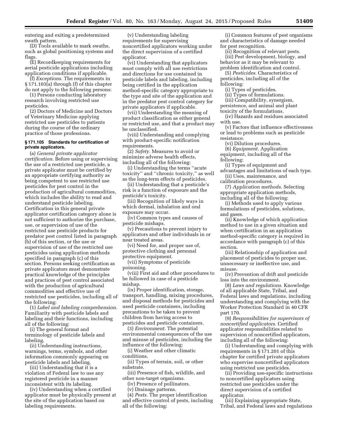entering and exiting a predetermined swath pattern.

(D) Tools available to mark swaths, such as global positioning systems and flags.

(E) Recordkeeping requirements for aerial pesticide applications including application conditions if applicable.

(f) *Exceptions.* The requirements in § 171.103(a) through (f) of this chapter do not apply to the following persons:

(1) Persons conducting laboratory research involving restricted use pesticides.

(2) Doctors of Medicine and Doctors of Veterinary Medicine applying restricted use pesticides to patients during the course of the ordinary practice of those professions.

#### **§ 171.105 Standards for certification of private applicators.**

(a) *General private applicator certification.* Before using or supervising the use of a restricted use pesticide, a private applicator must be certified by an appropriate certifying authority as being competent to use restricted use pesticides for pest control in the production of agricultural commodities, which includes the ability to read and understand pesticide labeling. Certification in this general private applicator certification category alone is not sufficient to authorize the purchase, use, or supervision of use of the restricted use pesticide products for predator pest control listed in paragraph (b) of this section, or the use or supervision of use of the restricted use pesticides using application methods specified in paragraph (c) of this section. Persons seeking certification as private applicators must demonstrate practical knowledge of the principles and practices of pest control associated with the production of agricultural commodities and effective use of restricted use pesticides, including all of the following:

(1) *Label and labeling comprehension.*  Familiarity with pesticide labels and labeling and their functions, including all of the following:

(i) The general format and terminology of pesticide labels and labeling.

(ii) Understanding instructions, warnings, terms, symbols, and other information commonly appearing on pesticide labels and labeling.

(iii) Understanding that it is a violation of Federal law to use any registered pesticide in a manner inconsistent with its labeling.

(iv) Understanding when a certified applicator must be physically present at the site of the application based on labeling requirements.

(v) Understanding labeling requirements for supervising noncertified applicators working under the direct supervision of a certified applicator.

(vi) Understanding that applicators must comply with all use restrictions and directions for use contained in pesticide labels and labeling, including being certified in the application method-specific category appropriate to the type and site of the application and in the predator pest control category for private applicators if applicable.

(vii) Understanding the meaning of product classification as either general or restricted use, and that a product may be unclassified.

(viii) Understanding and complying with product-specific notification requirements.

(2) *Safety.* Measures to avoid or minimize adverse health effects, including all of the following:

(i) Understanding the terms ''acute toxicity'' and ''chronic toxicity,'' as well as the long-term effects of pesticides.

(ii) Understanding that a pesticide's risk is a function of exposure and the pesticide's toxicity.

(iii) Recognition of likely ways in which dermal, inhalation and oral exposure may occur.

(iv) Common types and causes of pesticide mishaps.

(v) Precautions to prevent injury to applicators and other individuals in or near treated areas.

(vi) Need for, and proper use of, protective clothing and personal protective equipment.

(vii) Symptoms of pesticide poisoning.

(viii) First aid and other procedures to be followed in case of a pesticide mishap.

(ix) Proper identification, storage, transport, handling, mixing procedures, and disposal methods for pesticides and used pesticide containers, including precautions to be taken to prevent children from having access to pesticides and pesticide containers.

(3) *Environment.* The potential environmental consequences of the use and misuse of pesticides, including the influence of the following:

(i) Weather and other climatic conditions.

(ii) Types of terrain, soil, or other substrate.

(iii) Presence of fish, wildlife, and other non-target organisms.

(iv) Presence of pollinators.

(v) Drainage patterns.

(4) *Pests.* The proper identification and effective control of pests, including all of the following:

(i) Common features of pest organisms and characteristics of damage needed for pest recognition.

(ii) Recognition of relevant pests. (iii) Pest development, biology, and behavior as it may be relevant to problem identification and control.

(5) *Pesticides.* Characteristics of pesticides, including all of the following:

(i) Types of pesticides.

(ii) Types of formulations.

(iii) Compatibility, synergism, persistence, and animal and plant toxicity of the formulations.

(iv) Hazards and residues associated with use.

(v) Factors that influence effectiveness or lead to problems such as pesticide resistance.

(vi) Dilution procedures.

(6) *Equipment.* Application equipment, including all of the

following:

(i) Types of equipment and advantages and limitations of each type. (ii) Uses, maintenance, and

calibration procedures.

(7) *Application methods.* Selecting appropriate application methods, including all of the following:

(i) Methods used to apply various formulations of pesticides, solutions, and gases.

(ii) Knowledge of which application method to use in a given situation and when certification in an application method-specific category is required in accordance with paragraph (c) of this section.

(iii) Relationship of application and placement of pesticides to proper use, unnecessary or ineffective use, and misuse.

(iv) Prevention of drift and pesticide loss into the environment.

(8) *Laws and regulations.* Knowledge of all applicable State, Tribal, and Federal laws and regulations, including understanding and complying with the Worker Protection Standard in 40 CFR part 170.

(9) *Responsibilities for supervisors of noncertified applicators.* Certified applicator responsibilities related to supervision of noncertified applicators, including all of the following:

(i) Understanding and complying with requirements in § 171.201 of this chapter for certified private applicators who supervise noncertified applicators using restricted use pesticides.

(ii) Providing use-specific instructions to noncertified applicators using restricted use pesticides under the direct supervision of a certified applicator.

(iii) Explaining appropriate State, Tribal, and Federal laws and regulations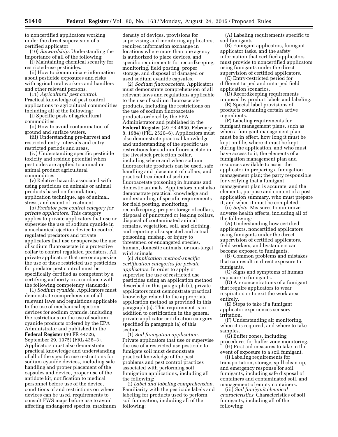to noncertified applicators working under the direct supervision of a certified applicator.

(10) *Stewardship.* Understanding the importance of all of the following:

(i) Maintaining chemical security for restricted-use pesticides.

(ii) How to communicate information about pesticide exposures and risks with agricultural workers and handlers and other relevant persons.

(11) *Agricultural pest control.*  Practical knowledge of pest control applications to agricultural commodities including all of the following:

(i) Specific pests of agricultural commodities.

(ii) How to avoid contamination of ground and surface waters.

(iii) Understanding pre-harvest and restricted-entry intervals and entryrestricted periods and areas.

(iv) Understanding specific pesticide toxicity and residue potential when pesticides are applied to animal or animal product agricultural commodities.

(v) Relative hazards associated with using pesticides on animals or animal products based on formulation, application technique, age of animal, stress, and extent of treatment.

(b) *Predator pest control category for private applicators.* This category applies to private applicators that use or supervise the use of sodium cyanide in a mechanical ejection device to control regulated predators and private applicators that use or supervise the use of sodium fluoroacetate in a protective collar to control regulated predators. All private applicators that use or supervise the use of these restricted use pesticides for predator pest control must be specifically certified as competent by a certifying authority in accordance with the following competency standards:

(1) *Sodium cyanide.* Applicators must demonstrate comprehension of all relevant laws and regulations applicable to the use of mechanical ejection devices for sodium cyanide, including the restrictions on the use of sodium cyanide products ordered by the EPA Administrator and published in the **Federal Register** (40 FR 44726, September 29, 1975) (FRL 436–3). Applicators must also demonstrate practical knowledge and understanding of all of the specific use restrictions for sodium cyanide devices, including safe handling and proper placement of the capsules and device, proper use of the antidote kit, notification to medical personnel before use of the device, conditions of and restrictions on where devices can be used, requirements to consult FWS maps before use to avoid affecting endangered species, maximum

density of devices, provisions for supervising and monitoring applicators, required information exchange in locations where more than one agency is authorized to place devices, and specific requirements for recordkeeping, monitoring, field posting, proper storage, and disposal of damaged or used sodium cyanide capsules.

(2) *Sodium fluoroacetate.* Applicators must demonstrate comprehension of all relevant laws and regulations applicable to the use of sodium fluoroacetate products, including the restrictions on the use of sodium fluoroacetate products ordered by the EPA Administrator and published in the **Federal Register** (49 FR 4830, February 8, 1984) (FRL 2520–6). Applicators must also demonstrate practical knowledge and understanding of the specific use restrictions for sodium fluoroacetate in the livestock protection collar, including where and when sodium fluoroacetate products can be used, safe handling and placement of collars, and practical treatment of sodium fluoroacetate poisoning in humans and domestic animals. Applicators must also demonstrate practical knowledge and understanding of specific requirements for field posting, monitoring, recordkeeping, proper storage of collars, disposal of punctured or leaking collars, disposal of contaminated animal remains, vegetation, soil, and clothing, and reporting of suspected and actual poisoning, mishap, or injury to threatened or endangered species, human, domestic animals, or non-target wild animals.

(c) *Application method-specific certification categories for private applicators.* In order to apply or supervise the use of restricted use pesticides using an application method described in this paragraph (c), private applicators must demonstrate practical knowledge related to the appropriate application method as provided in this paragraph (c). This requirement is in addition to certification in the general private applicator certification category specified in paragraph (a) of this section.

(1) *Soil fumigation application.*  Private applicators that use or supervise the use of a restricted use pesticide to fumigate soil must demonstrate practical knowledge of the pest problems and pest control practices associated with performing soil fumigation applications, including all the following:

(i) *Label and labeling comprehension.*  Familiarity with the pesticide labels and labeling for products used to perform soil fumigation, including all of the following:

(A) Labeling requirements specific to soil fumigants.

(B) Fumigant applicators, fumigant applicator tasks, and the safety information that certified applicators must provide to noncertified applicators using fumigants under the direct supervision of certified applicators.

(C) Entry-restricted period for different tarped and untarped field application scenarios.

(D) Recordkeeping requirements imposed by product labels and labeling.

(E) Special label provisions of products containing certain active ingredients.

(F) Labeling requirements for fumigant management plans, such as when a fumigant management plan must be in effect, how long it must be kept on file, where it must be kept during the application, and who must have access to it; the elements of a fumigation management plan and resources available to assist the applicator in preparing a fumigation management plan; the party responsible for verifying that a fumigant management plan is accurate; and the elements, purpose and content of a postapplication summary, who must prepare it, and when it must be completed.

(ii) *Safety.* Measures to minimize adverse health effects, including all of the following:

(A) Understanding how certified applicators, noncertified applicators using fumigants under the direct supervision of certified applicators, field workers, and bystanders can become exposed to fumigants.

(B) Common problems and mistakes that can result in direct exposure to fumigants.

(C) Signs and symptoms of human exposure to fumigants.

(D) Air concentrations of a fumigant that require applicators to wear respirators or to exit the work area entirely.

(E) Steps to take if a fumigant applicator experiences sensory irritation.

(F) Understanding air monitoring, when it is required, and where to take samples.

(G) Buffer zones, including procedures for buffer zone monitoring.

(H) First aid measures to take in the event of exposure to a soil fumigant.

(I) Labeling requirements for transportation, storage, spill clean up, and emergency response for soil fumigants, including safe disposal of containers and contaminated soil, and management of empty containers.

(iii) *Soil fumigant chemical characteristics.* Characteristics of soil fumigants, including all of the following: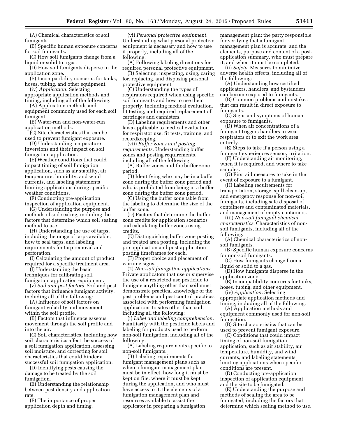(A) Chemical characteristics of soil fumigants.

(B) Specific human exposure concerns for soil fumigants.

(C) How soil fumigants change from a liquid or solid to a gas.

(D) How soil fumigants disperse in the application zone.

(E) Incompatibility concerns for tanks, hoses, tubing, and other equipment.

(iv) *Application.* Selecting

appropriate application methods and timing, including all of the following:

(A) Application methods and equipment commonly used for each soil fumigant.

(B) Water-run and non-water-run application methods.

(C) Site characteristics that can be used to prevent fumigant exposure.

(D) Understanding temperature inversions and their impact on soil fumigation application.

(E) Weather conditions that could impact timing of soil fumigation application, such as air stability, air temperature, humidity, and wind currents, and labeling statements limiting applications during specific weather conditions.

(F) Conducting pre-application inspection of application equipment.

(G) Understanding the purpose and methods of soil sealing, including the factors that determine which soil sealing method to use.

(H) Understanding the use of tarps, including the range of tarps available, how to seal tarps, and labeling requirements for tarp removal and perforation.

(I) Calculating the amount of product required for a specific treatment area.

(J) Understanding the basic techniques for calibrating soil fumigation application equipment.

(v) *Soil and pest factors.* Soil and pest factors that influence fumigant activity, including all of the following:

(A) Influence of soil factors on fumigant volatility and movement within the soil profile.

(B) Factors that influence gaseous movement through the soil profile and into the air.

(C) Soil characteristics, including how soil characteristics affect the success of a soil fumigation application, assessing soil moisture, and correcting for soil characteristics that could hinder a successful soil fumigation application.

(D) Identifying pests causing the damage to be treated by the soil fumigation.

(E) Understanding the relationship between pest density and application rate.

(F) The importance of proper application depth and timing.

(vi) *Personal protective equipment.*  Understanding what personal protective equipment is necessary and how to use it properly, including all of the following:

(A) Following labeling directions for required personal protective equipment.

(B) Selecting, inspecting, using, caring for, replacing, and disposing personal protective equipment.

(C) Understanding the types of respirators required when using specific soil fumigants and how to use them properly, including medical evaluation, fit testing, and required replacement of cartridges and cannisters.

(D) Labeling requirements and other laws applicable to medical evaluation for respirator use, fit tests, training, and recordkeeping.

(vii) *Buffer zones and posting requirements.* Understanding buffer zones and posting requirements, including all of the following:

(A) Buffer zones and the buffer zone period.

(B) Identifying who may be in a buffer zone during the buffer zone period and who is prohibited from being in a buffer zone during the buffer zone period.

(C) Using the buffer zone table from the labeling to determine the size of the buffer zone.

(D) Factors that determine the buffer zone credits for application scenarios and calculating buffer zones using credits.

(E) Distinguishing buffer zone posting and treated area posting, including the pre-application and post-application posting timeframes for each.

(F) Proper choice and placement of warning signs.

(2) *Non-soil fumigation applications.*  Private applicators that use or supervise the use of a restricted use pesticide to fumigate anything other than soil must demonstrate practical knowledge of the pest problems and pest control practices associated with performing fumigation applications to sites other than soil, including all the following:

(i) *Label and labeling comprehension.*  Familiarity with the pesticide labels and labeling for products used to perform non-soil fumigation, including all of the following:

(A) Labeling requirements specific to non-soil fumigants.

(B) Labeling requirements for fumigant management plans such as when a fumigant management plan must be in effect, how long it must be kept on file, where it must be kept during the application, and who must have access to it; the elements of a fumigation management plan and resources available to assist the applicator in preparing a fumigation

management plan; the party responsible for verifying that a fumigant management plan is accurate; and the elements, purpose and content of a postapplication summary, who must prepare it, and when it must be completed.

(ii) *Safety.* Measures to minimize adverse health effects, including all of the following:

(A) Understanding how certified applicators, handlers, and bystanders can become exposed to fumigants.

(B) Common problems and mistakes that can result in direct exposure to fumigants.

(C) Signs and symptoms of human exposure to fumigants.

(D) When air concentrations of a fumigant triggers handlers to wear respirators or to exit the work area entirely.

(E) Steps to take if a person using a fumigant experiences sensory irritation.

(F) Understanding air monitoring, when it is required, and where to take samples.

(G) First aid measures to take in the event of exposure to a fumigant.

(H) Labeling requirements for transportation, storage, spill clean-up, and emergency response for non-soil fumigants, including safe disposal of containers and contaminated materials, and management of empty containers.

(iii) *Non-soil fumigant chemical characteristics.* Characteristics of nonsoil fumigants, including all of the following:

(A) Chemical characteristics of nonsoil fumigants.

(B) Specific human exposure concerns for non-soil fumigants.

(C) How fumigants change from a liquid or solid to a gas.

(D) How fumigants disperse in the application zone.

(E) Incompatibility concerns for tanks, hoses, tubing, and other equipment.

(iv) *Application.* Selecting appropriate application methods and timing, including all of the following:

(A) Application methods and equipment commonly used for non-soil fumigation.

(B) Site characteristics that can be used to prevent fumigant exposure.

(C) Conditions that could impact timing of non-soil fumigation application, such as air stability, air temperature, humidity, and wind currents, and labeling statements limiting applications when specific conditions are present.

(D) Conducting pre-application inspection of application equipment and the site to be fumigated.

(E) Understanding the purpose and methods of sealing the area to be fumigated, including the factors that determine which sealing method to use.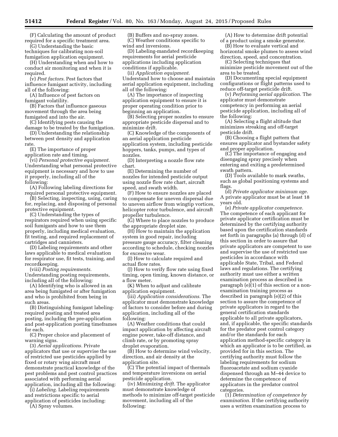(F) Calculating the amount of product required for a specific treatment area.

(G) Understanding the basic techniques for calibrating non-soil fumigation application equipment.

(H) Understanding when and how to conduct air monitoring and when it is required.

(v) *Pest factors.* Pest factors that influence fumigant activity, including all of the following:

(A) Influence of pest factors on fumigant volatility.

(B) Factors that influence gaseous movement through the area being fumigated and into the air.

(C) Identifying pests causing the damage to be treated by the fumigation.

(D) Understanding the relationship between pest density and application rate.

(E) The importance of proper application rate and timing.

(vi) *Personal protective equipment.*  Understanding what personal protective equipment is necessary and how to use it properly, including all of the following:

(A) Following labeling directions for required personal protective equipment.

(B) Selecting, inspecting, using, caring for, replacing, and disposing of personal protective equipment.

(C) Understanding the types of respirators required when using specific soil fumigants and how to use them properly, including medical evaluation, fit testing, and required replacement of cartridges and cannisters.

(D) Labeling requirements and other laws applicable to medical evaluation for respirator use, fit tests, training, and recordkeeping.

(viii) *Posting requirements.*  Understanding posting requirements, including all of the following:

(A) Identifying who is allowed in an area being fumigated or after fumigation and who is prohibited from being in such areas.

(B) Distinguishing fumigant labelingrequired posting and treated area posting, including the pre-application and post-application posting timeframes for each.

(C) Proper choice and placement of warning signs.

(3) *Aerial applications.* Private applicators that use or supervise the use of restricted use pesticides applied by fixed or rotary wing aircraft must demonstrate practical knowledge of the pest problems and pest control practices associated with performing aerial application, including all the following:

(i) *Labeling.* Labeling requirements and restrictions specific to aerial

application of pesticides including: (A) Spray volumes.

(B) Buffers and no-spray zones. (C) Weather conditions specific to wind and inversions.

(D) Labeling-mandated recordkeeping requirements for aerial pesticide applications including application conditions if applicable.

(ii) *Application equipment.*  Understand how to choose and maintain aerial application equipment, including all of the following:

(A) The importance of inspecting application equipment to ensure it is proper operating condition prior to beginning an application.

(B) Selecting proper nozzles to ensure appropriate pesticide dispersal and to minimize drift.

(C) Knowledge of the components of an aerial application pesticide application system, including pesticide hoppers, tanks, pumps, and types of nozzles.

(D) Interpreting a nozzle flow rate chart.

(E) Determining the number of nozzles for intended pesticide output using nozzle flow rate chart, aircraft speed, and swath width.

(F) How to ensure nozzles are placed to compensate for uneven dispersal due to uneven airflow from wingtip vortices, helicopter rotor turbulence, and aircraft propeller turbulence.

(G) Where to place nozzles to produce the appropriate droplet size.

(H) How to maintain the application system in good repair, including pressure gauge accuracy, filter cleaning according to schedule, checking nozzles for excessive wear.

(I) How to calculate required and actual flow rates.

(J) How to verify flow rate using fixed timing, open timing, known distance, or a flow meter.

(K) When to adjust and calibrate application equipment.

(iii) *Application considerations.* The applicator must demonstrate knowledge of factors to consider before and during application, including all of the following:

(A) Weather conditions that could impact application by affecting aircraft engine power, take-off distance, and climb rate, or by promoting spray droplet evaporation.

(B) How to determine wind velocity, direction, and air density at the application site.

(C) The potential impact of thermals and temperature inversions on aerial pesticide application.

(iv) *Minimizing drift.* The applicator must demonstrate knowledge of methods to minimize off-target pesticide movement, including all of the following:

(A) How to determine drift potential of a product using a smoke generator.

(B) How to evaluate vertical and horizontal smoke plumes to assess wind direction, speed, and concentration.

(C) Selecting techniques that minimize pesticide movement out of the area to be treated.

(D) Documenting special equipment configurations or flight patterns used to reduce off-target pesticide drift.

(v) *Performing aerial application.* The applicator must demonstrate competency in performing an aerial pesticide application, including all of the following:

(A) Selecting a flight altitude that minimizes streaking and off-target pesticide drift.

(B) Choosing a flight pattern that ensures applicator and bystander safety and proper application.

(C) The importance of engaging and disengaging spray precisely when entering and exiting a predetermined swath pattern.

(D) Tools available to mark swaths, such as global positioning systems and flags.

(d) *Private applicator minimum age.*  A private applicator must be at least 18 years old.

(e) *Private applicator competence.*  The competence of each applicant for private applicator certification must be determined by the certifying authority based upon the certification standards set forth in paragraphs (a) through (d) of this section in order to assure that private applicators are competent to use and supervise the use of restricted use pesticides in accordance with applicable State, Tribal, and Federal laws and regulations. The certifying authority must use either a written examination process as described in paragraph (e)(1) of this section or a nonexamination training process as described in paragraph (e)(2) of this section to assure the competence of private applicators in regard to the general certification standards applicable to all private applicators, and, if applicable, the specific standards for the predator pest control category and/or the standards for each application method-specific category in which an applicator is to be certified, as provided for in this section. The certifying authority must follow the labeling requirements for sodium fluoroacetate and sodium cyanide dispensed through an M–44 device to determine the competence of applicators in the predator control categories.

(1) *Determination of competence by examination.* If the certifying authority uses a written examination process to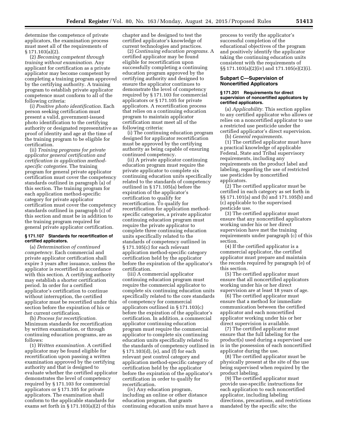determine the competence of private applicators, the examination process must meet all of the requirements of § 171.103(a)(2).

(2) *Becoming competent through training without examination.* Any applicant for certification as a private applicator may become competent by completing a training program approved by the certifying authority. A training program to establish private applicator competence must conform to all of the following criteria:

(i) *Positive photo identification.* Each person seeking certification must present a valid, government-issued photo identification to the certifying authority or designated representative as proof of identity and age at the time of the training program to be eligible for certification.

(ii) *Training programs for private applicator general certification and certification in application methodspecific categories.* The training program for general private applicator certification must cover the competency standards outlined in paragraph (a) of this section. The training program for each application method-specific category for private applicator certification must cover the competency standards outlined in paragraph (c) of this section and must be in addition to the training program required for general private applicator certification.

#### **§ 171.107 Standards for recertification of certified applicators.**

(a) *Determination of continued competency.* Each commercial and private applicator certification shall expire 3 years after issuance, unless the applicator is recertified in accordance with this section. A certifying authority may establish a shorter certification period. In order for a certified applicator's certification to continue without interruption, the certified applicator must be recertified under this section before the expiration of his or her current certification.

(b) *Process for recertification.*  Minimum standards for recertification by written examination, or through continuing education programs, are as follows:

(1) *Written examination.* A certified applicator may be found eligible for recertification upon passing a written examination approved by the certifying authority and that is designed to evaluate whether the certified applicator demonstrates the level of competency required by § 171.103 for commercial applicators or § 171.105 for private applicators. The examination shall conform to the applicable standards for exams set forth in § 171.103(a)(2) of this

chapter and be designed to test the certified applicator's knowledge of current technologies and practices.

(2) *Continuing education programs.* A certified applicator may be found eligible for recertification upon successfully completing a continuing education program approved by the certifying authority and designed to ensure the applicator continues to demonstrate the level of competency required by § 171.103 for commercial applicators or § 171.105 for private applicators. A recertification process that relies on a continuing education program to maintain applicator certification must meet all of the following criteria:

(i) The continuing education program designed for applicator recertification must be approved by the certifying authority as being capable of ensuring continued competency.

(ii) A private applicator continuing education program must require the private applicator to complete six continuing education units specifically related to the standards of competency outlined in § 171.105(a) before the expiration of the applicator's certification to qualify for recertification. To qualify for recertification for application methodspecific categories, a private applicator continuing education program must require the private applicator to complete three continuing education units specifically related to the standards of competency outlined in § 171.105(c) for each relevant application method-specific category certification held by the applicator before the expiration of the applicator's certification.

(iii) A commercial applicator continuing education program must require the commercial applicator to complete six continuing education units specifically related to the core standards of competency for commercial applicators outlined in § 171.103(c) before the expiration of the applicator's certification. In addition, a commercial applicator continuing education program must require the commercial applicator to complete six continuing education units specifically related to the standards of competency outlined in § 171.103(d), (e), and (f) for each relevant pest control category and application method-specific category of certification held by the applicator before the expiration of the applicator's certification in order to qualify for recertification.

(iv) Any education program, including an online or other distance education program, that grants continuing education units must have a

process to verify the applicator's successful completion of the educational objectives of the program and positively identify the applicator taking the continuing education units consistent with the requirements of §§ 171.103(a)(2)(iv) and 171.105(e)(2)(i).

#### **Subpart C—Supervision of Noncertified Applicators**

#### **§ 171.201 Requirements for direct supervision of noncertified applicators by certified applicators.**

(a) *Applicability.* This section applies to any certified applicator who allows or relies on a noncertified applicator to use a restricted use pesticide under the certified applicator's direct supervision.

(b) *General requirements.* 

(1) The certified applicator must have a practical knowledge of applicable Federal, State and Tribal supervisory requirements, including any requirements on the product label and labeling, regarding the use of restricted use pesticides by noncertified applicators.

(2) The certified applicator must be certified in each category as set forth in §§ 171.101(a) and (b) and 171.105(b) and (c) applicable to the supervised pesticide use.

(3) The certified applicator must ensure that any noncertified applicators working under his or her direct supervision have met the training requirements under paragraph (c) of this section.

(4) If the certified applicator is a commercial applicator, the certified applicator must prepare and maintain the records required by paragraph (e) of this section.

(5) The certified applicator must ensure that all noncertified applicators working under his or her direct supervision are at least 18 years of age.

(6) The certified applicator must ensure that a method for immediate communication between the certified applicator and each noncertified applicator working under his or her direct supervision is available.

(7) The certified applicator must ensure that the full labeling for the product(s) used during a supervised use is in the possession of each noncertified applicator during the use.

(8) The certified applicator must be physically present at the site of the use being supervised when required by the product labeling.

(9) The certified applicator must provide use-specific instructions for each application to each noncertified applicator, including labeling directions, precautions, and restrictions mandated by the specific site; the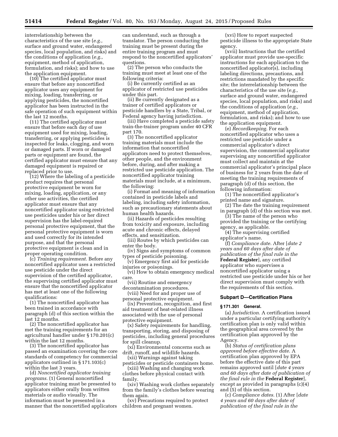interrelationship between the characteristics of the use site (*e.g.,*  surface and ground water, endangered species, local population, and risks) and the conditions of application (*e.g.,*  equipment, method of application, formulation, and risks); and how to use the application equipment.

(10) The certified applicator must ensure that before any noncertified applicator uses any equipment for mixing, loading, transferring, or applying pesticides, the noncertified applicator has been instructed in the safe operation of such equipment within the last 12 months.

(11) The certified applicator must ensure that before each day of use equipment used for mixing, loading, transferring, or applying pesticides is inspected for leaks, clogging, and worn or damaged parts. If worn or damaged parts or equipment are found, the certified applicator must ensure that any damaged equipment is repaired or replaced prior to use.

(12) Where the labeling of a pesticide product requires that personal protective equipment be worn for mixing, loading, application, or any other use activities, the certified applicator must ensure that any noncertified applicator using restricted use pesticides under his or her direct supervision has the label-required personal protective equipment, that the personal protective equipment is worn and used correctly for its intended purpose, and that the personal protective equipment is clean and in proper operating condition.

(c) *Training requirement.* Before any noncertified applicator uses a restricted use pesticide under the direct supervision of the certified applicator, the supervising certified applicator must ensure that the noncertified applicator has met at least one of the following qualifications:

(1) The noncertified applicator has been trained in accordance with paragraph (d) of this section within the last 12 months.

(2) The noncertified applicator has met the training requirements for an agricultural handler under § 170.201(c) within the last 12 months.

(3) The noncertified applicator has passed an examination covering the core standards of competency for commercial applicators outlined in § 171.103(c) within the last 3 years.

(d) *Noncertified applicator training programs.* (1) General noncertified applicator training must be presented to applicators either orally from written materials or audio visually. The information must be presented in a manner that the noncertified applicators

can understand, such as through a translator. The person conducting the training must be present during the entire training program and must respond to the noncertified applicators' questions.

(2) The person who conducts the training must meet at least one of the following criteria:

(i) Be currently certified as an applicator of restricted use pesticides under this part.

(ii) Be currently designated as a trainer of certified applicators or pesticide handlers by a State, Tribal, or Federal agency having jurisdiction.

(iii) Have completed a pesticide safety train-the-trainer program under 40 CFR part 170.

(3) The noncertified applicator training materials must include the information that noncertified applicators need to protect themselves, other people, and the environment before, during, and after making a restricted use pesticide application. The noncertified applicator training materials must include, at a minimum, the following:

(i) Format and meaning of information contained in pesticide labels and labeling, including safety information, such as precautionary statements about human health hazards.

(ii) Hazards of pesticides resulting from toxicity and exposure, including acute and chronic effects, delayed effects, and sensitization.

(iii) Routes by which pesticides can enter the body.

(iv) Signs and symptoms of common types of pesticide poisoning.

(v) Emergency first aid for pesticide injuries or poisonings.

(vi) How to obtain emergency medical care.

(vii) Routine and emergency decontamination procedures.

(viii) Need for and proper use of personal protective equipment.

(ix) Prevention, recognition, and first aid treatment of heat-related illness associated with the use of personal protective equipment.

(x) Safety requirements for handling, transporting, storing, and disposing of pesticides, including general procedures for spill cleanup.

(xi) Environmental concerns such as drift, runoff, and wildlife hazards.

(xii) Warnings against taking pesticides or pesticide containers home.

(xiii) Washing and changing work clothes before physical contact with family.

(xiv) Washing work clothes separately from the family's clothes before wearing them again.

(xv) Precautions required to protect children and pregnant women.

(xvi) How to report suspected pesticide illness to the appropriate State agency.

(xvii) Instructions that the certified applicator must provide use-specific instructions for each application to the noncertified applicator(s), including labeling directions, precautions, and restrictions mandated by the specific site; the interrelationship between the characteristics of the use site (*e.g.,*  surface and ground water, endangered species, local population, and risks) and the conditions of application (*e.g.,*  equipment, method of application, formulation, and risks); and how to use the application equipment.

(e) *Recordkeeping.* For each noncertified applicator who uses a restricted use pesticide under a commercial applicator's direct supervision, the commercial applicator supervising any noncertified applicator must collect and maintain at the commercial applicator's principal place of business for 2 years from the date of meeting the training requirements of paragraph (d) of this section, the following information:

(1) The noncertified applicator's printed name and signature.

(2) The date the training requirement in paragraph (d) of this section was met.

(3) The name of the person who provided the training or the certifying agency, as applicable.

(4) The supervising certified applicator's name.

(f) *Compliance date.* After [*date 2 years and 60 days after date of publication of the final rule in the*  **Federal Register**], any certified applicator who supervises a noncertified applicator using a restricted use pesticide under his or her direct supervision must comply with the requirements of this section.

#### **Subpart D—Certification Plans**

#### **§ 171.301 General.**

(a) *Jurisdiction.* A certification issued under a particular certifying authority's certification plan is only valid within the geographical area covered by the certification plan approved by the Agency.

(b) *Status of certification plans approved before effective date.* A certification plan approved by EPA before the effective date of this part remains approved until [*date 4 years and 60 days after date of publication of the final rule in the* **Federal Register**], except as provided in paragraphs (c)(4) and (5) of this section.

(c) *Compliance dates.* (1) After [*date 4 years and 60 days after date of publication of the final rule in the*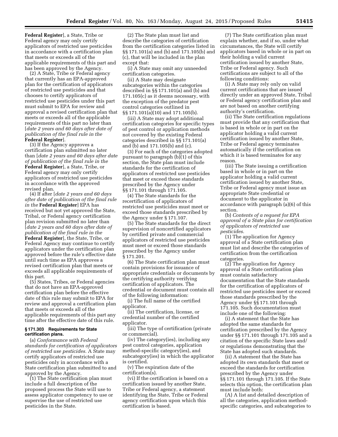**Federal Register**], a State, Tribe or Federal agency may only certify applicators of restricted use pesticides in accordance with a certification plan that meets or exceeds all of the applicable requirements of this part and has been approved by the Agency.

(2) A State, Tribe or Federal agency that currently has an EPA-approved plan for the certification of applicators of restricted use pesticides and that chooses to certify applicators of restricted use pesticides under this part must submit to EPA for review and approval a revised certification plan that meets or exceeds all of the applicable requirements of this part no later than [*date 2 years and 60 days after date of publication of the final rule in the*  **Federal Register**].

(3) If the Agency approves a certification plan submitted no later than [*date 2 years and 60 days after date of publication of the final rule in the*  **Federal Register**], a State, Tribe, or Federal agency may only certify applicators of restricted use pesticides in accordance with the approved revised plan.

(4) If after [*date 2 years and 60 days after date of publication of the final rule in the* **Federal Register**] EPA has received but not yet approved the State, Tribal, or Federal agency certification plan revision submitted no later than [*date 2 years and 60 days after date of publication of the final rule in the*  **Federal Register**], the State, Tribe, or Federal Agency may continue to certify applicators under the certification plan approved before the rule's effective date until such time as EPA approves a revised certification plan that meets or exceeds all applicable requirements of this part.

(5) States, Tribes, or Federal agencies that do not have an EPA-approved certification plan before the effective date of this rule may submit to EPA for review and approval a certification plan that meets or exceeds all of the applicable requirements of this part any time after the effective date of this rule.

#### **§ 171.303 Requirements for State certification plans.**

(a) *Conformance with Federal standards for certification of applicators of restricted use pesticides.* A State may certify applicators of restricted use pesticides only in accordance with a State certification plan submitted to and approved by the Agency.

(1) The State certification plan must include a full description of the proposed process the State will use to assess applicator competency to use or supervise the use of restricted use pesticides in the State.

(2) The State plan must list and describe the categories of certification from the certification categories listed in §§ 171.101(a) and (b) and 171.105(b) and (c), that will be included in the plan except that:

(i) A State may omit any unneeded certification categories.

(ii) A State may designate subcategories within the categories described in §§ 171.101(a) and (b) and 171.105(c) as it deems necessary, with the exception of the predator pest control categories outlined in §§ 171.101(a)(10) and 171.105(b).

(iii) A State may adopt additional certification categories for specific types of pest control or application methods not covered by the existing Federal categories described in §§ 171.101(a) and (b) and 171.105(b) and (c).

(3) For each of the categories adopted pursuant to paragraph (b)(1) of this section, the State plan must include standards for the certification of applicators of restricted use pesticides that meet or exceed those standards prescribed by the Agency under §§ 171.101 through 171.105.

(4) The State standards for the recertification of applicators of restricted use pesticides must meet or exceed those standards prescribed by the Agency under § 171.107.

(5) The State standards for the direct supervision of noncertified applicators by certified private and commercial applicators of restricted use pesticides must meet or exceed those standards prescribed by the Agency under § 171.201.

(6) The State certification plan must contain provisions for issuance of appropriate credentials or documents by the certifying authority verifying certification of applicators. The credential or document must contain all of the following information:

(i) The full name of the certified applicator.

(ii) The certification, license, or credential number of the certified applicator.

(iii) The type of certification (private or commercial).

(iv) The category(ies), including any pest control categories, application method-specific category(ies), and subcategory(ies) in which the applicator is certified.

(v) The expiration date of the certification(s).

(vi) If the certification is based on a certification issued by another State, Tribe or Federal agency, a statement identifying the State, Tribe or Federal agency certification upon which this certification is based.

(7) The State certification plan must explain whether, and if so, under what circumstances, the State will certify applicators based in whole or in part on their holding a valid current certification issued by another State, Tribe or Federal agency. Such certifications are subject to all of the following conditions:

(i) A State may rely only on valid current certifications that are issued directly under an approved State, Tribal or Federal agency certification plan and are not based on another certifying authority's certification.

(ii) The State certification regulations must provide that any certification that is based in whole or in part on the applicator holding a valid current certification issued by another State, Tribe or Federal agency terminates automatically if the certification on which it is based terminates for any reason.

(iii) The State issuing a certification based in whole or in part on the applicator holding a valid current certification issued by another State, Tribe or Federal agency must issue an appropriate State credential or document to the applicator in accordance with paragraph (a)(6) of this section.

(b) *Contents of a request for EPA approval of a State plan for certification of applicators of restricted use pesticides.* 

(1) The application for Agency approval of a State certification plan must list and describe the categories of certification from the certification categories.

(2) The application for Agency approval of a State certification plan must contain satisfactory documentation that the State standards for the certification of applicators of restricted use pesticides meet or exceed those standards prescribed by the Agency under §§ 171.101 through 171.105. Such documentation must include one of the following:

(i) A statement that the State has adopted the same standards for certification prescribed by the Agency under §§ 171.101 through 171.105 and a citation of the specific State laws and/ or regulations demonstrating that the State has adopted such standards.

(ii) A statement that the State has adopted its own standards that meet or exceed the standards for certification prescribed by the Agency under §§ 171.101 through 171.105. If the State selects this option, the certification plan must include both:

(A) A list and detailed description of all the categories, application methodspecific categories, and subcategories to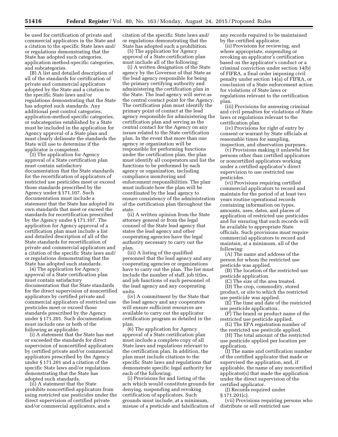be used for certification of private and commercial applicators in the State and a citation to the specific State laws and/ or regulations demonstrating that the State has adopted such categories, application method-specific categories, and subcategories.

(B) A list and detailed description of all of the standards for certification of private and commercial applicators adopted by the State and a citation to the specific State laws and/or regulations demonstrating that the State has adopted such standards. Any additional pest control categories, application-method specific categories, or subcategories established by a State must be included in the application for Agency approval of a State plan and must clearly delineate the standards the State will use to determine if the applicator is competent.

(3) The application for Agency approval of a State certification plan must contain satisfactory documentation that the State standards for the recertification of applicators of restricted use pesticides meet or exceed those standards prescribed by the Agency under § 171.107. Such documentation must include a statement that the State has adopted its own standards that meet or exceed the standards for recertification prescribed by the Agency under § 171.107. The application for Agency approval of a certification plan must include a list and detailed description of all of the State standards for recertification of private and commercial applicators and a citation of the specific State laws and/ or regulations demonstrating that the State has adopted such standards.

(4) The application for Agency approval of a State certification plan must contain satisfactory documentation that the State standards for the direct supervision of noncertified applicators by certified private and commercial applicators of restricted use pesticides meet or exceed those standards prescribed by the Agency under § 171.201. Such documentation must include one or both of the following as applicable:

(i) A statement that the State has met or exceeded the standards for direct supervision of noncertified applicators by certified private and/or commercial applicators prescribed by the Agency under § 171.201 and a citation of the specific State laws and/or regulations demonstrating that the State has adopted such standards.

(ii) A statement that the State prohibits noncertified applicators from using restricted use pesticides under the direct supervision of certified private and/or commercial applicators, and a

citation of the specific State laws and/ or regulations demonstrating that the State has adopted such a prohibition.

(5) The application for Agency approval of a State certification plan must include all of the following:

(i) A written designation of the State agency by the Governor of that State as the lead agency responsible for being the primary certifying authority and administering the certification plan in the State. The lead agency will serve as the central contact point for the Agency. The certification plan must identify the primary point of contact at the lead agency responsible for administering the certification plan and serving as the central contact for the Agency on any issues related to the State certification plan. In the event that more than one agency or organization will be responsible for performing functions under the certification plan, the plan must identify all cooperators and list the functions to be performed by each agency or organization, including compliance monitoring and enforcement responsibilities. The plan must indicate how the plan will be coordinated by the lead agency to ensure consistency of the administration of the certification plan throughout the state.

(ii) A written opinion from the State attorney general or from the legal counsel of the State lead agency that states the lead agency and other cooperating agencies have the legal authority necessary to carry out the plan.

(iii) A listing of the qualified personnel that the lead agency and any cooperating agencies or organizations have to carry out the plan. The list must include the number of staff, job titles, and job functions of such personnel of the lead agency and any cooperating units.

(iv) A commitment by the State that the lead agency and any cooperators will ensure sufficient resources are available to carry out the applicator certification program as detailed in the plan.

(6) The application for Agency approval of a State certification plan must include a complete copy of all State laws and regulations relevant to the certification plan. In addition, the plan must include citations to the specific State laws and regulations that demonstrate specific legal authority for each of the following:

(i) Provisions for and listing of the acts which would constitute grounds for denying, suspending and revoking certification of applicators. Such grounds must include, at a minimum, misuse of a pesticide and falsification of

any records required to be maintained by the certified applicator.

(ii) Provisions for reviewing, and where appropriate, suspending or revoking an applicator's certification based on the applicator's conduct or a criminal conviction under section 14(b) of FIFRA, a final order imposing civil penalty under section 14(a) of FIFRA, or conclusion of a State enforcement action for violations of State laws or regulations relevant to the certification plan.

(iii) Provisions for assessing criminal and civil penalties for violations of State laws or regulations relevant to the certification plan.

(iv) Provisions for right of entry by consent or warrant by State officials at reasonable times for sampling, inspection, and observation purposes.

(v) Provisions making it unlawful for persons other than certified applicators or noncertified applicators working under a certified applicator's direct supervision to use restricted use pesticides.

(vi) Provisions requiring certified commercial applicators to record and maintain for the period of at least two years routine operational records containing information on types, amounts, uses, dates, and places of application of restricted use pesticides and for ensuring that such records will be available to appropriate State officials. Such provisions must require commercial applicators to record and maintain, at a minimum, all of the following:

(A) The name and address of the person for whom the restricted use pesticide was applied.

(B) The location of the restricted use pesticide application.

(C) The size of the area treated.

(D) The crop, commodity, stored product, or site to which the restricted use pesticide was applied.

(E) The time and date of the restricted use pesticide application.

(F) The brand or product name of the restricted use pesticide applied.

(G) The EPA registration number of the restricted use pesticide applied.

(H) The total amount of the restricted use pesticide applied per location per application.

(I) The name and certification number of the certified applicator that made or supervised the application, and, if applicable, the name of any noncertified applicator(s) that made the application under the direct supervision of the certified applicator.

(J) Records required under

§ 171.201(c).

(vii) Provisions requiring persons who distribute or sell restricted use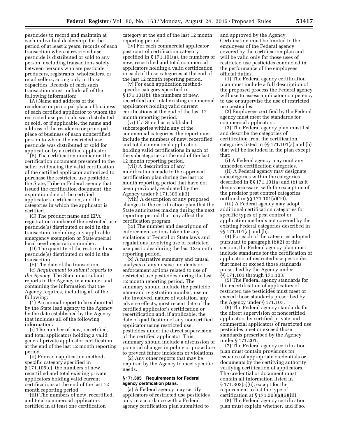pesticides to record and maintain at each individual dealership, for the period of at least 2 years, records of each transaction where a restricted use pesticide is distributed or sold to any person, excluding transactions solely between persons who are pesticide producers, registrants, wholesalers, or retail sellers, acting only in those capacities. Records of each such transaction must include all of the following information:

(A) Name and address of the residence or principal place of business of each certified applicator to whom the restricted use pesticide was distributed or sold, or if applicable, the name and address of the residence or principal place of business of each noncertified person to whom the restricted use pesticide was distributed or sold for application by a certified applicator.

(B) The certification number on the certification document presented to the seller evidencing the valid certification of the certified applicator authorized to purchase the restricted use pesticide, the State, Tribe or Federal agency that issued the certification document, the expiration date of the certified applicator's certification, and the categories in which the applicator is certified.

(C) The product name and EPA registration number of the restricted use pesticide(s) distributed or sold in the transaction, including any applicable emergency exemption or State special local need registration number.

(D) The quantity of the restricted use pesticide(s) distributed or sold in the transaction.

(E) The date of the transaction.

(c) *Requirement to submit reports to the Agency.* The State must submit reports to the Agency in a manner and containing the information that the Agency requires, including all of the following:

(1) An annual report to be submitted by the State lead agency to the Agency by the date established by the Agency that includes all of the following information:

(i) The number of new, recertified, and total applicators holding a valid general private applicator certification at the end of the last 12 month reporting period.

(ii) For each application methodspecific category specified in  $\S 171.105(c)$ , the numbers of new, recertified and total existing private applicators holding valid current certifications at the end of the last 12 month reporting period.

(iii) The numbers of new, recertified, and total commercial applicators certified in at least one certification

category at the end of the last 12 month reporting period.

(iv) For each commercial applicator pest control certification category specified in § 171.101(a), the numbers of new, recertified and total commercial applicators holding a valid certification in each of those categories at the end of the last 12 month reporting period.

(v) For each application methodspecific category specified in § 171.101(b), the numbers of new, recertified and total existing commercial applicators holding valid current certifications at the end of the last 12 month reporting period.

(vi) If a State has established subcategories within any of the commercial categories, the report must include the numbers of new, recertified and total commercial applicators holding valid certifications in each of the subcategories at the end of the last 12 month reporting period.

(vii) A description of any modifications made to the approved certification plan during the last 12 month reporting period that have not been previously evaluated by the Agency under § 171.309(a)(3).

(viii) A description of any proposed changes to the certification plan that the State anticipates making during the next reporting period that may affect the certification program.

(ix) The number and description of enforcement actions taken for any violations of Federal or State laws and regulations involving use of restricted use pesticides during the last 12-month reporting period.

(x) A narrative summary and causal analysis of any misuse incidents or enforcement actions related to use of restricted use pesticides during the last 12 month reporting period. The summary should include the pesticide name and registration number, use or site involved, nature of violation, any adverse effects, most recent date of the certified applicator's certification or recertification and, if applicable, the date of qualification of any noncertified applicator using restricted use pesticides under the direct supervision of the certified applicator. This summary should include a discussion of potential changes in policy or procedure to prevent future incidents or violations.

(2) Any other reports that may be required by the Agency to meet specific needs.

#### **§ 171.305 Requirements for Federal agency certification plans.**

(a) A Federal agency may certify applicators of restricted use pesticides only in accordance with a Federal agency certification plan submitted to

and approved by the Agency. Certification must be limited to the employees of the Federal agency covered by the certification plan and will be valid only for those uses of restricted use pesticides conducted in the performance of the employees' official duties.

(1) The Federal agency certification plan must include a full description of the proposed process the Federal agency will use to assess applicator competency to use or supervise the use of restricted use pesticides.

(2) Employees certified by the Federal agency must meet the standards for commercial applicators.

(3) The Federal agency plan must list and describe the categories of certification from the certification categories listed in §§ 171.101(a) and (b) that will be included in the plan except that:

(i) A Federal agency may omit any unneeded certification categories.

(ii) A Federal agency may designate subcategories within the categories described in §§ 171.101(a) and (b) as it deems necessary, with the exception of the predator pest control categories outlined in §§ 171.101(a)(10).

(iii) A Federal agency may adopt additional certification categories for specific types of pest control or application methods not covered by the existing Federal categories described in §§ 171.101(a) and (b).

(4) For each of the categories adopted pursuant to paragraph (b)(2) of this section, the Federal agency plan must include standards for the certification of applicators of restricted use pesticides that meet or exceed those standards prescribed by the Agency under §§ 171.101 through 171.103.

(5) The Federal agency standards for the recertification of applicators of restricted use pesticides must meet or exceed those standards prescribed by the Agency under § 171.107.

(6) The Federal agency standards for the direct supervision of noncertified applicators by certified private and commercial applicators of restricted use pesticides meet or exceed those standards prescribed by the Agency under § 171.201.

(7) The Federal agency certification plan must contain provisions for issuance of appropriate credentials or documents by the certifying authority verifying certification of applicators. The credential or document must contain all information listed in § 171.303(a)(6), except for the requirement to list the type of certification at  $\S 171.303(a)(6)(iii)$ .

(8) The Federal agency certification plan must explain whether, and if so,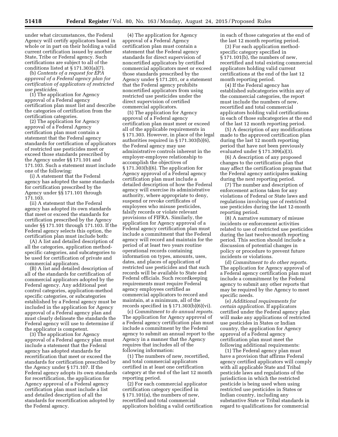under what circumstances, the Federal Agency will certify applicators based in whole or in part on their holding a valid current certification issued by another State, Tribe or Federal agency. Such certifications are subject to all of the conditions listed at § 171.303(a)(7).

(b) *Contents of a request for EPA approval of a Federal agency plan for certification of applicators of restricted use pesticides.* 

(1) The application for Agency approval of a Federal agency certification plan must list and describe the categories of certification from the certification categories.

(2) The application for Agency approval of a Federal Agency certification plan must contain a statement that the Federal agency standards for certification of applicators of restricted use pesticides meet or exceed those standards prescribed by the Agency under §§ 171.101 and 171.103. Such a statement must include one of the following:

(i) A statement that the Federal agency has adopted the same standards for certification prescribed by the Agency under §§ 171.101 through 171.103.

(ii) A statement that the Federal agency has adopted its own standards that meet or exceed the standards for certification prescribed by the Agency under §§ 171.101 through 171.103. If the Federal agency selects this option, the certification plan must include both:

(A) A list and detailed description of all the categories, application methodspecific categories, and subcategories to be used for certification of private and commercial applicators.

(B) A list and detailed description of all of the standards for certification of commercial applicators adopted by the Federal agency. Any additional pest control categories, application-method specific categories, or subcategories established by a Federal agency must be included in the application for Agency approval of a Federal agency plan and must clearly delineate the standards the Federal agency will use to determine if the applicator is competent.

(3) The application for Agency approval of a Federal agency plan must include a statement that the Federal agency has adopted standards for recertification that meet or exceed the standards for certification prescribed by the Agency under § 171.107. If the Federal agency adopts its own standards for recertification, the application for Agency approval of a Federal agency certification plan must include a list and detailed description of all the standards for recertification adopted by the Federal agency.

(4) The application for Agency approval of a Federal Agency certification plan must contain a statement that the Federal agency standards for direct supervision of noncertified applicators by certified commercial applicators meet or exceed those standards prescribed by the Agency under § 171.201, or a statement that the Federal agency prohibits noncertified applicators from using restricted use pesticides under the direct supervision of certified commercial applicators.

(5) The application for Agency approval of a Federal agency certification plan must meet or exceed all of the applicable requirements in § 171.303. However, in place of the legal authorities required in § 171.303(b)(6), the Federal agency may use administrative controls inherent in the employer-employee relationship to accomplish the objectives of § 171.303(b)(6). The application for Agency approval of a Federal agency certification plan must include a detailed description of how the Federal agency will exercise its administrative authority, where appropriate to deny, suspend or revoke certificates of employees who misuse pesticides, falsify records or violate relevant provisions of FIFRA. Similarly, the application for Agency approval of a Federal agency certification plan must include a commitment that the Federal agency will record and maintain for the period of at least two years routine operational records containing information on types, amounts, uses, dates, and places of application of restricted use pesticides and that such records will be available to State and Federal officials. Such recordkeeping requirements must require Federal agency employees certified as commercial applicators to record and maintain, at a minimum, all of the records specified in  $\S 171.303(b)(6)(vi)$ .

(c) *Commitment to do annual reports.*  The application for Agency approval of a Federal agency certification plan must include a commitment by the Federal agency to submit an annual report to the Agency in a manner that the Agency requires that includes all of the following information:

(1) The numbers of new, recertified, and total commercial applicators certified in at least one certification category at the end of the last 12 month reporting period.

(2) For each commercial applicator certification category specified in § 171.101(a), the numbers of new, recertified and total commercial applicators holding a valid certification in each of those categories at the end of the last 12 month reporting period.

(3) For each application methodspecific category specified in § 171.101(b), the numbers of new, recertified and total existing commercial applicators holding valid current certifications at the end of the last 12 month reporting period.

(4) If the Federal agency has established subcategories within any of the commercial categories, the report must include the numbers of new, recertified and total commercial applicators holding valid certifications in each of those subcategories at the end of the last 12 month reporting period.

(5) A description of any modifications made to the approved certification plan during the last 12 month reporting period that have not been previously evaluated under § 171.309(a)(3).

(6) A description of any proposed changes to the certification plan that may affect the certification program that the Federal agency anticipates making during the next reporting period.

(7) The number and description of enforcement actions taken for any violations of Federal or State laws and regulations involving use of restricted use pesticides during the last 12-month reporting period.

(8) A narrative summary of misuse incidents or enforcement activities related to use of restricted use pesticides during the last twelve-month reporting period. This section should include a discussion of potential changes in policy or procedure to prevent future incidents or violations.

(d) *Commitment to do other reports.*  The application for Agency approval of a Federal agency certification plan must include a commitment by the Federal agency to submit any other reports that may be required by the Agency to meet specific needs.

(e) *Additional requirements for certain application.* If applicators certified under the Federal agency plan will make any applications of restricted use pesticides in States or Indian country, the application for Agency approval of a Federal agency certification plan must meet the following additional requirements:

(1) The Federal agency plan must have a provision that affirms Federal agency certified applicators will comply with all applicable State and Tribal pesticide laws and regulations of the jurisdiction in which the restricted pesticide is being used when using restricted use pesticides in States or Indian country, including any substantive State or Tribal standards in regard to qualifications for commercial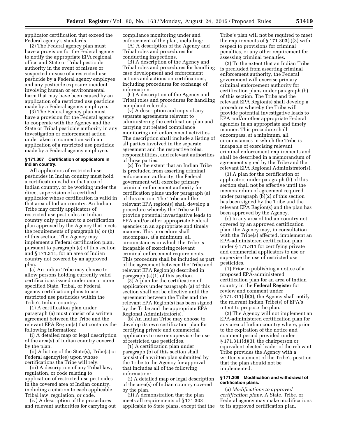applicator certification that exceed the Federal agency's standards.

(2) The Federal agency plan must have a provision for the Federal agency to notify the appropriate EPA regional office and State or Tribal pesticide authority in the event of misuse or suspected misuse of a restricted use pesticide by a Federal agency employee and any pesticide exposure incident involving human or environmental harm that may have been caused by an application of a restricted use pesticide made by a Federal agency employee.

(3) The Federal agency plan must have a provision for the Federal agency to cooperate with the Agency and the State or Tribal pesticide authority in any investigation or enforcement action undertaken in connection with an application of a restricted use pesticide made by a Federal agency employee.

#### **§ 171.307 Certification of applicators in Indian country.**

All applicators of restricted use pesticides in Indian country must hold a certification valid in that area of Indian country, or be working under the direct supervision of a certified applicator whose certification is valid in that area of Indian country. An Indian Tribe may certify applicators of restricted use pesticides in Indian country only pursuant to a certification plan approved by the Agency that meets the requirements of paragraph (a) or (b) of this section. The Agency may implement a Federal certification plan, pursuant to paragraph (c) of this section and § 171.311, for an area of Indian country not covered by an approved plan.

(a) An Indian Tribe may choose to allow persons holding currently valid certifications issued under one or more specified State, Tribal, or Federal agency certification plans to use restricted use pesticides within the Tribe's Indian country.

(1) A certification plan under paragraph (a) must consist of a written agreement between the Tribe and the relevant EPA Region(s) that contains the following information:

(i) A detailed map or legal description of the area(s) of Indian country covered by the plan.

(ii) A listing of the State(s), Tribe(s) or Federal agency(ies) upon whose certifications the Tribe will rely.

(iii) A description of any Tribal law, regulation, or code relating to application of restricted use pesticides in the covered area of Indian country, including a citation to each applicable Tribal law, regulation, or code.

(iv) A description of the procedures and relevant authorities for carrying out compliance monitoring under and enforcement of the plan, including:

(A) A description of the Agency and Tribal roles and procedures for conducting inspections.

(B) A description of the Agency and Tribal roles and procedures for handling case development and enforcement actions and actions on certifications, including procedures for exchange of information.

(C) A description of the Agency and Tribal roles and procedures for handling complaint referrals.

(v) A description and copy of any separate agreements relevant to administering the certification plan and carrying out related compliance monitoring and enforcement activities. The description shall include a listing of all parties involved in the separate agreement and the respective roles, responsibilities, and relevant authorities of those parties.

(2) To the extent that an Indian Tribe is precluded from asserting criminal enforcement authority, the Federal government will exercise primary criminal enforcement authority for certification plans under paragraph (a) of this section. The Tribe and the relevant EPA region(s) shall develop a procedure whereby the Tribe will provide potential investigative leads to EPA and/or other appropriate Federal agencies in an appropriate and timely manner. This procedure shall encompass, at a minimum, all circumstances in which the Tribe is incapable of exercising relevant criminal enforcement requirements. This procedure shall be included as part of the agreement between the Tribe and relevant EPA Region(s) described in paragraph (a)(1) of this section.

(3) A plan for the certification of applicators under paragraph (a) of this section shall not be effective until the agreement between the Tribe and the relevant EPA Region(s) has been signed by the Tribe and the appropriate EPA Regional Administrator(s).

(b) An Indian Tribe may choose to develop its own certification plan for certifying private and commercial applicators to use or supervise the use of restricted use pesticides.

(1) A certification plan under paragraph (b) of this section shall consist of a written plan submitted by the Tribe to the Agency for approval that includes all of the following information:

(i) A detailed map or legal description of the area(s) of Indian country covered by the plan.

(ii) A demonstration that the plan meets all requirements of § 171.303 applicable to State plans, except that the Tribe's plan will not be required to meet the requirements of § 171.303(i)(3) with respect to provisions for criminal penalties, or any other requirement for assessing criminal penalties.

(2) To the extent that an Indian Tribe is precluded from asserting criminal enforcement authority, the Federal government will exercise primary criminal enforcement authority for certification plans under paragraph (b) of this section. The Tribe and the relevant EPA Region(s) shall develop a procedure whereby the Tribe will provide potential investigative leads to EPA and/or other appropriate Federal agencies in an appropriate and timely manner. This procedure shall encompass, at a minimum, all circumstances in which the Tribe is incapable of exercising relevant criminal enforcement requirements and shall be described in a memorandum of agreement signed by the Tribe and the relevant EPA Regional Administrator(s).

(3) A plan for the certification of applicators under paragraph (b) of this section shall not be effective until the memorandum of agreement required under paragraph (b)(2) of this section has been signed by the Tribe and the relevant EPA Region(s) and the plan has been approved by the Agency.

(c) In any area of Indian country not covered by an approved certification plan, the Agency may, in consultation with the Tribe(s) affected, implement an EPA-administered certification plan under § 171.311 for certifying private and commercial applicators to use or supervise the use of restricted use pesticides.

(1) Prior to publishing a notice of a proposed EPA-administered certification plan for an area of Indian country in the **Federal Register** for review and comment under § 171.311(d)(3), the Agency shall notify the relevant Indian Tribe(s) of EPA's intent to propose the plan.

(2) The Agency will not implement an EPA-administered certification plan for any area of Indian country where, prior to the expiration of the notice and comment period provided under § 171.311(d)(3), the chairperson or equivalent elected leader of the relevant Tribe provides the Agency with a written statement of the Tribe's position that the plan should not be implemented.

#### **§ 171.309 Modification and withdrawal of certification plans.**

(a) *Modifications to approved certification plans.* A State, Tribe, or Federal agency may make modifications to its approved certification plan,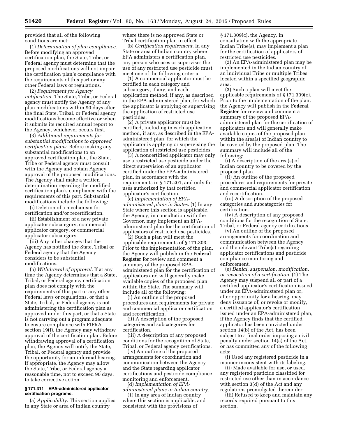provided that all of the following conditions are met:

(1) *Determination of plan compliance.*  Before modifying an approved certification plan, the State, Tribe, or Federal agency must determine that the proposed modifications will not impair the certification plan's compliance with the requirements of this part or any other Federal laws or regulations.

(2) *Requirement for Agency notification.* The State, Tribe, or Federal agency must notify the Agency of any plan modifications within 90 days after the final State, Tribal, or Federal agency modifications become effective or when it submits its required annual report to the Agency, whichever occurs first.

(3) *Additional requirements for substantial modifications to approved certification plans.* Before making any substantial modifications to an approved certification plan, the State, Tribe or Federal agency must consult with the Agency and obtain Agency approval of the proposed modifications. The Agency shall make a written determination regarding the modified certification plan's compliance with the requirements of this part. Substantial modifications include the following:

(i) Deletion of a mechanism for certification and/or recertification.

(ii) Establishment of a new private applicator subcategory, commercial applicator category, or commercial applicator subcategory.

(iii) Any other changes that the Agency has notified the State, Tribal or Federal agency that the Agency considers to be substantial modifications.

(b) *Withdrawal of approval.* If at any time the Agency determines that a State, Tribal, or Federal agency certification plan does not comply with the requirements of this part or any other Federal laws or regulations, or that a State, Tribal, or Federal agency is not administering the certification plan as approved under this part, or that a State is not carrying out a program adequate to ensure compliance with FIFRA section 19(f), the Agency may withdraw approval of the certification plan. Before withdrawing approval of a certification plan, the Agency will notify the State, Tribal, or Federal agency and provide the opportunity for an informal hearing. If appropriate, the Agency may allow the State, Tribe, or Federal agency a reasonable time, not to exceed 90 days, to take corrective action.

#### **§ 171.311 EPA-administered applicator certification programs.**

(a) *Applicability.* This section applies in any State or area of Indian country

where there is no approved State or Tribal certification plan in effect.

(b) *Certification requirement.* In any State or area of Indian country where EPA administers a certification plan, any person who uses or supervises the use of any restricted use pesticide must meet one of the following criteria:

(1) A commercial applicator must be certified in each category and subcategory, if any, and each application method, if any, as described in the EPA-administered plan, for which the applicator is applying or supervising the application of restricted use pesticides.

(2) A private applicator must be certified, including in each application method, if any, as described in the EPAadministered plan, for which the applicator is applying or supervising the application of restricted use pesticides.

(3) A noncertified applicator may only use a restricted use pesticide under the direct supervision of an applicator certified under the EPA-administered plan, in accordance with the requirements in § 171.201, and only for uses authorized by that certified applicator's certification.

(c) *Implementation of EPAadministered plans in States.* (1) In any State where this section is applicable, the Agency, in consultation with the Governor, may implement an EPAadministered plan for the certification of applicators of restricted use pesticides.

(2) Such a plan will meet the applicable requirements of § 171.303. Prior to the implementation of the plan, the Agency will publish in the **Federal Register** for review and comment a summary of the proposed EPAadministered plan for the certification of applicators and will generally make available copies of the proposed plan within the State. The summary will include all of the following:

(i) An outline of the proposed procedures and requirements for private and commercial applicator certification and recertification.

(ii) A description of the proposed categories and subcategories for certification.

(iii) A description of any proposed conditions for the recognition of State, Tribal, or Federal agency certifications.

(iv) An outline of the proposed arrangements for coordination and communication between the Agency and the State regarding applicator certifications and pesticide compliance monitoring and enforcement.

(d) *Implementation of EPAadministered plans in Indian country.* 

(1) In any area of Indian country where this section is applicable, and consistent with the provisions of

§ 171.309(c), the Agency, in consultation with the appropriate Indian Tribe(s), may implement a plan for the certification of applicators of restricted use pesticides.

(2) An EPA-administered plan may be implemented in the Indian country of an individual Tribe or multiple Tribes located within a specified geographic area.

(3) Such a plan will meet the applicable requirements of § 171.309(c). Prior to the implementation of the plan, the Agency will publish in the **Federal Register** for review and comment a summary of the proposed EPAadministered plan for the certification of applicators and will generally make available copies of the proposed plan within the area(s) of Indian country to be covered by the proposed plan. The summary will include all of the following:

(i) A description of the area(s) of Indian country to be covered by the proposed plan.

(ii) An outline of the proposed procedures and requirements for private and commercial applicator certification and recertification.

(iii) A description of the proposed categories and subcategories for certification.

(iv) A description of any proposed conditions for the recognition of State, Tribal, or Federal agency certifications.

(v) An outline of the proposed arrangements for coordination and communication between the Agency and the relevant Tribe(s) regarding applicator certifications and pesticide compliance monitoring and enforcement.

(e) *Denial, suspension, modification, or revocation of a certification.* (1) The Agency may suspend all or part of a certified applicator's certification issued under an EPA-administered plan or, after opportunity for a hearing, may deny issuance of, or revoke or modify, a certified applicator's certification issued under an EPA-administered plan, if the Agency finds that the certified applicator has been convicted under section 14(b) of the Act, has been subject to a final order imposing a civil penalty under section 14(a) of the Act, or has committed any of the following acts:

(i) Used any registered pesticide in a manner inconsistent with its labeling.

(ii) Made available for use, or used, any registered pesticide classified for restricted use other than in accordance with section 3(d) of the Act and any regulations promulgated thereunder.

(iii) Refused to keep and maintain any records required pursuant to this section.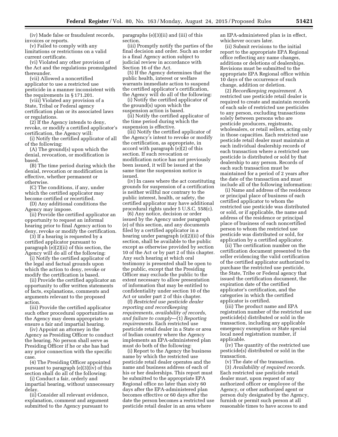(iv) Made false or fraudulent records, invoices or reports.

(v) Failed to comply with any limitations or restrictions on a valid current certificate.

(vi) Violated any other provision of the Act and the regulations promulgated thereunder.

(vii) Allowed a noncertified applicator to use a restricted use pesticide in a manner inconsistent with the requirements in § 171.201.

(viii) Violated any provision of a State, Tribal or Federal agency certification plan or its associated laws or regulations.

(2) If the Agency intends to deny, revoke, or modify a certified applicator's certification, the Agency will:

(i) Notify the certified applicator of all of the following:

(A) The ground(s) upon which the denial, revocation, or modification is based.

(B) The time period during which the denial, revocation or modification is effective, whether permanent or otherwise.

(C) The conditions, if any, under which the certified applicator may become certified or recertified.

(D) Any additional conditions the Agency may impose.

(ii) Provide the certified applicator an opportunity to request an informal hearing prior to final Agency action to deny, revoke or modify the certification.

(3) If a hearing is requested by a certified applicator pursuant to paragraph (e)(2)(ii) of this section, the Agency will do all of the following:

(i) Notify the certified applicator of the legal and factual grounds upon which the action to deny, revoke or modify the certification is based.

(ii) Provide the certified applicator an opportunity to offer written statements of facts, explanations, comments and arguments relevant to the proposed action.

(iii) Provide the certified applicator such other procedural opportunities as the Agency may deem appropriate to ensure a fair and impartial hearing.

(iv) Appoint an attorney in the Agency as Presiding Officer to conduct the hearing. No person shall serve as Presiding Officer if he or she has had any prior connection with the specific case.

(4) The Presiding Officer appointed pursuant to paragraph (e)(3)(iv) of this section shall do all of the following:

(i) Conduct a fair, orderly and impartial hearing, without unnecessary delay.

(ii) Consider all relevant evidence, explanation, comment and argument submitted to the Agency pursuant to

paragraphs (e)(3)(ii) and (iii) of this section.

(iii) Promptly notify the parties of the final decision and order. Such an order is a final Agency action subject to judicial review in accordance with Section 16 of the Act.

(5) If the Agency determines that the public health, interest or welfare warrants immediate action to suspend the certified applicator's certification, the Agency will do all of the following:

(i) Notify the certified applicator of the ground(s) upon which the suspension action is based.

(ii) Notify the certified applicator of the time period during which the suspension is effective.

(iii) Notify the certified applicator of the Agency's intent to revoke or modify the certification, as appropriate, in accord with paragraph (e)(2) of this section. If such revocation or modification notice has not previously been issued, it will be issued at the same time the suspension notice is issued.

(iv) In cases where the act constituting grounds for suspension of a certification is neither willful nor contrary to the public interest, health, or safety, the certified applicator may have additional procedural rights under 5 U.S.C. 558(c).

(6) Any notice, decision or order issued by the Agency under paragraph (e) of this section, and any documents filed by a certified applicator in a hearing under paragraph (e)(2)(ii) of this section, shall be available to the public except as otherwise provided by section 10 of the Act or by part 2 of this chapter. Any such hearing at which oral testimony is presented shall be open to the public, except that the Presiding Officer may exclude the public to the extent necessary to allow presentation of information that may be entitled to confidentiality under section 10 of the Act or under part 2 of this chapter.

(f) *Restricted use pesticide dealer reporting and recordkeeping requirements, availability of records, and failure to comply*—(1) *Reporting requirements.* Each restricted use pesticide retail dealer in a State or area of Indian country where the Agency implements an EPA-administered plan must do both of the following:

(i) Report to the Agency the business name by which the restricted use pesticide retail dealer operates and the name and business address of each of his or her dealerships. This report must be submitted to the appropriate EPA Regional office no later than sixty 60 days after the EPA-administered plan becomes effective or 60 days after the date the person becomes a restricted use pesticide retail dealer in an area where

an EPA-administered plan is in effect, whichever occurs later.

(ii) Submit revisions to the initial report to the appropriate EPA Regional office reflecting any name changes, additions or deletions of dealerships. Revisions must be submitted to the appropriate EPA Regional office within 10 days of the occurrence of such change, addition or deletion.

(2) *Recordkeeping requirement.* A restricted use pesticide retail dealer is required to create and maintain records of each sale of restricted use pesticides to any person, excluding transactions solely between persons who are pesticide producers, registrants, wholesalers, or retail sellers, acting only in those capacities. Each restricted use pesticide retail dealer must maintain at each individual dealership records of each transaction where a restricted use pesticide is distributed or sold by that dealership to any person. Records of each such transaction must be maintained for a period of 2 years after the date of the transaction and must include all of the following information:

(i) Name and address of the residence or principal place of business of each certified applicator to whom the restricted use pesticide was distributed or sold, or if applicable, the name and address of the residence or principal place of business of each noncertified person to whom the restricted use pesticide was distributed or sold, for application by a certified applicator.

(ii) The certification number on the certification document presented to the seller evidencing the valid certification of the certified applicator authorized to purchase the restricted use pesticide, the State, Tribe or Federal agency that issued the certification document, the expiration date of the certified applicator's certification, and the categories in which the certified applicator is certified.

(iii) The product name and EPA registration number of the restricted use pesticide(s) distributed or sold in the transaction, including any applicable emergency exemption or State special local need registration number, if applicable.

(iv) The quantity of the restricted use pesticide(s) distributed or sold in the transaction.

(v) The date of the transaction. (3) *Availability of required records.*  Each restricted use pesticide retail dealer must, upon request of any authorized officer or employee of the

Agency, or other authorized agent or person duly designated by the Agency, furnish or permit such person at all reasonable times to have access to and